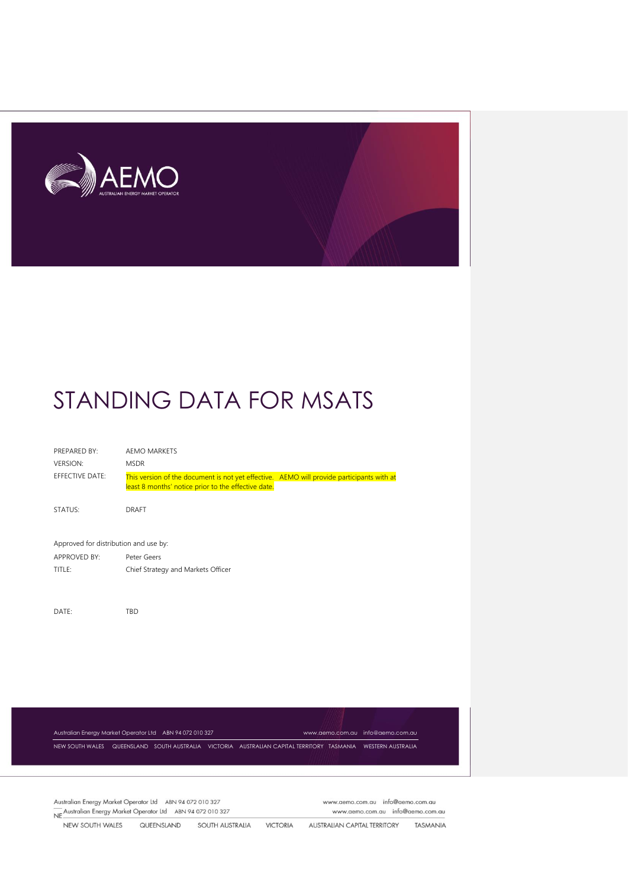

| PREPARED BY:                          | <b>AEMO MARKETS</b>                                                                                                                              |                                  |  |
|---------------------------------------|--------------------------------------------------------------------------------------------------------------------------------------------------|----------------------------------|--|
| <b>VERSION:</b>                       | <b>MSDR</b>                                                                                                                                      |                                  |  |
| EFFECTIVE DATE:                       | This version of the document is not yet effective. AEMO will provide participants with at<br>least 8 months' notice prior to the effective date. |                                  |  |
| STATUS:                               | <b>DRAFT</b>                                                                                                                                     |                                  |  |
| Approved for distribution and use by: |                                                                                                                                                  |                                  |  |
| <b>APPROVED BY:</b>                   | Peter Geers                                                                                                                                      |                                  |  |
| TITLE:                                | Chief Strategy and Markets Officer                                                                                                               |                                  |  |
|                                       |                                                                                                                                                  |                                  |  |
| DATE:                                 | TBD                                                                                                                                              |                                  |  |
|                                       |                                                                                                                                                  |                                  |  |
|                                       |                                                                                                                                                  |                                  |  |
|                                       |                                                                                                                                                  |                                  |  |
|                                       |                                                                                                                                                  |                                  |  |
|                                       |                                                                                                                                                  |                                  |  |
|                                       |                                                                                                                                                  |                                  |  |
|                                       |                                                                                                                                                  |                                  |  |
|                                       | Australian Energy Market Operator Ltd ABN 94 072 010 327                                                                                         | www.aemo.com.au info@aemo.com.au |  |
|                                       | NEW SOUTH WALES QUEENSLAND SOUTH AUSTRALIA VICTORIA AUSTRALIAN CAPITAL TERRITORY TASMANIA WESTERN AUSTRALIA                                      |                                  |  |

Australian Energy Market Operator Ltd ABN 94 072 010 327 Australian Energy Market Operator Ltd ABN 94 072 010 327<br>NE Australian Energy Market Operator Ltd ABN 94 072 010 327 www.aemo.com.au info@aemo.com.au www.aemo.com.au info@aemo.com.au

NEW SOUTH WALES QUEENSLAND SOUTH AUSTRALIA VICTORIA **AUSTRALIAN CAPITAL TERRITORY** TASMANIA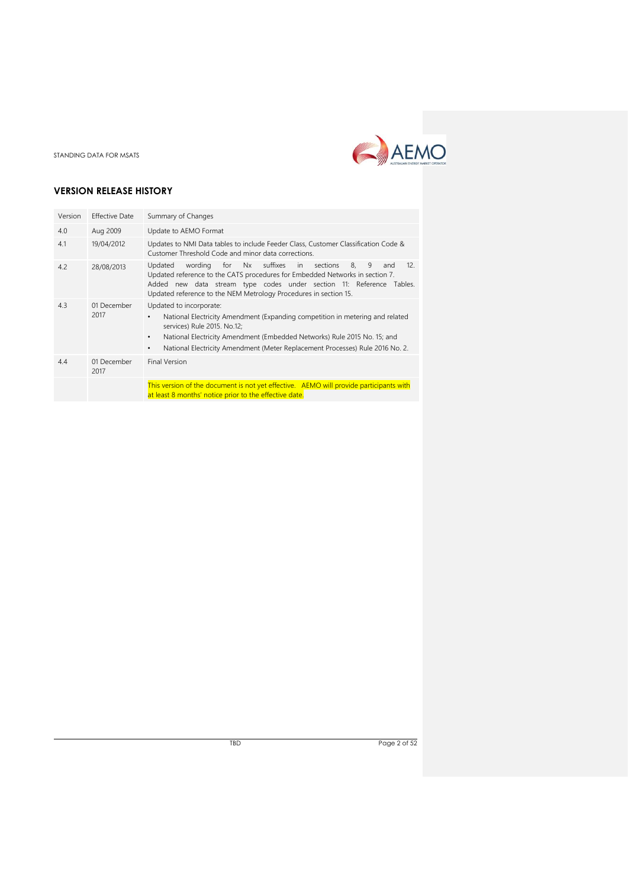

# **VERSION RELEASE HISTORY**

| Version | <b>Effective Date</b> | Summary of Changes                                                                                                                                                                                                                                                                                                             |
|---------|-----------------------|--------------------------------------------------------------------------------------------------------------------------------------------------------------------------------------------------------------------------------------------------------------------------------------------------------------------------------|
| 4.0     | Aug 2009              | Update to AEMO Format                                                                                                                                                                                                                                                                                                          |
| 4.1     | 19/04/2012            | Updates to NMI Data tables to include Feeder Class, Customer Classification Code &<br>Customer Threshold Code and minor data corrections.                                                                                                                                                                                      |
| 4.2     | 28/08/2013            | wording for Nx suffixes<br>12.<br>sections<br>9<br>Updated<br>in<br>8.<br>and<br>Updated reference to the CATS procedures for Embedded Networks in section 7.<br>Added new data stream type codes under section 11: Reference Tables.<br>Updated reference to the NEM Metrology Procedures in section 15.                      |
| 4.3     | 01 December<br>2017   | Updated to incorporate:<br>National Electricity Amendment (Expanding competition in metering and related<br>services) Rule 2015. No.12;<br>National Electricity Amendment (Embedded Networks) Rule 2015 No. 15; and<br>$\bullet$<br>National Electricity Amendment (Meter Replacement Processes) Rule 2016 No. 2.<br>$\bullet$ |
| 4.4     | 01 December<br>2017   | <b>Final Version</b>                                                                                                                                                                                                                                                                                                           |
|         |                       | This version of the document is not yet effective. AEMO will provide participants with<br>at least 8 months' notice prior to the effective date.                                                                                                                                                                               |

TBD Page 2 of 52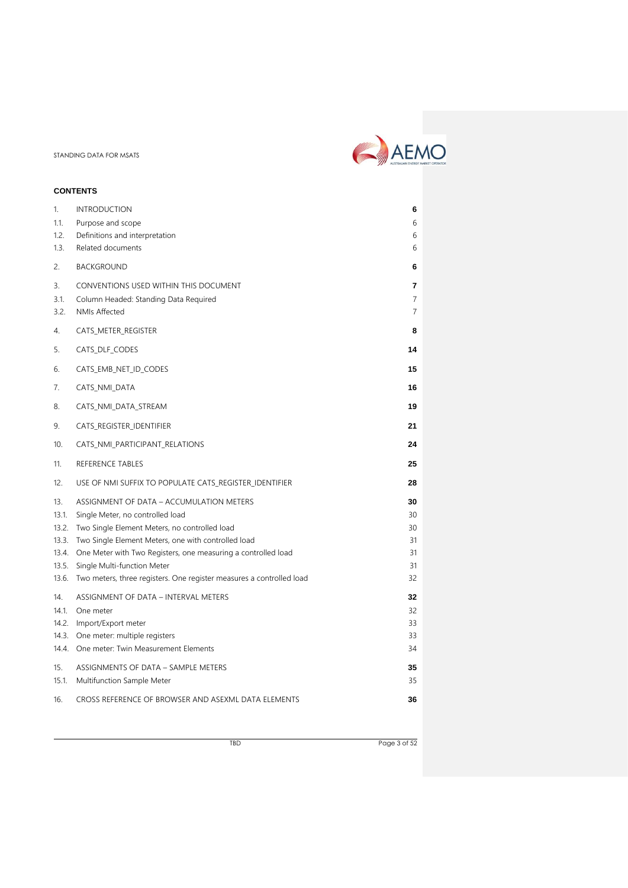# **CONTENTS**

| 1.             | <b>INTRODUCTION</b>                                                                          | 6              |  |
|----------------|----------------------------------------------------------------------------------------------|----------------|--|
| 1.1.           | Purpose and scope                                                                            | 6              |  |
| 1.2.           | Definitions and interpretation                                                               | 6              |  |
| 1.3.           | Related documents                                                                            | 6              |  |
| 2.             | <b>BACKGROUND</b>                                                                            | 6              |  |
| 3.             | CONVENTIONS USED WITHIN THIS DOCUMENT                                                        | 7              |  |
| 3.1.           | Column Headed: Standing Data Required                                                        | $\overline{7}$ |  |
| 3.2.           | <b>NMIs Affected</b>                                                                         | $\overline{7}$ |  |
| 4.             | CATS_METER_REGISTER                                                                          | 8              |  |
| 5.             | CATS DLF CODES                                                                               | 14             |  |
| 6.             | CATS_EMB_NET_ID_CODES                                                                        | 15             |  |
| 7.             | CATS NMI DATA                                                                                | 16             |  |
| 8.             | CATS_NMI_DATA_STREAM                                                                         | 19             |  |
| 9.             | CATS_REGISTER_IDENTIFIER                                                                     | 21             |  |
| 10.            | CATS_NMI_PARTICIPANT_RELATIONS                                                               | 24             |  |
| 11.            | REFERENCE TABLES                                                                             | 25             |  |
| 12.            | USE OF NMI SUFFIX TO POPULATE CATS REGISTER IDENTIFIER                                       | 28             |  |
| 13.            | ASSIGNMENT OF DATA - ACCUMULATION METERS                                                     | 30             |  |
| 13.1.          | Single Meter, no controlled load                                                             | 30             |  |
| 13.2.          | Two Single Element Meters, no controlled load                                                | 30             |  |
| 13.3.          | Two Single Element Meters, one with controlled load                                          | 31             |  |
| 13.4.<br>13.5. | One Meter with Two Registers, one measuring a controlled load<br>Single Multi-function Meter | 31<br>31       |  |
| 13.6.          | Two meters, three registers. One register measures a controlled load                         | 32             |  |
| 14.            | ASSIGNMENT OF DATA - INTERVAL METERS                                                         | 32             |  |
| 14.1.          | One meter                                                                                    | 32             |  |
| 14.2.          | Import/Export meter                                                                          | 33             |  |
| 14.3.          | One meter: multiple registers                                                                | 33             |  |
| 14.4.          | One meter: Twin Measurement Elements                                                         | 34             |  |
| 15.            | ASSIGNMENTS OF DATA - SAMPLE METERS                                                          | 35             |  |
| 15.1.          |                                                                                              |                |  |
|                | Multifunction Sample Meter                                                                   | 35             |  |

AEMO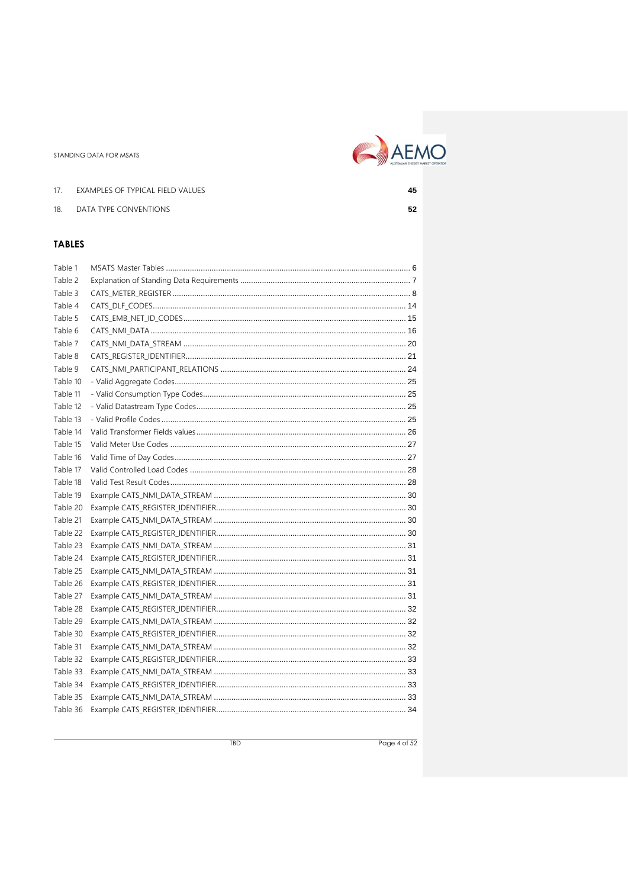

17. EXAMPLES OF TYPICAL FIELD VALUES 45 18. DATA TYPE CONVENTIONS  ${\bf 52}$ 

# **TABLES**

| Table 1  |  |
|----------|--|
| Table 2  |  |
| Table 3  |  |
| Table 4  |  |
| Table 5  |  |
| Table 6  |  |
| Table 7  |  |
| Table 8  |  |
| Table 9  |  |
| Table 10 |  |
| Table 11 |  |
| Table 12 |  |
| Table 13 |  |
| Table 14 |  |
| Table 15 |  |
| Table 16 |  |
| Table 17 |  |
| Table 18 |  |
| Table 19 |  |
| Table 20 |  |
| Table 21 |  |
| Table 22 |  |
| Table 23 |  |
| Table 24 |  |
| Table 25 |  |
| Table 26 |  |
| Table 27 |  |
| Table 28 |  |
| Table 29 |  |
| Table 30 |  |
| Table 31 |  |
| Table 32 |  |
| Table 33 |  |
| Table 34 |  |
| Table 35 |  |
| Table 36 |  |

Page 4 of 52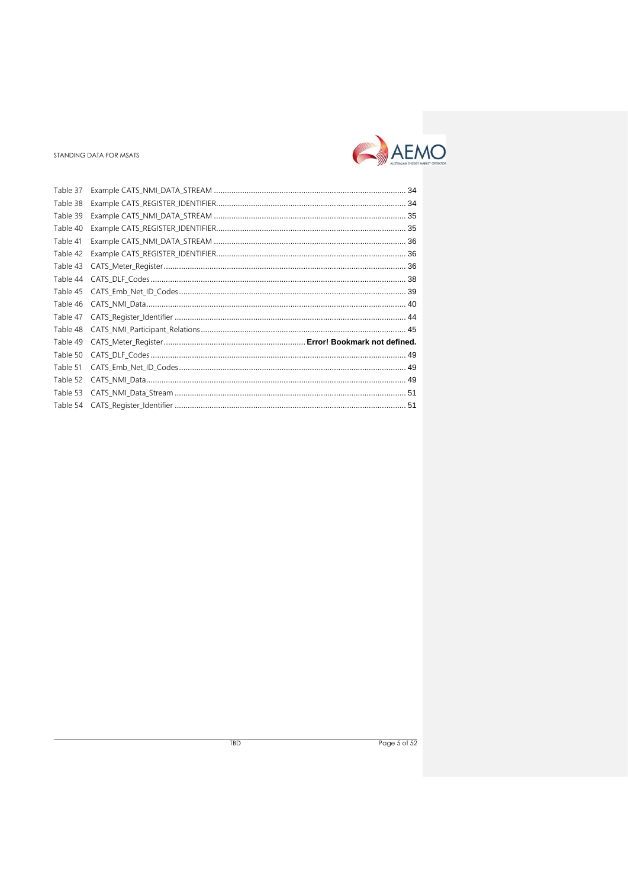

| Table 37 |  |
|----------|--|
| Table 38 |  |
| Table 39 |  |
| Table 40 |  |
| Table 41 |  |
| Table 42 |  |
| Table 43 |  |
| Table 44 |  |
| Table 45 |  |
| Table 46 |  |
| Table 47 |  |
| Table 48 |  |
| Table 49 |  |
| Table 50 |  |
| Table 51 |  |
| Table 52 |  |
| Table 53 |  |
| Table 54 |  |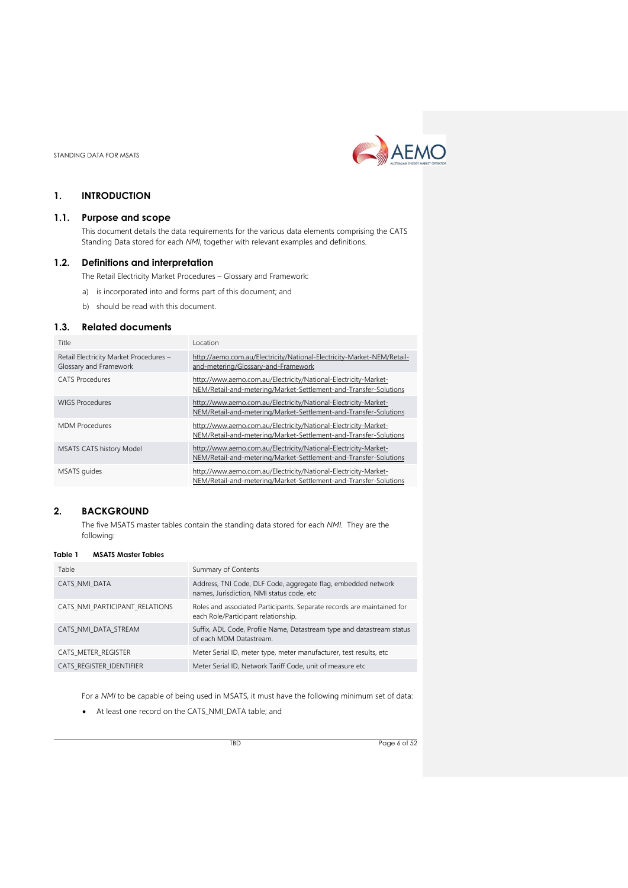

# <span id="page-5-0"></span>**1. INTRODUCTION**

### <span id="page-5-1"></span>**1.1. Purpose and scope**

This document details the data requirements for the various data elements comprising the CATS Standing Data stored for each *NMI*, together with relevant examples and definitions.

#### <span id="page-5-2"></span>**1.2. Definitions and interpretation**

The Retail Electricity Market Procedures – Glossary and Framework:

- a) is incorporated into and forms part of this document; and
- b) should be read with this document.

# <span id="page-5-3"></span>**1.3. Related documents**

| Title                                                            | Location                                                                                                                            |
|------------------------------------------------------------------|-------------------------------------------------------------------------------------------------------------------------------------|
| Retail Electricity Market Procedures -<br>Glossary and Framework | http://aemo.com.au/Electricity/National-Electricity-Market-NEM/Retail-<br>and-metering/Glossary-and-Framework                       |
| <b>CATS</b> Procedures                                           | http://www.aemo.com.au/Electricity/National-Electricity-Market-<br>NEM/Retail-and-metering/Market-Settlement-and-Transfer-Solutions |
| <b>WIGS Procedures</b>                                           | http://www.aemo.com.au/Electricity/National-Electricity-Market-<br>NEM/Retail-and-metering/Market-Settlement-and-Transfer-Solutions |
| <b>MDM</b> Procedures                                            | http://www.aemo.com.au/Electricity/National-Electricity-Market-<br>NEM/Retail-and-metering/Market-Settlement-and-Transfer-Solutions |
| <b>MSATS CATS history Model</b>                                  | http://www.aemo.com.au/Electricity/National-Electricity-Market-<br>NEM/Retail-and-metering/Market-Settlement-and-Transfer-Solutions |
| MSATS quides                                                     | http://www.aemo.com.au/Electricity/National-Electricity-Market-<br>NEM/Retail-and-metering/Market-Settlement-and-Transfer-Solutions |

# <span id="page-5-4"></span>**2. BACKGROUND**

The five MSATS master tables contain the standing data stored for each *NMI*. They are the following:

#### <span id="page-5-5"></span>**Table 1 MSATS Master Tables**

| Table                          | Summary of Contents                                                                                           |
|--------------------------------|---------------------------------------------------------------------------------------------------------------|
| CATS NMI DATA                  | Address, TNI Code, DLF Code, aggregate flag, embedded network<br>names, Jurisdiction, NMI status code, etc    |
| CATS NMI PARTICIPANT RELATIONS | Roles and associated Participants. Separate records are maintained for<br>each Role/Participant relationship. |
| CATS NMI DATA STREAM           | Suffix, ADL Code, Profile Name, Datastream type and datastream status<br>of each MDM Datastream.              |
| CATS METER REGISTER            | Meter Serial ID, meter type, meter manufacturer, test results, etc                                            |
| CATS REGISTER IDENTIFIER       | Meter Serial ID, Network Tariff Code, unit of measure etc                                                     |

For a *NMI* to be capable of being used in MSATS, it must have the following minimum set of data:

• At least one record on the CATS\_NMI\_DATA table; and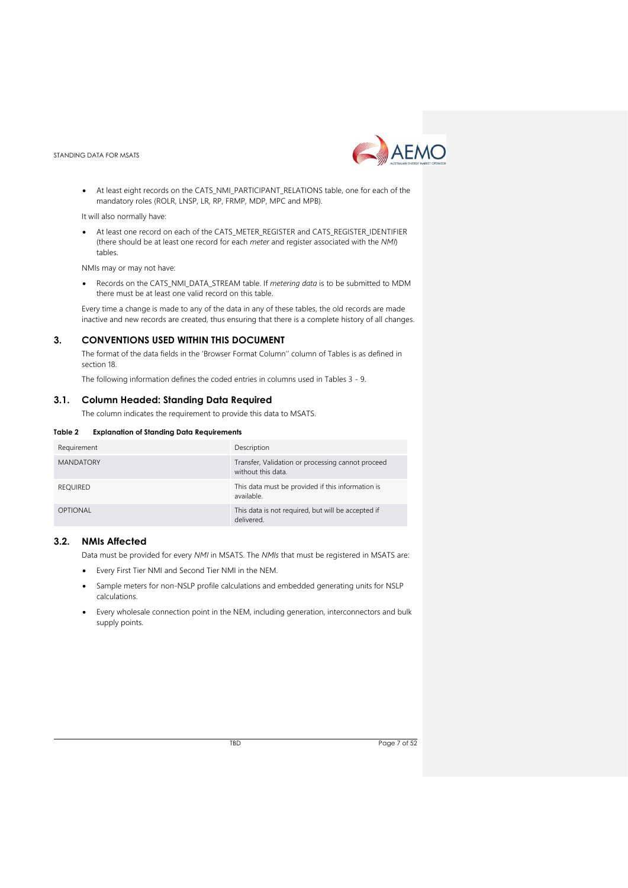

• At least eight records on the CATS\_NMI\_PARTICIPANT\_RELATIONS table, one for each of the mandatory roles (ROLR, LNSP, LR, RP, FRMP, MDP, MPC and MPB).

It will also normally have:

• At least one record on each of the CATS\_METER\_REGISTER and CATS\_REGISTER\_IDENTIFIER (there should be at least one record for each *meter* and register associated with the *NMI*) tables.

NMIs may or may not have:

• Records on the CATS\_NMI\_DATA\_STREAM table. If *metering data* is to be submitted to MDM there must be at least one valid record on this table.

Every time a change is made to any of the data in any of these tables, the old records are made inactive and new records are created, thus ensuring that there is a complete history of all changes.

## <span id="page-6-0"></span>**3. CONVENTIONS USED WITHIN THIS DOCUMENT**

The format of the data fields in the 'Browser Format Column'' column of Tables is as defined in section 18.

The following information defines the coded entries in columns used in Tables 3 - 9.

#### <span id="page-6-1"></span>**3.1. Column Headed: Standing Data Required**

The column indicates the requirement to provide this data to MSATS.

<span id="page-6-3"></span>

| Requirement      | Description                                                             |
|------------------|-------------------------------------------------------------------------|
| <b>MANDATORY</b> | Transfer, Validation or processing cannot proceed<br>without this data. |
| <b>REOUIRED</b>  | This data must be provided if this information is<br>available.         |
| OPTIONAL         | This data is not required, but will be accepted if<br>delivered.        |

#### <span id="page-6-2"></span>**3.2. NMIs Affected**

Data must be provided for every *NMI* in MSATS. The *NMIs* that must be registered in MSATS are:

- Every First Tier NMI and Second Tier NMI in the NEM.
- Sample meters for non-NSLP profile calculations and embedded generating units for NSLP calculations.
- Every wholesale connection point in the NEM, including generation, interconnectors and bulk supply points.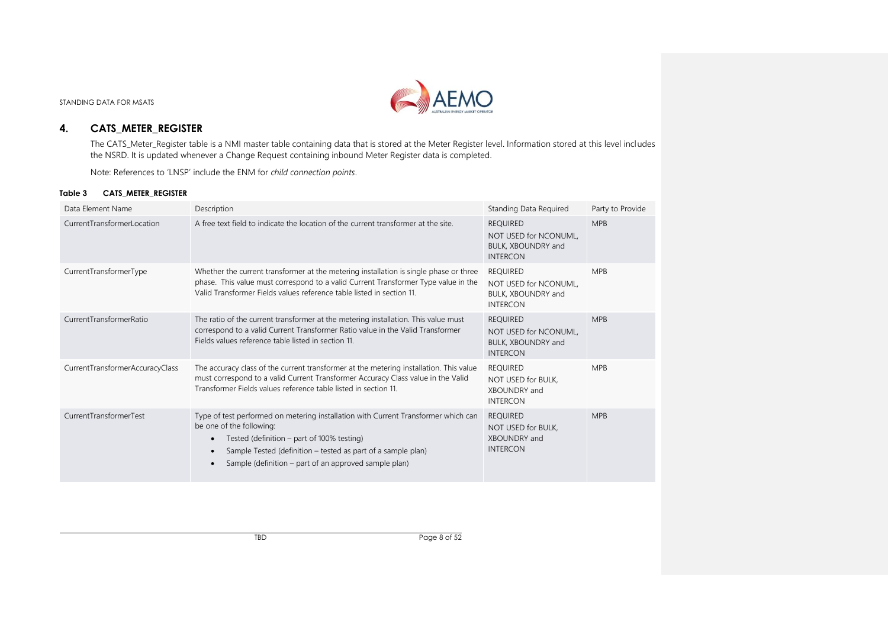

# **4. CATS\_METER\_REGISTER**

The CATS\_Meter\_Register table is a NMI master table containing data that is stored at the Meter Register level. Information stored at this level includes the NSRD. It is updated whenever a Change Request containing inbound Meter Register data is completed.

Note: References to 'LNSP' include the ENM for *child connection points*.

#### **Table 3 CATS\_METER\_REGISTER**

<span id="page-7-1"></span><span id="page-7-0"></span>

| Data Element Name               | Description                                                                                                                                                                                                                                                                                                       | Standing Data Required                                                            | Party to Provide |
|---------------------------------|-------------------------------------------------------------------------------------------------------------------------------------------------------------------------------------------------------------------------------------------------------------------------------------------------------------------|-----------------------------------------------------------------------------------|------------------|
| CurrentTransformerLocation      | A free text field to indicate the location of the current transformer at the site.                                                                                                                                                                                                                                | <b>REQUIRED</b><br>NOT USED for NCONUML,<br>BULK, XBOUNDRY and<br><b>INTERCON</b> | <b>MPB</b>       |
| CurrentTransformerType          | Whether the current transformer at the metering installation is single phase or three<br>phase. This value must correspond to a valid Current Transformer Type value in the<br>Valid Transformer Fields values reference table listed in section 11.                                                              | <b>REQUIRED</b><br>NOT USED for NCONUML.<br>BULK, XBOUNDRY and<br><b>INTERCON</b> | <b>MPB</b>       |
| CurrentTransformerRatio         | The ratio of the current transformer at the metering installation. This value must<br>correspond to a valid Current Transformer Ratio value in the Valid Transformer<br>Fields values reference table listed in section 11.                                                                                       | <b>REQUIRED</b><br>NOT USED for NCONUML,<br>BULK, XBOUNDRY and<br><b>INTERCON</b> | <b>MPB</b>       |
| CurrentTransformerAccuracyClass | The accuracy class of the current transformer at the metering installation. This value<br>must correspond to a valid Current Transformer Accuracy Class value in the Valid<br>Transformer Fields values reference table listed in section 11.                                                                     | <b>REOUIRED</b><br>NOT USED for BULK.<br>XBOUNDRY and<br><b>INTERCON</b>          | <b>MPB</b>       |
| CurrentTransformerTest          | Type of test performed on metering installation with Current Transformer which can<br>be one of the following:<br>Tested (definition $-$ part of 100% testing)<br>$\bullet$<br>Sample Tested (definition - tested as part of a sample plan)<br>$\bullet$<br>Sample (definition – part of an approved sample plan) | <b>REQUIRED</b><br>NOT USED for BULK,<br>XBOUNDRY and<br><b>INTERCON</b>          | <b>MPB</b>       |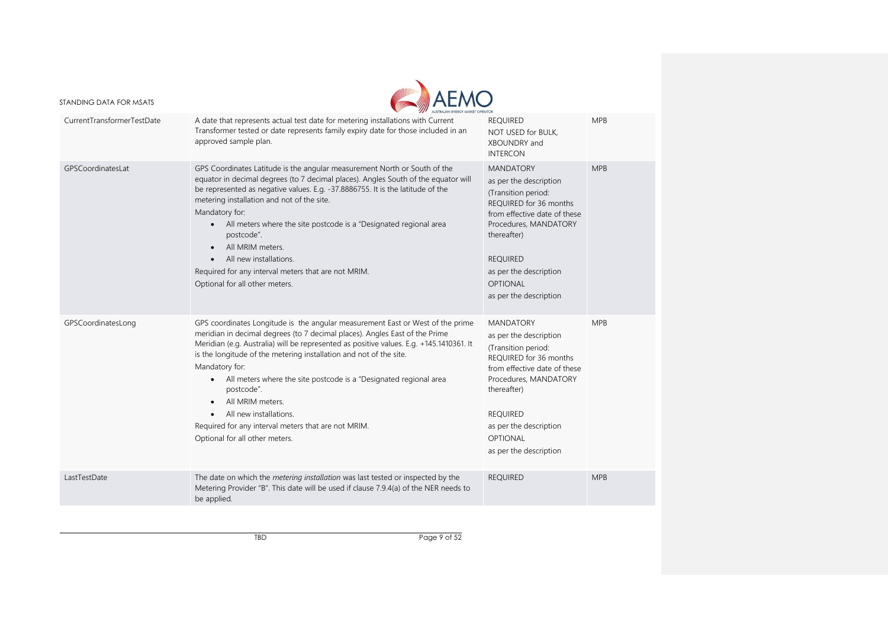

|                            | AUSTRALIAN ENERGY MARKET OPERATOR                                                                                                                                                                                                                                                                                                                                                                                                                                                                                                                                          |                                                                                                                                                                                                                                                               |            |
|----------------------------|----------------------------------------------------------------------------------------------------------------------------------------------------------------------------------------------------------------------------------------------------------------------------------------------------------------------------------------------------------------------------------------------------------------------------------------------------------------------------------------------------------------------------------------------------------------------------|---------------------------------------------------------------------------------------------------------------------------------------------------------------------------------------------------------------------------------------------------------------|------------|
| CurrentTransformerTestDate | A date that represents actual test date for metering installations with Current<br>Transformer tested or date represents family expiry date for those included in an<br>approved sample plan.                                                                                                                                                                                                                                                                                                                                                                              | <b>REQUIRED</b><br>NOT USED for BULK,<br>XBOUNDRY and<br><b>INTERCON</b>                                                                                                                                                                                      | <b>MPB</b> |
| GPSCoordinatesLat          | GPS Coordinates Latitude is the angular measurement North or South of the<br>equator in decimal degrees (to 7 decimal places). Angles South of the equator will<br>be represented as negative values. E.g. -37.8886755. It is the latitude of the<br>metering installation and not of the site.<br>Mandatory for:<br>• All meters where the site postcode is a "Designated regional area<br>postcode".<br>All MRIM meters.<br>$\bullet$<br>All new installations.<br>Required for any interval meters that are not MRIM.<br>Optional for all other meters.                 | <b>MANDATORY</b><br>as per the description<br>(Transition period:<br>REQUIRED for 36 months<br>from effective date of these<br>Procedures, MANDATORY<br>thereafter)<br><b>REQUIRED</b><br>as per the description<br><b>OPTIONAL</b><br>as per the description | <b>MPB</b> |
| GPSCoordinatesLong         | GPS coordinates Longitude is the angular measurement East or West of the prime<br>meridian in decimal degrees (to 7 decimal places). Angles East of the Prime<br>Meridian (e.g. Australia) will be represented as positive values. E.g. +145.1410361. It<br>is the longitude of the metering installation and not of the site.<br>Mandatory for:<br>All meters where the site postcode is a "Designated regional area<br>postcode".<br>All MRIM meters.<br>All new installations.<br>Required for any interval meters that are not MRIM.<br>Optional for all other meters. | <b>MANDATORY</b><br>as per the description<br>(Transition period:<br>REQUIRED for 36 months<br>from effective date of these<br>Procedures, MANDATORY<br>thereafter)<br><b>REOUIRED</b><br>as per the description<br>OPTIONAL<br>as per the description        | <b>MPB</b> |
| LastTestDate               | The date on which the metering installation was last tested or inspected by the<br>Metering Provider "B". This date will be used if clause 7.9.4(a) of the NER needs to<br>be applied.                                                                                                                                                                                                                                                                                                                                                                                     | <b>REQUIRED</b>                                                                                                                                                                                                                                               | <b>MPB</b> |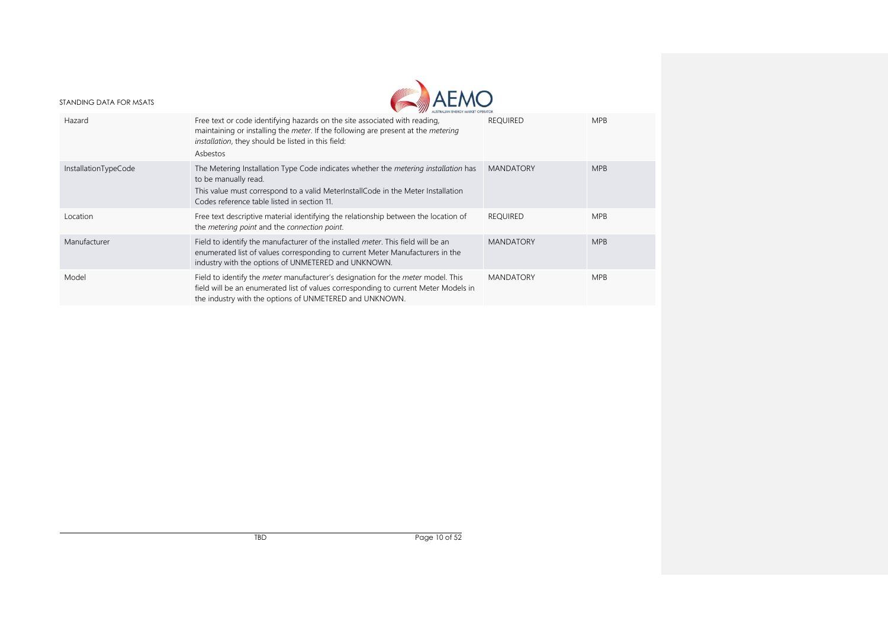

|                      | AUSTRALIAN ENERGY MARKET OPERATOR                                                                                                                                                                                                                     |                  |            |
|----------------------|-------------------------------------------------------------------------------------------------------------------------------------------------------------------------------------------------------------------------------------------------------|------------------|------------|
| Hazard               | Free text or code identifying hazards on the site associated with reading,<br>maintaining or installing the meter. If the following are present at the metering<br>installation, they should be listed in this field:<br>Asbestos                     | <b>REQUIRED</b>  | <b>MPB</b> |
| InstallationTypeCode | The Metering Installation Type Code indicates whether the <i>metering installation</i> has<br>to be manually read.<br>This value must correspond to a valid MeterInstallCode in the Meter Installation<br>Codes reference table listed in section 11. | <b>MANDATORY</b> | <b>MPB</b> |
| Location             | Free text descriptive material identifying the relationship between the location of<br>the metering point and the connection point.                                                                                                                   | <b>REQUIRED</b>  | <b>MPB</b> |
| Manufacturer         | Field to identify the manufacturer of the installed meter. This field will be an<br>enumerated list of values corresponding to current Meter Manufacturers in the<br>industry with the options of UNMETERED and UNKNOWN.                              | <b>MANDATORY</b> | <b>MPB</b> |
| Model                | Field to identify the <i>meter</i> manufacturer's designation for the <i>meter</i> model. This<br>field will be an enumerated list of values corresponding to current Meter Models in<br>the industry with the options of UNMETERED and UNKNOWN.      | <b>MANDATORY</b> | <b>MPB</b> |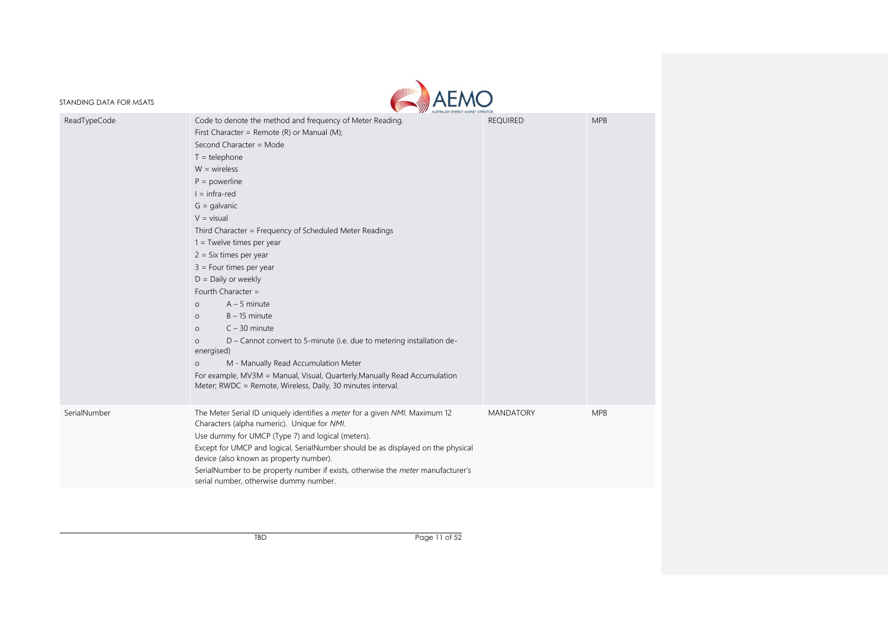

|              | AUSTRALIAN ENERGY MARKET OPERATOR                                                                                                                                                                                                                                                                                                                                                                                                                                                                                                                                                                                                                                                                                                                                                                                                                   |                  |            |
|--------------|-----------------------------------------------------------------------------------------------------------------------------------------------------------------------------------------------------------------------------------------------------------------------------------------------------------------------------------------------------------------------------------------------------------------------------------------------------------------------------------------------------------------------------------------------------------------------------------------------------------------------------------------------------------------------------------------------------------------------------------------------------------------------------------------------------------------------------------------------------|------------------|------------|
| ReadTypeCode | Code to denote the method and frequency of Meter Reading.<br>First Character = Remote $(R)$ or Manual $(M)$ ;<br>Second Character = Mode<br>$T = t$ elephone<br>$W = wireless$<br>$P = powerline$<br>$l = infra-red$<br>$G =$ galvanic<br>$V = visual$<br>Third Character = Frequency of Scheduled Meter Readings<br>$1 =$ Twelve times per year<br>$2 = Six times per year$<br>$3 =$ Four times per year<br>$D =$ Daily or weekly<br>Fourth Character =<br>$A - 5$ minute<br>$\circ$<br>$B - 15$ minute<br>$\circ$<br>$C - 30$ minute<br>$\Omega$<br>D - Cannot convert to 5-minute (i.e. due to metering installation de-<br>$\circ$<br>energised)<br>M - Manually Read Accumulation Meter<br>$\circ$<br>For example, MV3M = Manual, Visual, Quarterly, Manually Read Accumulation<br>Meter; RWDC = Remote, Wireless, Daily, 30 minutes interval. | <b>REQUIRED</b>  | <b>MPB</b> |
| SerialNumber | The Meter Serial ID uniquely identifies a meter for a given NMI. Maximum 12<br>Characters (alpha numeric). Unique for NMI.<br>Use dummy for UMCP (Type 7) and logical (meters).<br>Except for UMCP and logical, SerialNumber should be as displayed on the physical<br>device (also known as property number).<br>SerialNumber to be property number if exists, otherwise the <i>meter</i> manufacturer's<br>serial number, otherwise dummy number.                                                                                                                                                                                                                                                                                                                                                                                                 | <b>MANDATORY</b> | <b>MPB</b> |
|              |                                                                                                                                                                                                                                                                                                                                                                                                                                                                                                                                                                                                                                                                                                                                                                                                                                                     |                  |            |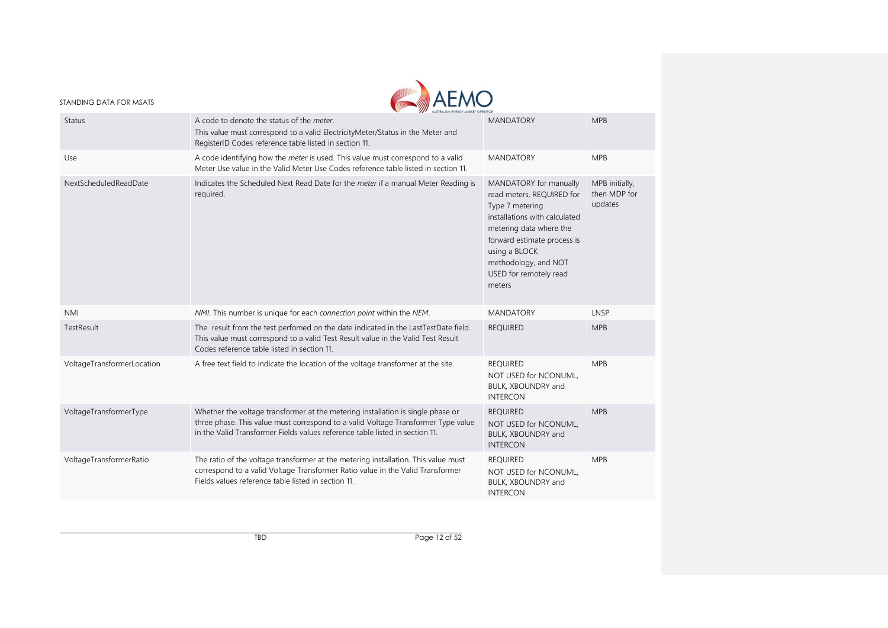

| Status                     | A code to denote the status of the meter.<br>This value must correspond to a valid ElectricityMeter/Status in the Meter and<br>RegisterID Codes reference table listed in section 11.                                                                | <b>MANDATORY</b>                                                                                                                                                                                                                               | <b>MPB</b>                                |
|----------------------------|------------------------------------------------------------------------------------------------------------------------------------------------------------------------------------------------------------------------------------------------------|------------------------------------------------------------------------------------------------------------------------------------------------------------------------------------------------------------------------------------------------|-------------------------------------------|
| Use                        | A code identifying how the <i>meter</i> is used. This value must correspond to a valid<br>Meter Use value in the Valid Meter Use Codes reference table listed in section 11.                                                                         | <b>MANDATORY</b>                                                                                                                                                                                                                               | <b>MPB</b>                                |
| NextScheduledReadDate      | Indicates the Scheduled Next Read Date for the meter if a manual Meter Reading is<br>required.                                                                                                                                                       | MANDATORY for manually<br>read meters, REQUIRED for<br>Type 7 metering<br>installations with calculated<br>metering data where the<br>forward estimate process is<br>using a BLOCK<br>methodology, and NOT<br>USED for remotely read<br>meters | MPB initially,<br>then MDP for<br>updates |
| <b>NMI</b>                 | NMI. This number is unique for each connection point within the NEM.                                                                                                                                                                                 | <b>MANDATORY</b>                                                                                                                                                                                                                               | LNSP                                      |
| TestResult                 | The result from the test perfomed on the date indicated in the LastTestDate field.<br>This value must correspond to a valid Test Result value in the Valid Test Result<br>Codes reference table listed in section 11.                                | <b>REQUIRED</b>                                                                                                                                                                                                                                | <b>MPB</b>                                |
| VoltageTransformerLocation | A free text field to indicate the location of the voltage transformer at the site.                                                                                                                                                                   | <b>REQUIRED</b><br>NOT USED for NCONUML,<br>BULK, XBOUNDRY and<br><b>INTERCON</b>                                                                                                                                                              | <b>MPB</b>                                |
| VoltageTransformerType     | Whether the voltage transformer at the metering installation is single phase or<br>three phase. This value must correspond to a valid Voltage Transformer Type value<br>in the Valid Transformer Fields values reference table listed in section 11. | <b>REQUIRED</b><br>NOT USED for NCONUML,<br>BULK, XBOUNDRY and<br><b>INTERCON</b>                                                                                                                                                              | <b>MPB</b>                                |
| VoltageTransformerRatio    | The ratio of the voltage transformer at the metering installation. This value must<br>correspond to a valid Voltage Transformer Ratio value in the Valid Transformer<br>Fields values reference table listed in section 11.                          | <b>REQUIRED</b><br>NOT USED for NCONUML,<br>BULK, XBOUNDRY and<br><b>INTERCON</b>                                                                                                                                                              | <b>MPB</b>                                |
|                            |                                                                                                                                                                                                                                                      |                                                                                                                                                                                                                                                |                                           |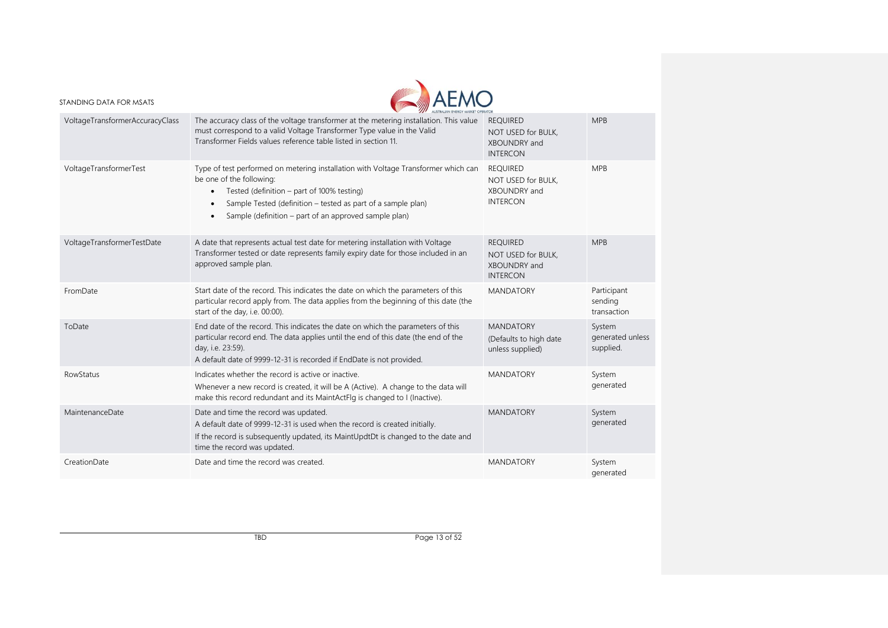

|                                 | <b>WALISTRALIAN ENERGY MARKET OPERATOR</b>                                                                                                                                                                                                                                                                                   |                                                                          |                                         |
|---------------------------------|------------------------------------------------------------------------------------------------------------------------------------------------------------------------------------------------------------------------------------------------------------------------------------------------------------------------------|--------------------------------------------------------------------------|-----------------------------------------|
| VoltageTransformerAccuracyClass | The accuracy class of the voltage transformer at the metering installation. This value<br>must correspond to a valid Voltage Transformer Type value in the Valid<br>Transformer Fields values reference table listed in section 11.                                                                                          | <b>REQUIRED</b><br>NOT USED for BULK,<br>XBOUNDRY and<br><b>INTERCON</b> | <b>MPB</b>                              |
| VoltageTransformerTest          | Type of test performed on metering installation with Voltage Transformer which can<br>be one of the following:<br>Tested (definition - part of 100% testing)<br>$\bullet$<br>Sample Tested (definition - tested as part of a sample plan)<br>$\bullet$<br>Sample (definition – part of an approved sample plan)<br>$\bullet$ | <b>REQUIRED</b><br>NOT USED for BULK,<br>XBOUNDRY and<br><b>INTERCON</b> | <b>MPB</b>                              |
| VoltageTransformerTestDate      | A date that represents actual test date for metering installation with Voltage<br>Transformer tested or date represents family expiry date for those included in an<br>approved sample plan.                                                                                                                                 | <b>REQUIRED</b><br>NOT USED for BULK,<br>XBOUNDRY and<br><b>INTERCON</b> | <b>MPB</b>                              |
| FromDate                        | Start date of the record. This indicates the date on which the parameters of this<br>particular record apply from. The data applies from the beginning of this date (the<br>start of the day, i.e. 00:00).                                                                                                                   | <b>MANDATORY</b>                                                         | Participant<br>sending<br>transaction   |
| ToDate                          | End date of the record. This indicates the date on which the parameters of this<br>particular record end. The data applies until the end of this date (the end of the<br>day, i.e. 23:59).<br>A default date of 9999-12-31 is recorded if EndDate is not provided.                                                           | <b>MANDATORY</b><br>(Defaults to high date<br>unless supplied)           | System<br>generated unless<br>supplied. |
| <b>RowStatus</b>                | Indicates whether the record is active or inactive.<br>Whenever a new record is created, it will be A (Active). A change to the data will<br>make this record redundant and its MaintActFlg is changed to I (Inactive).                                                                                                      | <b>MANDATORY</b>                                                         | System<br>generated                     |
| MaintenanceDate                 | Date and time the record was updated.<br>A default date of 9999-12-31 is used when the record is created initially.<br>If the record is subsequently updated, its MaintUpdtDt is changed to the date and<br>time the record was updated.                                                                                     | <b>MANDATORY</b>                                                         | System<br>generated                     |
| CreationDate                    | Date and time the record was created.                                                                                                                                                                                                                                                                                        | <b>MANDATORY</b>                                                         | System<br>generated                     |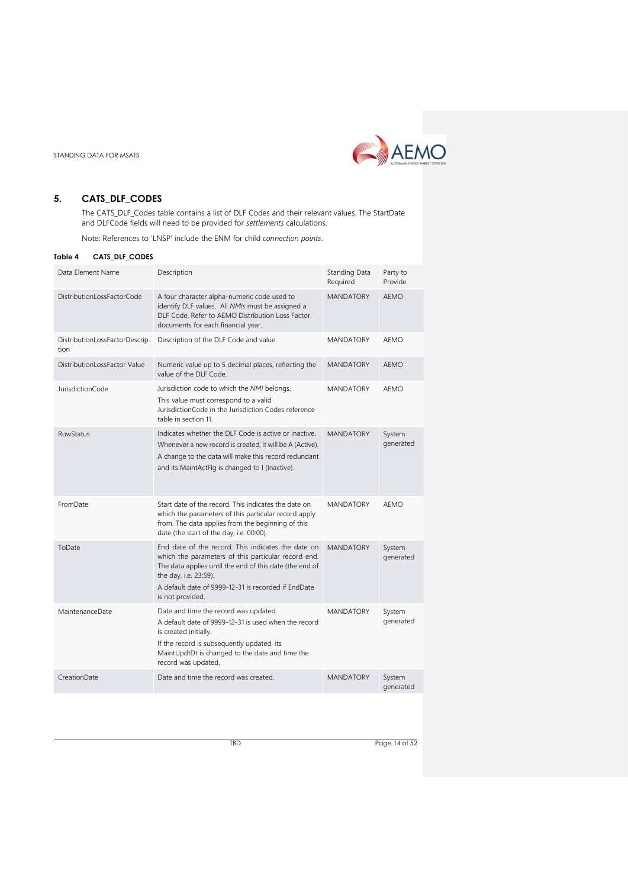

# <span id="page-13-0"></span>**5. CATS\_DLF\_CODES**

The CATS\_DLF\_Codes table contains a list of DLF Codes and their relevant values. The StartDate and DLFCode fields will need to be provided for *settlements* calculations.

Note: References to 'LNSP' include the ENM for child *connection points*.

#### <span id="page-13-1"></span>**Table 4 CATS\_DLF\_CODES**

| Data Element Name                     | Description                                                                                                                                                                                                                                                              | Standing Data<br>Required | Party to<br>Provide |
|---------------------------------------|--------------------------------------------------------------------------------------------------------------------------------------------------------------------------------------------------------------------------------------------------------------------------|---------------------------|---------------------|
| DistributionLossFactorCode            | A four character alpha-numeric code used to<br>identify DLF values. All NMIs must be assigned a<br>DLF Code. Refer to AEMO Distribution Loss Factor<br>documents for each financial year                                                                                 | <b>MANDATORY</b>          | <b>AEMO</b>         |
| DistributionLossFactorDescrip<br>tion | Description of the DLF Code and value.                                                                                                                                                                                                                                   | <b>MANDATORY</b>          | AEMO                |
| DistributionLossFactor Value          | Numeric value up to 5 decimal places, reflecting the<br>value of the DLF Code.                                                                                                                                                                                           | <b>MANDATORY</b>          | <b>AEMO</b>         |
| <b>JurisdictionCode</b>               | Jurisdiction code to which the NMI belongs.<br>This value must correspond to a valid<br>JurisdictionCode in the Jurisdiction Codes reference<br>table in section 11.                                                                                                     | <b>MANDATORY</b>          | AFMO                |
| RowStatus                             | Indicates whether the DLF Code is active or inactive.<br>Whenever a new record is created, it will be A (Active).<br>A change to the data will make this record redundant<br>and its MaintActFlg is changed to I (Inactive).                                             | <b>MANDATORY</b>          | System<br>generated |
| FromDate                              | Start date of the record. This indicates the date on<br>which the parameters of this particular record apply<br>from. The data applies from the beginning of this<br>date (the start of the day, i.e. 00:00).                                                            | <b>MANDATORY</b>          | <b>AEMO</b>         |
| ToDate                                | End date of the record. This indicates the date on<br>which the parameters of this particular record end.<br>The data applies until the end of this date (the end of<br>the day, i.e. 23:59).<br>A default date of 9999-12-31 is recorded if EndDate<br>is not provided. | <b>MANDATORY</b>          | System<br>generated |
| MaintenanceDate                       | Date and time the record was updated.<br>A default date of 9999-12-31 is used when the record<br>is created initially.<br>If the record is subsequently updated, its<br>MaintUpdtDt is changed to the date and time the<br>record was updated.                           | <b>MANDATORY</b>          | System<br>generated |
| CreationDate                          | Date and time the record was created.                                                                                                                                                                                                                                    | <b>MANDATORY</b>          | System<br>generated |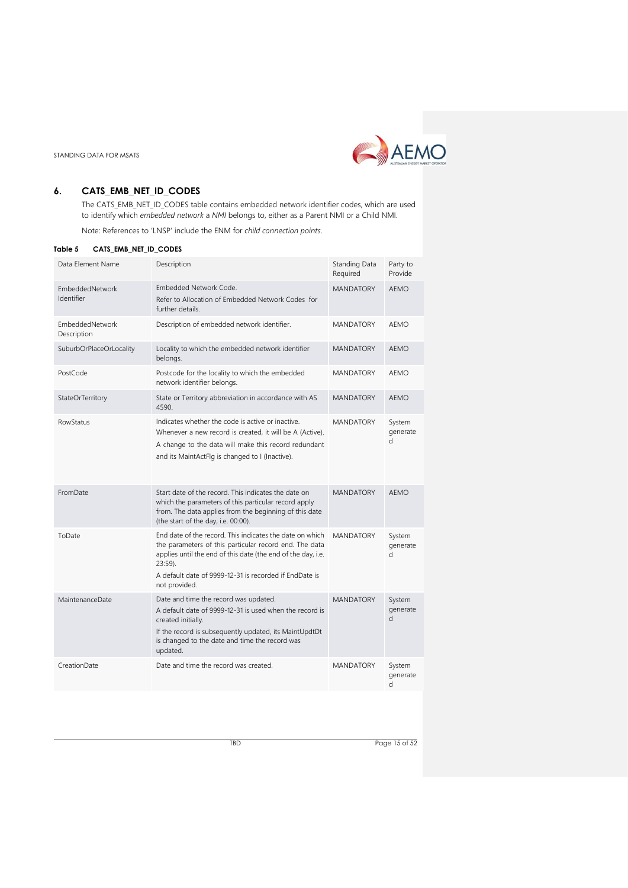

# <span id="page-14-0"></span>**6. CATS\_EMB\_NET\_ID\_CODES**

The CATS\_EMB\_NET\_ID\_CODES table contains embedded network identifier codes, which are used to identify which *embedded network* a *NMI* belongs to, either as a Parent NMI or a Child NMI.

Note: References to 'LNSP' include the ENM for *child connection points*.

<span id="page-14-1"></span>

| Table 5 |  |  |  |  | CATS EMB NET ID CODES |
|---------|--|--|--|--|-----------------------|
|---------|--|--|--|--|-----------------------|

| Data Element Name              | Description                                                                                                                                                                                                                                                                 | Standing Data<br>Required | Party to<br>Provide      |
|--------------------------------|-----------------------------------------------------------------------------------------------------------------------------------------------------------------------------------------------------------------------------------------------------------------------------|---------------------------|--------------------------|
| EmbeddedNetwork<br>Identifier  | Embedded Network Code.<br>Refer to Allocation of Embedded Network Codes for<br>further details.                                                                                                                                                                             | <b>MANDATORY</b>          | AEMO                     |
| EmbeddedNetwork<br>Description | Description of embedded network identifier.                                                                                                                                                                                                                                 | <b>MANDATORY</b>          | AFMO                     |
| SuburbOrPlaceOrLocality        | Locality to which the embedded network identifier<br>belongs.                                                                                                                                                                                                               | <b>MANDATORY</b>          | <b>AEMO</b>              |
| PostCode                       | Postcode for the locality to which the embedded<br>network identifier belongs.                                                                                                                                                                                              | <b>MANDATORY</b>          | AFMO                     |
| StateOrTerritory               | State or Territory abbreviation in accordance with AS<br>4590.                                                                                                                                                                                                              | <b>MANDATORY</b>          | <b>AEMO</b>              |
| <b>RowStatus</b>               | Indicates whether the code is active or inactive.<br>Whenever a new record is created, it will be A (Active).<br>A change to the data will make this record redundant<br>and its MaintActFlg is changed to I (Inactive).                                                    | <b>MANDATORY</b>          | System<br>generate<br>d. |
| FromDate                       | Start date of the record. This indicates the date on<br>which the parameters of this particular record apply<br>from. The data applies from the beginning of this date<br>(the start of the day, i.e. 00:00).                                                               | <b>MANDATORY</b>          | AEMO                     |
| ToDate                         | End date of the record. This indicates the date on which<br>the parameters of this particular record end. The data<br>applies until the end of this date (the end of the day, i.e.<br>$23:59$ ).<br>A default date of 9999-12-31 is recorded if EndDate is<br>not provided. | <b>MANDATORY</b>          | System<br>generate<br>d  |
| MaintenanceDate                | Date and time the record was updated.<br>A default date of 9999-12-31 is used when the record is<br>created initially.<br>If the record is subsequently updated, its MaintUpdtDt<br>is changed to the date and time the record was<br>updated.                              | <b>MANDATORY</b>          | System<br>generate<br>d  |
| CreationDate                   | Date and time the record was created.                                                                                                                                                                                                                                       | <b>MANDATORY</b>          | System<br>generate<br>d  |

TBD Page 15 of 52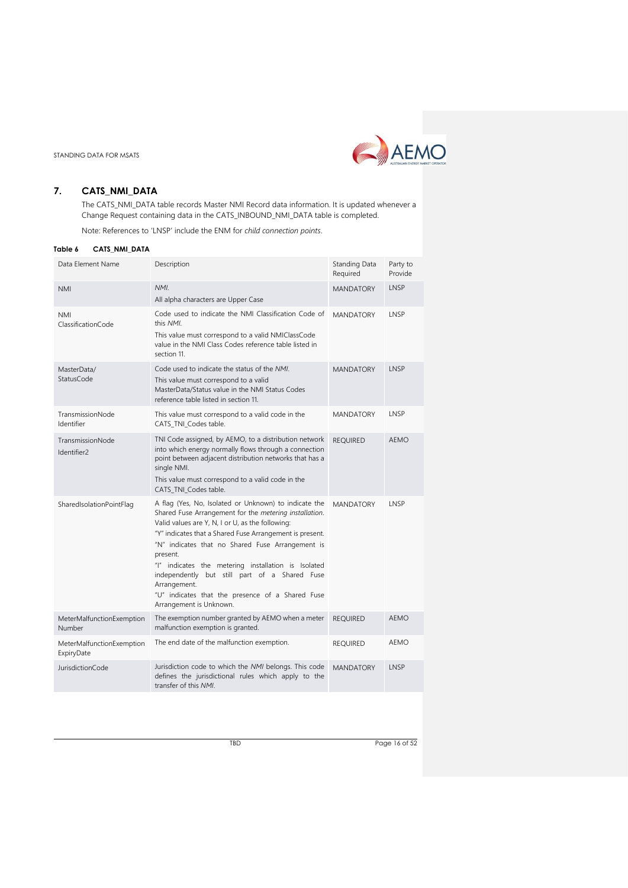

# <span id="page-15-0"></span>**7. CATS\_NMI\_DATA**

The CATS\_NMI\_DATA table records Master NMI Record data information. It is updated whenever a Change Request containing data in the CATS\_INBOUND\_NMI\_DATA table is completed.

Note: References to 'LNSP' include the ENM for *child connection points*.

<span id="page-15-1"></span>

| Table 6<br>CATS_NMI_DATA                |                                                                                                                                                                                                                                                                                                                                                                                                                                                                                                        |                           |                     |
|-----------------------------------------|--------------------------------------------------------------------------------------------------------------------------------------------------------------------------------------------------------------------------------------------------------------------------------------------------------------------------------------------------------------------------------------------------------------------------------------------------------------------------------------------------------|---------------------------|---------------------|
| Data Element Name                       | Description                                                                                                                                                                                                                                                                                                                                                                                                                                                                                            | Standing Data<br>Required | Party to<br>Provide |
| <b>NMI</b>                              | NMI.<br>All alpha characters are Upper Case                                                                                                                                                                                                                                                                                                                                                                                                                                                            | <b>MANDATORY</b>          | LNSP                |
| <b>NMI</b><br>ClassificationCode        | Code used to indicate the NMI Classification Code of<br>this NMI.<br>This value must correspond to a valid NMIClassCode<br>value in the NMI Class Codes reference table listed in<br>section 11.                                                                                                                                                                                                                                                                                                       | <b>MANDATORY</b>          | LNSP                |
| MasterData/<br>StatusCode               | Code used to indicate the status of the NMI.<br>This value must correspond to a valid<br>MasterData/Status value in the NMI Status Codes<br>reference table listed in section 11.                                                                                                                                                                                                                                                                                                                      | <b>MANDATORY</b>          | LNSP                |
| TransmissionNode<br>Identifier          | This value must correspond to a valid code in the<br>CATS_TNL_Codes table.                                                                                                                                                                                                                                                                                                                                                                                                                             | <b>MANDATORY</b>          | LNSP                |
| TransmissionNode<br>Identifier2         | TNI Code assigned, by AEMO, to a distribution network<br>into which energy normally flows through a connection<br>point between adjacent distribution networks that has a<br>single NMI.<br>This value must correspond to a valid code in the<br>CATS_TNI_Codes table.                                                                                                                                                                                                                                 | <b>REQUIRED</b>           | AEMO                |
| SharedIsolationPointFlag                | A flag (Yes, No, Isolated or Unknown) to indicate the<br>Shared Fuse Arrangement for the metering installation.<br>Valid values are Y, N, I or U, as the following:<br>"Y" indicates that a Shared Fuse Arrangement is present.<br>"N" indicates that no Shared Fuse Arrangement is<br>present.<br>"I" indicates the metering installation is Isolated<br>independently but still part of a Shared Fuse<br>Arrangement.<br>"U" indicates that the presence of a Shared Fuse<br>Arrangement is Unknown. | <b>MANDATORY</b>          | LNSP                |
| MeterMalfunctionExemption<br>Number     | The exemption number granted by AEMO when a meter<br>malfunction exemption is granted.                                                                                                                                                                                                                                                                                                                                                                                                                 | <b>REQUIRED</b>           | AEMO                |
| MeterMalfunctionExemption<br>ExpiryDate | The end date of the malfunction exemption.                                                                                                                                                                                                                                                                                                                                                                                                                                                             | <b>REQUIRED</b>           | AEMO                |
| JurisdictionCode                        | Jurisdiction code to which the NMI belongs. This code<br>defines the jurisdictional rules which apply to the<br>transfer of this NMI.                                                                                                                                                                                                                                                                                                                                                                  | <b>MANDATORY</b>          | LNSP                |

TBD Page 16 of 52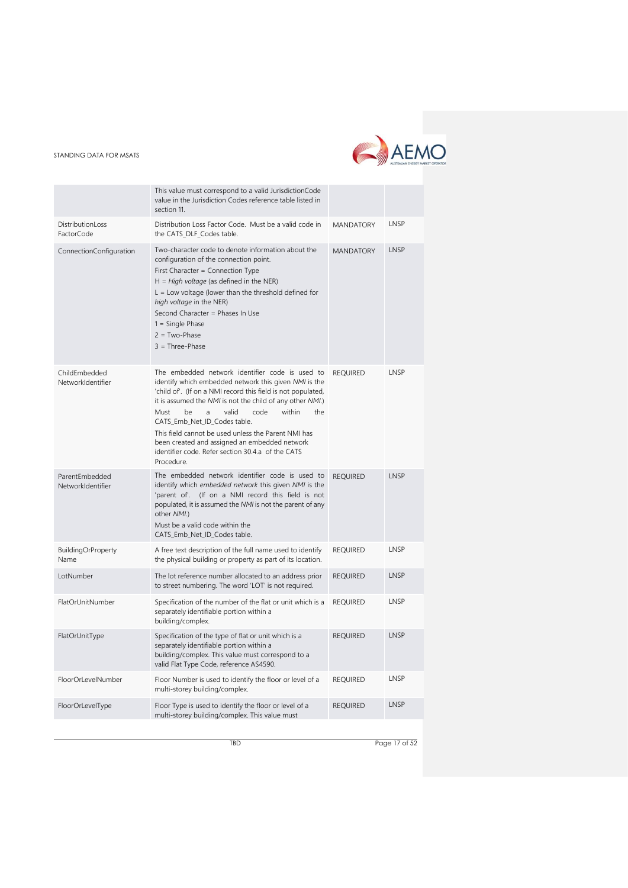

|                                     | This value must correspond to a valid JurisdictionCode<br>value in the Jurisdiction Codes reference table listed in<br>section 11.                                                                                                                                                                                                                                                                                                                                                                    |                  |      |
|-------------------------------------|-------------------------------------------------------------------------------------------------------------------------------------------------------------------------------------------------------------------------------------------------------------------------------------------------------------------------------------------------------------------------------------------------------------------------------------------------------------------------------------------------------|------------------|------|
| DistributionLoss<br>FactorCode      | Distribution Loss Factor Code. Must be a valid code in<br>the CATS_DLF_Codes table.                                                                                                                                                                                                                                                                                                                                                                                                                   | <b>MANDATORY</b> | LNSP |
| ConnectionConfiguration             | Two-character code to denote information about the<br>configuration of the connection point.<br>First Character = Connection Type<br>$H = High voltage$ (as defined in the NER)<br>$L =$ Low voltage (lower than the threshold defined for<br>high voltage in the NER)<br>Second Character = Phases In Use<br>$1 =$ Single Phase<br>$2 = Two-Phase$<br>$3 = Three-Phase$                                                                                                                              | <b>MANDATORY</b> | LNSP |
| ChildEmbedded<br>NetworkIdentifier  | The embedded network identifier code is used to<br>identify which embedded network this given NMI is the<br>'child of'. (If on a NMI record this field is not populated,<br>it is assumed the NMI is not the child of any other NMI.)<br>Must<br>be<br>a<br>valid<br>code<br>within<br>the<br>CATS_Emb_Net_ID_Codes table.<br>This field cannot be used unless the Parent NMI has<br>been created and assigned an embedded network<br>identifier code. Refer section 30.4.a of the CATS<br>Procedure. | <b>REQUIRED</b>  | LNSP |
| ParentEmbedded<br>NetworkIdentifier | The embedded network identifier code is used to<br>identify which embedded network this given NMI is the<br>(If on a NMI record this field is not<br>'parent of'.<br>populated, it is assumed the NMI is not the parent of any<br>other NMI.)<br>Must be a valid code within the<br>CATS_Emb_Net_ID_Codes table.                                                                                                                                                                                      | <b>REQUIRED</b>  | LNSP |
| <b>BuildingOrProperty</b><br>Name   | A free text description of the full name used to identify<br>the physical building or property as part of its location.                                                                                                                                                                                                                                                                                                                                                                               | <b>REQUIRED</b>  | LNSP |
| LotNumber                           | The lot reference number allocated to an address prior<br>to street numbering. The word 'LOT' is not required.                                                                                                                                                                                                                                                                                                                                                                                        | <b>REQUIRED</b>  | LNSP |
| FlatOrUnitNumber                    | Specification of the number of the flat or unit which is a<br>separately identifiable portion within a<br>building/complex.                                                                                                                                                                                                                                                                                                                                                                           | <b>REQUIRED</b>  | LNSP |
| FlatOrUnitType                      | Specification of the type of flat or unit which is a<br>separately identifiable portion within a<br>building/complex. This value must correspond to a<br>valid Flat Type Code, reference AS4590.                                                                                                                                                                                                                                                                                                      | <b>REQUIRED</b>  | LNSP |
| FloorOrLevelNumber                  | Floor Number is used to identify the floor or level of a<br>multi-storey building/complex.                                                                                                                                                                                                                                                                                                                                                                                                            | <b>REQUIRED</b>  | LNSP |
| FloorOrLevelType                    | Floor Type is used to identify the floor or level of a<br>multi-storey building/complex. This value must                                                                                                                                                                                                                                                                                                                                                                                              | <b>REQUIRED</b>  | LNSP |

TBD Page 17 of 52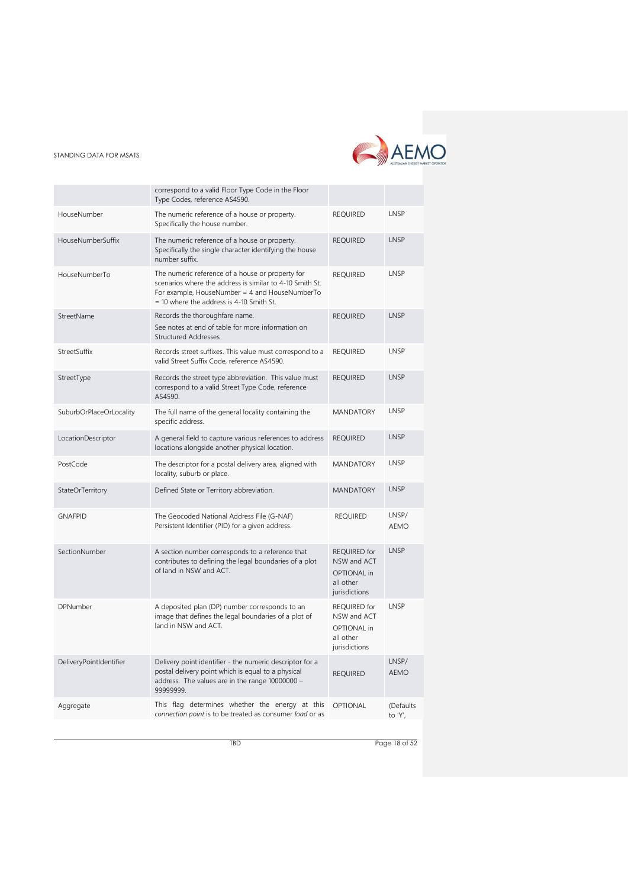

|                         | correspond to a valid Floor Type Code in the Floor<br>Type Codes, reference AS4590.                                                                                                                          |                                                                                 |                      |
|-------------------------|--------------------------------------------------------------------------------------------------------------------------------------------------------------------------------------------------------------|---------------------------------------------------------------------------------|----------------------|
| HouseNumber             | The numeric reference of a house or property.<br>Specifically the house number.                                                                                                                              | <b>REQUIRED</b>                                                                 | LNSP                 |
| HouseNumberSuffix       | The numeric reference of a house or property.<br>Specifically the single character identifying the house<br>number suffix.                                                                                   | <b>REQUIRED</b>                                                                 | LNSP                 |
| HouseNumberTo           | The numeric reference of a house or property for<br>scenarios where the address is similar to 4-10 Smith St.<br>For example, HouseNumber = 4 and HouseNumberTo<br>$=$ 10 where the address is 4-10 Smith St. | <b>REQUIRED</b>                                                                 | LNSP                 |
| StreetName              | Records the thoroughfare name.<br>See notes at end of table for more information on<br><b>Structured Addresses</b>                                                                                           | <b>REQUIRED</b>                                                                 | LNSP                 |
| StreetSuffix            | Records street suffixes. This value must correspond to a<br>valid Street Suffix Code, reference AS4590.                                                                                                      | <b>REQUIRED</b>                                                                 | LNSP                 |
| StreetType              | Records the street type abbreviation. This value must<br>correspond to a valid Street Type Code, reference<br>AS4590.                                                                                        | <b>REQUIRED</b>                                                                 | LNSP                 |
| SuburbOrPlaceOrLocality | The full name of the general locality containing the<br>specific address.                                                                                                                                    | <b>MANDATORY</b>                                                                | LNSP                 |
| LocationDescriptor      | A general field to capture various references to address<br>locations alongside another physical location.                                                                                                   | <b>REQUIRED</b>                                                                 | LNSP                 |
| PostCode                | The descriptor for a postal delivery area, aligned with<br>locality, suburb or place.                                                                                                                        | <b>MANDATORY</b>                                                                | LNSP                 |
| StateOrTerritory        | Defined State or Territory abbreviation.                                                                                                                                                                     | <b>MANDATORY</b>                                                                | LNSP                 |
| <b>GNAFPID</b>          | The Geocoded National Address File (G-NAF)<br>Persistent Identifier (PID) for a given address.                                                                                                               | <b>REQUIRED</b>                                                                 | LNSP/<br>AEMO        |
| SectionNumber           | A section number corresponds to a reference that<br>contributes to defining the legal boundaries of a plot<br>of land in NSW and ACT.                                                                        | <b>REQUIRED</b> for<br>NSW and ACT<br>OPTIONAL in<br>all other<br>jurisdictions | LNSP                 |
| DPNumber                | A deposited plan (DP) number corresponds to an<br>image that defines the legal boundaries of a plot of<br>land in NSW and ACT.                                                                               | REQUIRED for<br>NSW and ACT<br>OPTIONAL in<br>all other<br>jurisdictions        | LNSP                 |
| DeliveryPointIdentifier | Delivery point identifier - the numeric descriptor for a<br>postal delivery point which is equal to a physical<br>address. The values are in the range 10000000 -<br>99999999.                               | <b>REQUIRED</b>                                                                 | LNSP/<br><b>AEMO</b> |
| Aggregate               | This flag determines whether the energy at this<br>connection point is to be treated as consumer load or as                                                                                                  | <b>OPTIONAL</b>                                                                 | (Defaults<br>to 'Y', |

TBD Page 18 of 52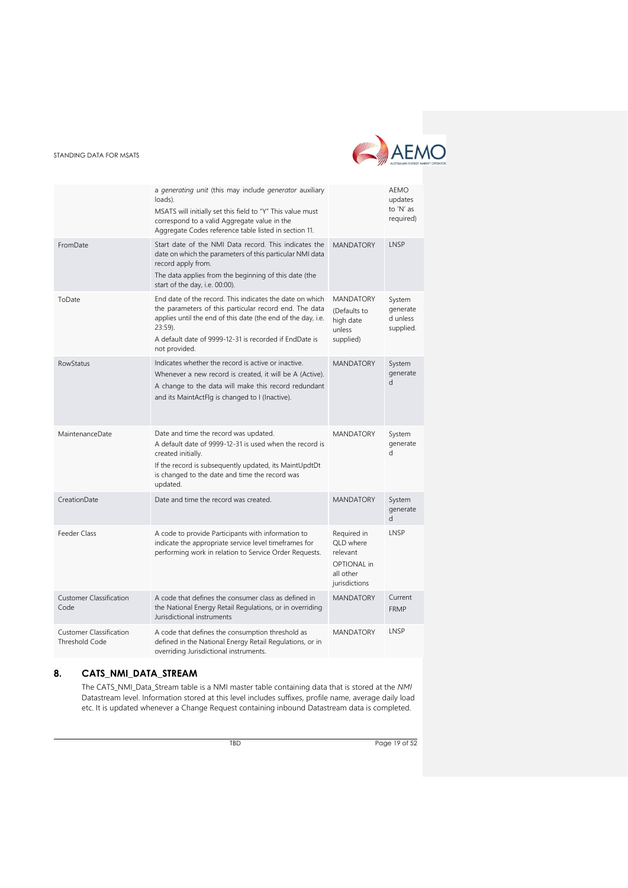

|                                                         | a generating unit (this may include generator auxiliary<br>loads).<br>MSATS will initially set this field to "Y" This value must<br>correspond to a valid Aggregate value in the<br>Aggregate Codes reference table listed in section 11.                                   |                                                                                          | <b>AEMO</b><br>updates<br>to 'N' as<br>required) |
|---------------------------------------------------------|-----------------------------------------------------------------------------------------------------------------------------------------------------------------------------------------------------------------------------------------------------------------------------|------------------------------------------------------------------------------------------|--------------------------------------------------|
| FromDate                                                | Start date of the NMI Data record. This indicates the<br>date on which the parameters of this particular NMI data<br>record apply from.<br>The data applies from the beginning of this date (the<br>start of the day, i.e. 00:00).                                          | <b>MANDATORY</b>                                                                         | LNSP                                             |
| ToDate                                                  | End date of the record. This indicates the date on which<br>the parameters of this particular record end. The data<br>applies until the end of this date (the end of the day, i.e.<br>$23:59$ ).<br>A default date of 9999-12-31 is recorded if EndDate is<br>not provided. | <b>MANDATORY</b><br>(Defaults to<br>high date<br>unless<br>supplied)                     | System<br>generate<br>d unless<br>supplied.      |
| <b>RowStatus</b>                                        | Indicates whether the record is active or inactive.<br>Whenever a new record is created, it will be A (Active).<br>A change to the data will make this record redundant<br>and its MaintActFlg is changed to I (Inactive).                                                  | <b>MANDATORY</b>                                                                         | System<br>generate<br>d                          |
| MaintenanceDate                                         | Date and time the record was updated.<br>A default date of 9999-12-31 is used when the record is<br>created initially.<br>If the record is subsequently updated, its MaintUpdtDt<br>is changed to the date and time the record was<br>updated.                              | <b>MANDATORY</b>                                                                         | System<br>generate<br>$\mathsf{d}$               |
| CreationDate                                            | Date and time the record was created.                                                                                                                                                                                                                                       | <b>MANDATORY</b>                                                                         | System<br>generate<br>d                          |
| Feeder Class                                            | A code to provide Participants with information to<br>indicate the appropriate service level timeframes for<br>performing work in relation to Service Order Requests.                                                                                                       | Required in<br>QLD where<br>relevant<br><b>OPTIONAL</b> in<br>all other<br>jurisdictions | LNSP                                             |
| <b>Customer Classification</b><br>Code                  | A code that defines the consumer class as defined in<br>the National Energy Retail Regulations, or in overriding<br>Jurisdictional instruments                                                                                                                              | <b>MANDATORY</b>                                                                         | Current<br><b>FRMP</b>                           |
| <b>Customer Classification</b><br><b>Threshold Code</b> | A code that defines the consumption threshold as<br>defined in the National Energy Retail Regulations, or in<br>overriding Jurisdictional instruments.                                                                                                                      | <b>MANDATORY</b>                                                                         | LNSP                                             |

# <span id="page-18-0"></span>**8. CATS\_NMI\_DATA\_STREAM**

The CATS\_NMI\_Data\_Stream table is a NMI master table containing data that is stored at the *NMI* Datastream level. Information stored at this level includes suffixes, profile name, average daily load etc. It is updated whenever a Change Request containing inbound Datastream data is completed.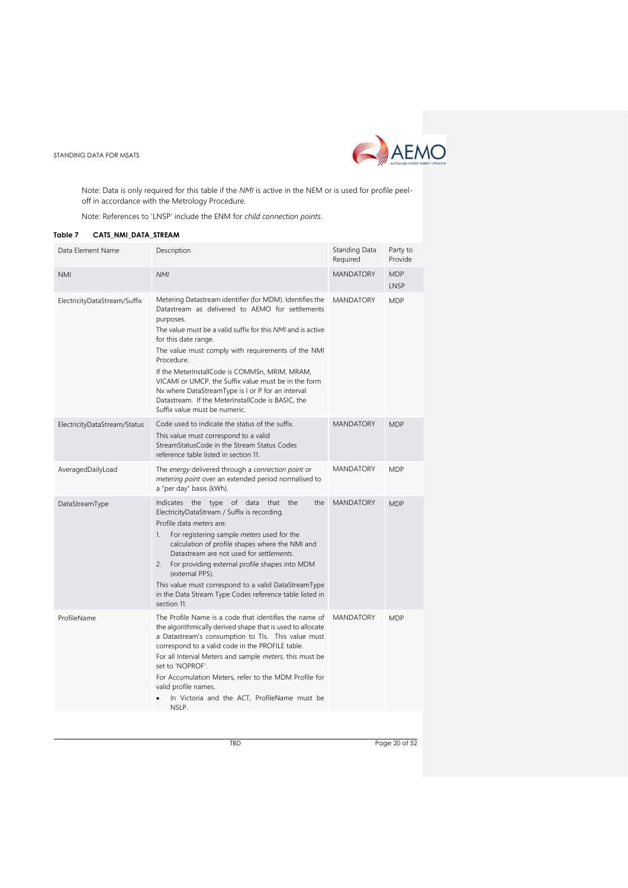

Note: Data is only required for this table if the *NMI* is active in the NEM or is used for profile peeloff in accordance with the Metrology Procedure.

Note: References to 'LNSP' include the ENM for *child connection points*.

# <span id="page-19-0"></span>**Table 7 CATS\_NMI\_DATA\_STREAM**

| Data Element Name            | Description                                                                                                                                                                                                                                                                                                                                                                                                                                                                                                                              | Standing Data<br>Required | Party to<br>Provide |
|------------------------------|------------------------------------------------------------------------------------------------------------------------------------------------------------------------------------------------------------------------------------------------------------------------------------------------------------------------------------------------------------------------------------------------------------------------------------------------------------------------------------------------------------------------------------------|---------------------------|---------------------|
| <b>NMI</b>                   | <b>NMI</b>                                                                                                                                                                                                                                                                                                                                                                                                                                                                                                                               | <b>MANDATORY</b>          | <b>MDP</b><br>LNSP  |
| ElectricityDataStream/Suffix | Metering Datastream identifier (for MDM). Identifies the<br>Datastream as delivered to AEMO for settlements<br>purposes.<br>The value must be a valid suffix for this NMI and is active<br>for this date range.<br>The value must comply with requirements of the NMI<br>Procedure.<br>If the MeterInstallCode is COMMSn, MRIM, MRAM,<br>VICAMI or UMCP, the Suffix value must be in the form<br>Nx where DataStreamType is I or P for an interval<br>Datastream. If the MeterInstallCode is BASIC, the<br>Suffix value must be numeric. | <b>MANDATORY</b>          | <b>MDP</b>          |
| ElectricityDataStream/Status | Code used to indicate the status of the suffix.<br>This value must correspond to a valid<br>StreamStatusCode in the Stream Status Codes<br>reference table listed in section 11.                                                                                                                                                                                                                                                                                                                                                         | <b>MANDATORY</b>          | <b>MDP</b>          |
| AveragedDailyLoad            | The energy delivered through a connection point or<br>metering point over an extended period normalised to<br>a "per day" basis (kWh).                                                                                                                                                                                                                                                                                                                                                                                                   | MANDATORY                 | <b>MDP</b>          |
| DataStreamType               | Indicates the type of data<br>that<br>the<br>the<br>ElectricityDataStream / Suffix is recording.<br>Profile data meters are:<br>For registering sample <i>meters</i> used for the<br>1.<br>calculation of profile shapes where the NMI and<br>Datastream are not used for settlements.<br>2.<br>For providing external profile shapes into MDM<br>(external PPS).<br>This value must correspond to a valid DataStreamType<br>in the Data Stream Type Codes reference table listed in<br>section 11.                                      | <b>MANDATORY</b>          | <b>MDP</b>          |
| ProfileName                  | The Profile Name is a code that identifies the name of<br>the algorithmically derived shape that is used to allocate<br>a Datastream's consumption to TIs. This value must<br>correspond to a valid code in the PROFILE table.<br>For all Interval Meters and sample meters, this must be<br>set to 'NOPROF'.<br>For Accumulation Meters, refer to the MDM Profile for<br>valid profile names.<br>In Victoria and the ACT, ProfileName must be<br>NSLP.                                                                                  | <b>MANDATORY</b>          | <b>MDP</b>          |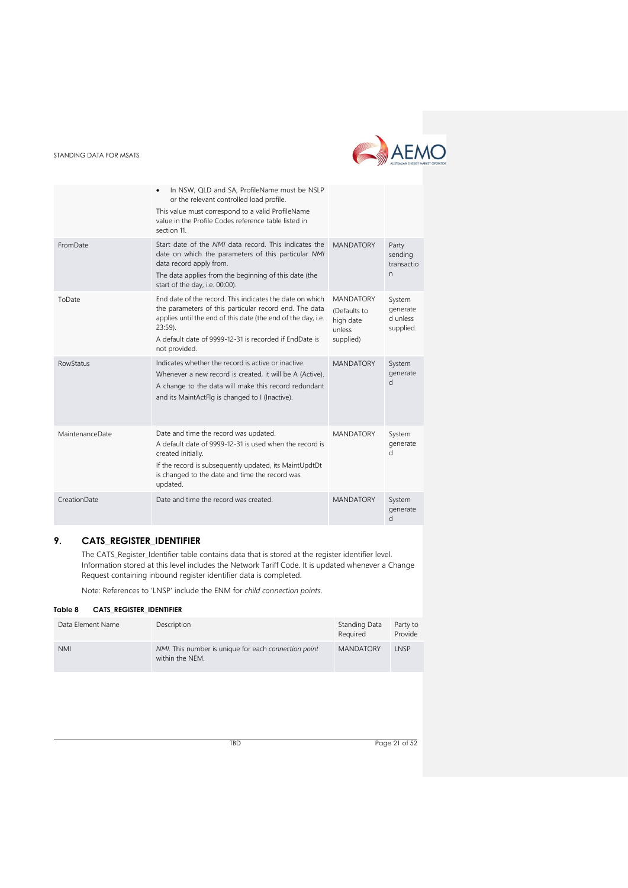# AEMO

#### STANDING DATA FOR MSATS

|                  | In NSW, QLD and SA, ProfileName must be NSLP<br>or the relevant controlled load profile.<br>This value must correspond to a valid ProfileName<br>value in the Profile Codes reference table listed in<br>section 11.                                                        |                                                                      |                                             |
|------------------|-----------------------------------------------------------------------------------------------------------------------------------------------------------------------------------------------------------------------------------------------------------------------------|----------------------------------------------------------------------|---------------------------------------------|
| FromDate         | Start date of the NMI data record. This indicates the<br>date on which the parameters of this particular NMI<br>data record apply from.<br>The data applies from the beginning of this date (the<br>start of the day, i.e. 00:00).                                          | <b>MANDATORY</b>                                                     | Party<br>sending<br>transactio<br>n.        |
| ToDate           | End date of the record. This indicates the date on which<br>the parameters of this particular record end. The data<br>applies until the end of this date (the end of the day, i.e.<br>$23:59$ ).<br>A default date of 9999-12-31 is recorded if EndDate is<br>not provided. | <b>MANDATORY</b><br>(Defaults to<br>high date<br>unless<br>supplied) | System<br>generate<br>d unless<br>supplied. |
| <b>RowStatus</b> | Indicates whether the record is active or inactive.<br>Whenever a new record is created, it will be A (Active).<br>A change to the data will make this record redundant<br>and its MaintActFlg is changed to I (Inactive).                                                  | <b>MANDATORY</b>                                                     | System<br>generate<br>d                     |
| MaintenanceDate  | Date and time the record was updated.<br>A default date of 9999-12-31 is used when the record is<br>created initially.<br>If the record is subsequently updated, its MaintUpdtDt<br>is changed to the date and time the record was<br>updated.                              | <b>MANDATORY</b>                                                     | System<br>generate<br>d                     |
| CreationDate     | Date and time the record was created.                                                                                                                                                                                                                                       | <b>MANDATORY</b>                                                     | System<br>generate<br>d                     |

# <span id="page-20-0"></span>**9. CATS\_REGISTER\_IDENTIFIER**

The CATS\_Register\_Identifier table contains data that is stored at the register identifier level. Information stored at this level includes the Network Tariff Code. It is updated whenever a Change Request containing inbound register identifier data is completed.

Note: References to 'LNSP' include the ENM for *child connection points*.

#### <span id="page-20-1"></span>**Table 8 CATS\_REGISTER\_IDENTIFIER**

| Data Element Name | Description                                                             | Standing Data<br>Required | Party to<br>Provide |
|-------------------|-------------------------------------------------------------------------|---------------------------|---------------------|
| <b>NMI</b>        | NMI. This number is unique for each connection point<br>within the NEM. | <b>MANDATORY</b>          | LNSP                |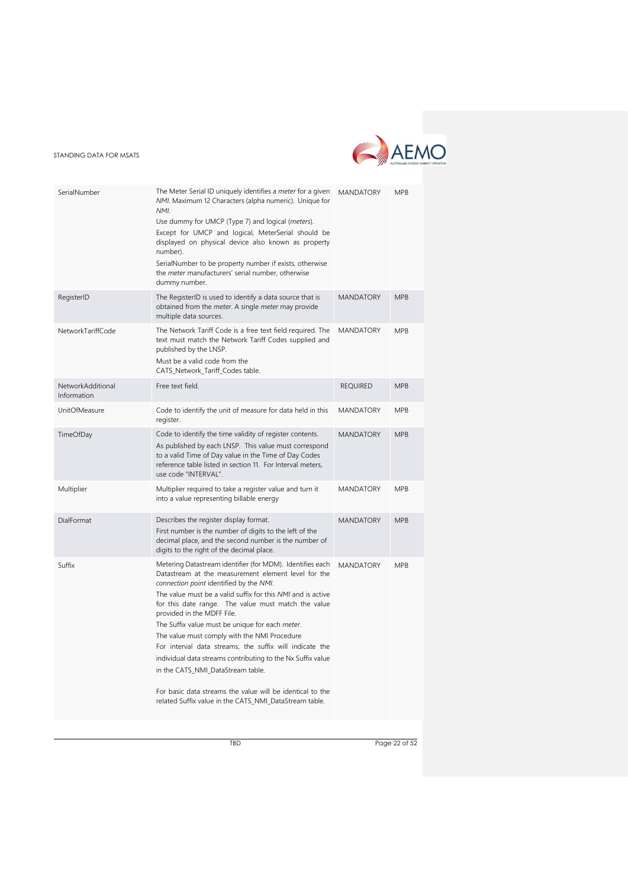

| SerialNumber                     | The Meter Serial ID uniquely identifies a <i>meter</i> for a given<br>NMI. Maximum 12 Characters (alpha numeric). Unique for<br>NMI.<br>Use dummy for UMCP (Type 7) and logical (meters).<br>Except for UMCP and logical, MeterSerial should be<br>displayed on physical device also known as property<br>number).<br>SerialNumber to be property number if exists, otherwise<br>the meter manufacturers' serial number, otherwise<br>dummy number.                                                                                                                                                                                                                                                      | <b>MANDATORY</b> | <b>MPB</b> |
|----------------------------------|----------------------------------------------------------------------------------------------------------------------------------------------------------------------------------------------------------------------------------------------------------------------------------------------------------------------------------------------------------------------------------------------------------------------------------------------------------------------------------------------------------------------------------------------------------------------------------------------------------------------------------------------------------------------------------------------------------|------------------|------------|
| RegisterID                       | The RegisterID is used to identify a data source that is<br>obtained from the <i>meter</i> . A single <i>meter</i> may provide<br>multiple data sources.                                                                                                                                                                                                                                                                                                                                                                                                                                                                                                                                                 | <b>MANDATORY</b> | <b>MPB</b> |
| NetworkTariffCode                | The Network Tariff Code is a free text field required. The<br>text must match the Network Tariff Codes supplied and<br>published by the LNSP.<br>Must be a valid code from the<br>CATS_Network_Tariff_Codes table.                                                                                                                                                                                                                                                                                                                                                                                                                                                                                       | <b>MANDATORY</b> | <b>MPB</b> |
| NetworkAdditional<br>Information | Free text field.                                                                                                                                                                                                                                                                                                                                                                                                                                                                                                                                                                                                                                                                                         | <b>REQUIRED</b>  | <b>MPB</b> |
| UnitOfMeasure                    | Code to identify the unit of measure for data held in this<br>register.                                                                                                                                                                                                                                                                                                                                                                                                                                                                                                                                                                                                                                  | <b>MANDATORY</b> | <b>MPB</b> |
| TimeOfDay                        | Code to identify the time validity of register contents.<br>As published by each LNSP. This value must correspond<br>to a valid Time of Day value in the Time of Day Codes<br>reference table listed in section 11. For Interval meters,<br>use code "INTERVAL".                                                                                                                                                                                                                                                                                                                                                                                                                                         | <b>MANDATORY</b> | <b>MPB</b> |
| Multiplier                       | Multiplier required to take a register value and turn it<br>into a value representing billable energy                                                                                                                                                                                                                                                                                                                                                                                                                                                                                                                                                                                                    | <b>MANDATORY</b> | <b>MPB</b> |
| DialFormat                       | Describes the register display format.<br>First number is the number of digits to the left of the<br>decimal place, and the second number is the number of<br>digits to the right of the decimal place.                                                                                                                                                                                                                                                                                                                                                                                                                                                                                                  | <b>MANDATORY</b> | <b>MPB</b> |
| Suffix                           | Metering Datastream identifier (for MDM). Identifies each<br>Datastream at the measurement element level for the<br>connection point identified by the NMI.<br>The value must be a valid suffix for this NMI and is active<br>for this date range. The value must match the value<br>provided in the MDFF File.<br>The Suffix value must be unique for each meter.<br>The value must comply with the NMI Procedure<br>For interval data streams, the suffix will indicate the<br>individual data streams contributing to the Nx Suffix value<br>in the CATS_NMI_DataStream table.<br>For basic data streams the value will be identical to the<br>related Suffix value in the CATS_NMI_DataStream table. | <b>MANDATORY</b> | <b>MPB</b> |

TBD Page 22 of 52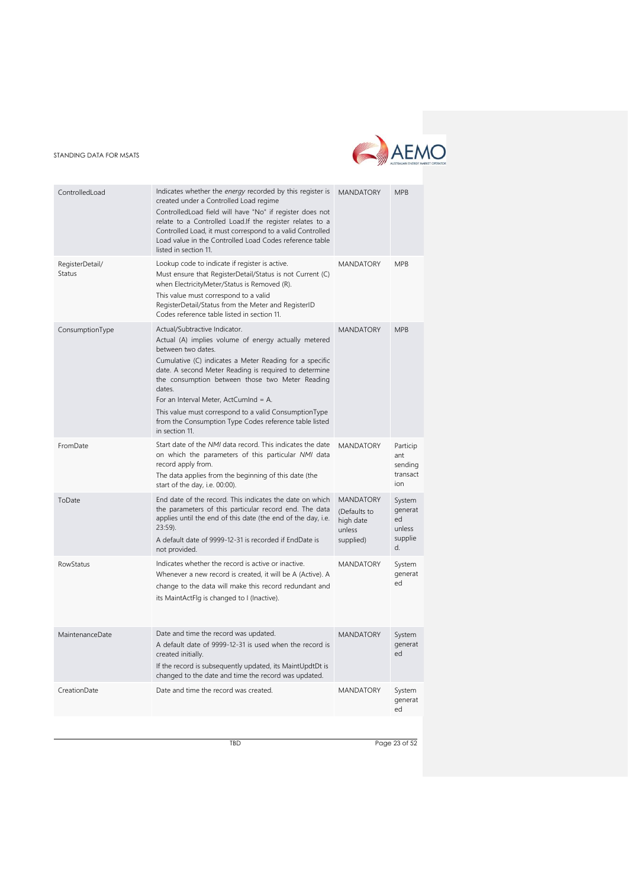

| Indicates whether the energy recorded by this register is<br>ControlledLoad<br><b>MANDATORY</b><br>created under a Controlled Load regime<br>Controlled Load field will have "No" if register does not<br>relate to a Controlled Load. If the register relates to a<br>Controlled Load, it must correspond to a valid Controlled<br>Load value in the Controlled Load Codes reference table<br>listed in section 11.<br>Lookup code to indicate if register is active.<br>RegisterDetail/<br><b>MANDATORY</b><br>Status<br>Must ensure that RegisterDetail/Status is not Current (C)<br>when ElectricityMeter/Status is Removed (R).<br>This value must correspond to a valid<br>RegisterDetail/Status from the Meter and RegisterID<br>Codes reference table listed in section 11.<br>Actual/Subtractive Indicator.<br><b>MANDATORY</b><br>ConsumptionType<br>Actual (A) implies volume of energy actually metered<br>between two dates.<br>Cumulative (C) indicates a Meter Reading for a specific<br>date. A second Meter Reading is required to determine<br>the consumption between those two Meter Reading<br>dates.<br>For an Interval Meter, ActCumInd = A.<br>This value must correspond to a valid ConsumptionType<br>from the Consumption Type Codes reference table listed<br>in section 11.<br>Start date of the NMI data record. This indicates the date<br><b>MANDATORY</b><br>FromDate<br>on which the parameters of this particular NMI data<br>ant<br>record apply from.<br>The data applies from the beginning of this date (the<br>ion<br>start of the day, i.e. 00:00).<br><b>MANDATORY</b><br>End date of the record. This indicates the date on which<br>ToDate<br>the parameters of this particular record end. The data<br>(Defaults to<br>applies until the end of this date (the end of the day, i.e.<br>ed<br>high date<br>$23:59$ ).<br>unless<br>A default date of 9999-12-31 is recorded if EndDate is<br>supplied)<br>d.<br>not provided.<br>Indicates whether the record is active or inactive.<br>RowStatus<br><b>MANDATORY</b><br>Whenever a new record is created, it will be A (Active). A<br>ed<br>change to the data will make this record redundant and<br>its MaintActFlg is changed to I (Inactive). |                                        |
|------------------------------------------------------------------------------------------------------------------------------------------------------------------------------------------------------------------------------------------------------------------------------------------------------------------------------------------------------------------------------------------------------------------------------------------------------------------------------------------------------------------------------------------------------------------------------------------------------------------------------------------------------------------------------------------------------------------------------------------------------------------------------------------------------------------------------------------------------------------------------------------------------------------------------------------------------------------------------------------------------------------------------------------------------------------------------------------------------------------------------------------------------------------------------------------------------------------------------------------------------------------------------------------------------------------------------------------------------------------------------------------------------------------------------------------------------------------------------------------------------------------------------------------------------------------------------------------------------------------------------------------------------------------------------------------------------------------------------------------------------------------------------------------------------------------------------------------------------------------------------------------------------------------------------------------------------------------------------------------------------------------------------------------------------------------------------------------------------------------------------------------------------------------------------------------------------------------------------------------------|----------------------------------------|
|                                                                                                                                                                                                                                                                                                                                                                                                                                                                                                                                                                                                                                                                                                                                                                                                                                                                                                                                                                                                                                                                                                                                                                                                                                                                                                                                                                                                                                                                                                                                                                                                                                                                                                                                                                                                                                                                                                                                                                                                                                                                                                                                                                                                                                                | <b>MPB</b>                             |
|                                                                                                                                                                                                                                                                                                                                                                                                                                                                                                                                                                                                                                                                                                                                                                                                                                                                                                                                                                                                                                                                                                                                                                                                                                                                                                                                                                                                                                                                                                                                                                                                                                                                                                                                                                                                                                                                                                                                                                                                                                                                                                                                                                                                                                                | <b>MPB</b>                             |
|                                                                                                                                                                                                                                                                                                                                                                                                                                                                                                                                                                                                                                                                                                                                                                                                                                                                                                                                                                                                                                                                                                                                                                                                                                                                                                                                                                                                                                                                                                                                                                                                                                                                                                                                                                                                                                                                                                                                                                                                                                                                                                                                                                                                                                                | <b>MPB</b>                             |
|                                                                                                                                                                                                                                                                                                                                                                                                                                                                                                                                                                                                                                                                                                                                                                                                                                                                                                                                                                                                                                                                                                                                                                                                                                                                                                                                                                                                                                                                                                                                                                                                                                                                                                                                                                                                                                                                                                                                                                                                                                                                                                                                                                                                                                                | Particip<br>sending<br>transact        |
|                                                                                                                                                                                                                                                                                                                                                                                                                                                                                                                                                                                                                                                                                                                                                                                                                                                                                                                                                                                                                                                                                                                                                                                                                                                                                                                                                                                                                                                                                                                                                                                                                                                                                                                                                                                                                                                                                                                                                                                                                                                                                                                                                                                                                                                | System<br>generat<br>unless<br>supplie |
|                                                                                                                                                                                                                                                                                                                                                                                                                                                                                                                                                                                                                                                                                                                                                                                                                                                                                                                                                                                                                                                                                                                                                                                                                                                                                                                                                                                                                                                                                                                                                                                                                                                                                                                                                                                                                                                                                                                                                                                                                                                                                                                                                                                                                                                | System<br>generat                      |
| Date and time the record was updated.<br>MaintenanceDate<br><b>MANDATORY</b><br>A default date of 9999-12-31 is used when the record is<br>ed<br>created initially.<br>If the record is subsequently updated, its MaintUpdtDt is<br>changed to the date and time the record was updated.                                                                                                                                                                                                                                                                                                                                                                                                                                                                                                                                                                                                                                                                                                                                                                                                                                                                                                                                                                                                                                                                                                                                                                                                                                                                                                                                                                                                                                                                                                                                                                                                                                                                                                                                                                                                                                                                                                                                                       | System<br>generat                      |
| Date and time the record was created.<br>CreationDate<br><b>MANDATORY</b><br>ed                                                                                                                                                                                                                                                                                                                                                                                                                                                                                                                                                                                                                                                                                                                                                                                                                                                                                                                                                                                                                                                                                                                                                                                                                                                                                                                                                                                                                                                                                                                                                                                                                                                                                                                                                                                                                                                                                                                                                                                                                                                                                                                                                                | System<br>generat                      |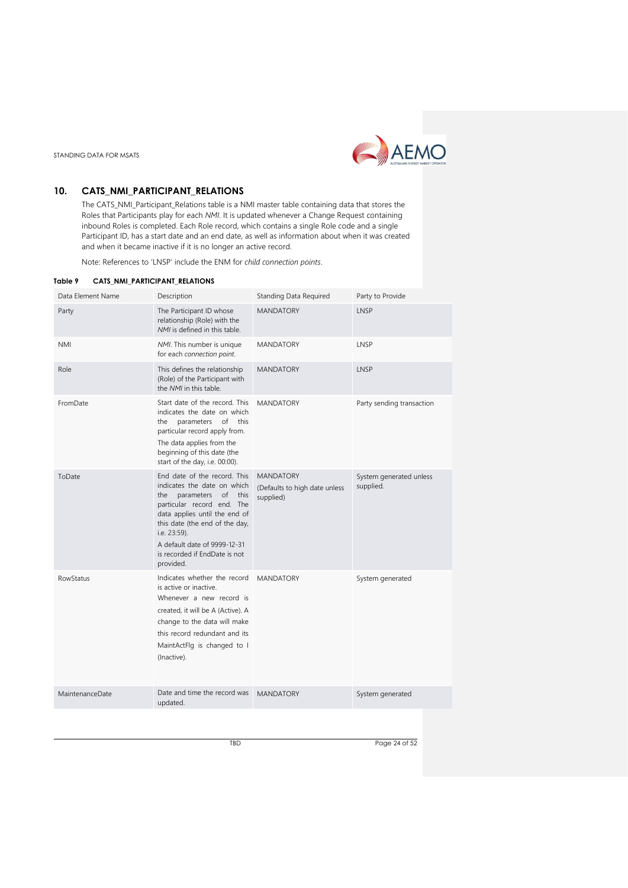

# <span id="page-23-0"></span>**10. CATS\_NMI\_PARTICIPANT\_RELATIONS**

The CATS\_NMI\_Participant\_Relations table is a NMI master table containing data that stores the Roles that Participants play for each *NMI*. It is updated whenever a Change Request containing inbound Roles is completed. Each Role record, which contains a single Role code and a single Participant ID, has a start date and an end date, as well as information about when it was created and when it became inactive if it is no longer an active record.

Note: References to 'LNSP' include the ENM for *child connection points*.

#### <span id="page-23-1"></span>**Table 9 CATS\_NMI\_PARTICIPANT\_RELATIONS**

| Data Element Name | Description                                                                                                                                                                                                                                                                                   | <b>Standing Data Required</b>                                  | Party to Provide                     |
|-------------------|-----------------------------------------------------------------------------------------------------------------------------------------------------------------------------------------------------------------------------------------------------------------------------------------------|----------------------------------------------------------------|--------------------------------------|
| Party             | The Participant ID whose<br>relationship (Role) with the<br>NMI is defined in this table.                                                                                                                                                                                                     | <b>MANDATORY</b>                                               | LNSP                                 |
| <b>NMI</b>        | NMI. This number is unique<br>for each connection point.                                                                                                                                                                                                                                      | <b>MANDATORY</b>                                               | LNSP                                 |
| Role              | This defines the relationship<br>(Role) of the Participant with<br>the NMI in this table.                                                                                                                                                                                                     | <b>MANDATORY</b>                                               | LNSP                                 |
| FromDate          | Start date of the record. This<br>indicates the date on which<br>parameters of this<br>the<br>particular record apply from.<br>The data applies from the<br>beginning of this date (the<br>start of the day, i.e. 00:00).                                                                     | <b>MANDATORY</b>                                               | Party sending transaction            |
| ToDate            | End date of the record. This<br>indicates the date on which<br>of<br>parameters<br>this<br>the<br>particular record end. The<br>data applies until the end of<br>this date (the end of the day,<br>i.e. 23:59).<br>A default date of 9999-12-31<br>is recorded if EndDate is not<br>provided. | <b>MANDATORY</b><br>(Defaults to high date unless<br>supplied) | System generated unless<br>supplied. |
| <b>RowStatus</b>  | Indicates whether the record<br>is active or inactive.<br>Whenever a new record is<br>created, it will be A (Active). A<br>change to the data will make<br>this record redundant and its<br>MaintActFlg is changed to I<br>(Inactive).                                                        | <b>MANDATORY</b>                                               | System generated                     |
| MaintenanceDate   | Date and time the record was<br>updated.                                                                                                                                                                                                                                                      | <b>MANDATORY</b>                                               | System generated                     |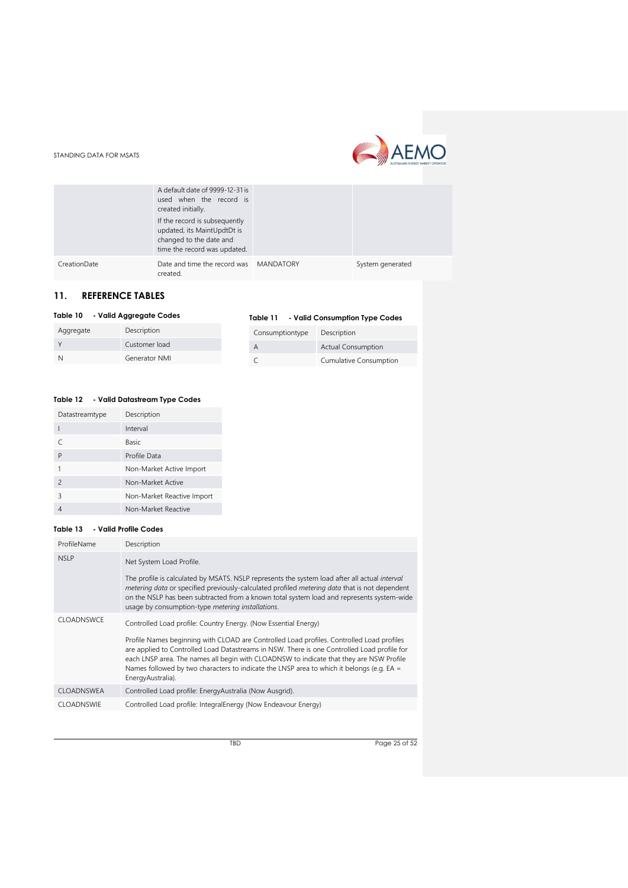



|              | A default date of 9999-12-31 is<br>used when the record is<br>created initially.<br>If the record is subsequently<br>updated, its MaintUpdtDt is<br>changed to the date and<br>time the record was updated. |                  |
|--------------|-------------------------------------------------------------------------------------------------------------------------------------------------------------------------------------------------------------|------------------|
| CreationDate | Date and time the record was MANDATORY<br>created.                                                                                                                                                          | System generated |

# <span id="page-24-0"></span>**11. REFERENCE TABLES**

Aggregate Description Y Customer load N Generator NMI

#### <span id="page-24-1"></span>**Table 10 - Valid Aggregate Codes**

<span id="page-24-2"></span>

|  | Table 11 |  | - Valid Consumption Type Codes |  |
|--|----------|--|--------------------------------|--|
|--|----------|--|--------------------------------|--|

| Consumptiontype | Description               |
|-----------------|---------------------------|
| А               | <b>Actual Consumption</b> |
|                 | Cumulative Consumption    |

#### <span id="page-24-3"></span>**Table 12 - Valid Datastream Type Codes**

| Datastreamtype | Description                |
|----------------|----------------------------|
|                | Interval                   |
|                | <b>Basic</b>               |
| P              | Profile Data               |
|                | Non-Market Active Import   |
| $\mathfrak{D}$ | Non-Market Active          |
| 3              | Non-Market Reactive Import |
|                | Non-Market Reactive        |

#### <span id="page-24-4"></span>**Table 13 - Valid Profile Codes**

| ProfileName       | Description                                                                                                                                                                                                                                                                                                                                                                                                                                                                |
|-------------------|----------------------------------------------------------------------------------------------------------------------------------------------------------------------------------------------------------------------------------------------------------------------------------------------------------------------------------------------------------------------------------------------------------------------------------------------------------------------------|
| <b>NSLP</b>       | Net System Load Profile.<br>The profile is calculated by MSATS. NSLP represents the system load after all actual <i>interval</i><br>metering data or specified previously-calculated profiled metering data that is not dependent<br>on the NSLP has been subtracted from a known total system load and represents system-wide<br>usage by consumption-type metering installations.                                                                                        |
| <b>CLOADNSWCE</b> | Controlled Load profile: Country Energy. (Now Essential Energy)<br>Profile Names beginning with CLOAD are Controlled Load profiles. Controlled Load profiles<br>are applied to Controlled Load Datastreams in NSW. There is one Controlled Load profile for<br>each LNSP area. The names all begin with CLOADNSW to indicate that they are NSW Profile<br>Names followed by two characters to indicate the LNSP area to which it belongs (e.g. $EA =$<br>EnergyAustralia). |
| <b>CLOADNSWEA</b> | Controlled Load profile: EnergyAustralia (Now Ausgrid).                                                                                                                                                                                                                                                                                                                                                                                                                    |
| <b>CLOADNSWIE</b> | Controlled Load profile: IntegralEnergy (Now Endeavour Energy)                                                                                                                                                                                                                                                                                                                                                                                                             |

TBD Page 25 of 52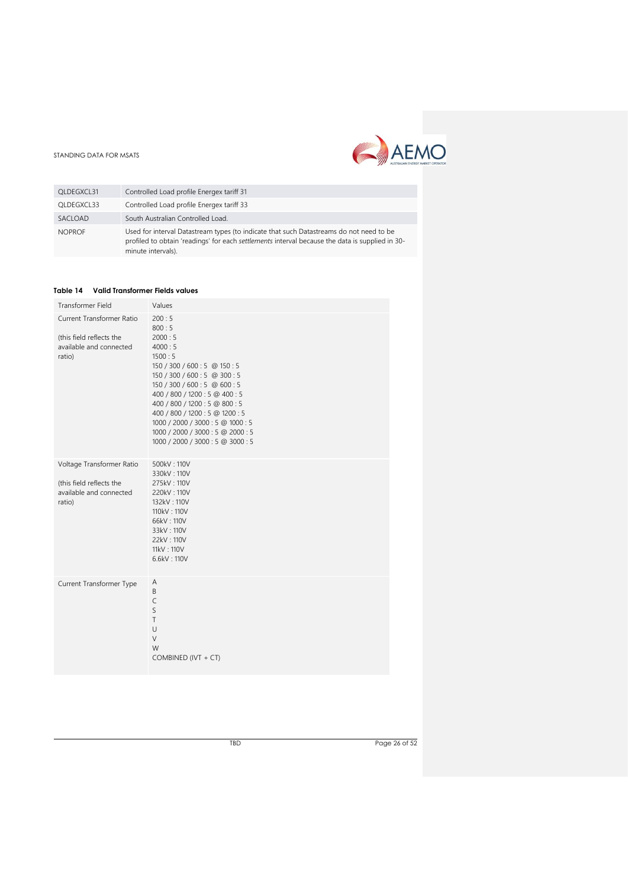

| OLDEGXCL31    | Controlled Load profile Energex tariff 31                                                                                                                                                                        |
|---------------|------------------------------------------------------------------------------------------------------------------------------------------------------------------------------------------------------------------|
| OLDEGXCL33    | Controlled Load profile Energex tariff 33                                                                                                                                                                        |
| SACLOAD       | South Australian Controlled Load.                                                                                                                                                                                |
| <b>NOPROF</b> | Used for interval Datastream types (to indicate that such Datastreams do not need to be<br>profiled to obtain 'readings' for each settlements interval because the data is supplied in 30-<br>minute intervals). |

#### <span id="page-25-0"></span>**Table 14 Valid Transformer Fields values**

| Transformer Field                                                                          | Values                                                                                                                                                                                                                                                                                                                                                                |
|--------------------------------------------------------------------------------------------|-----------------------------------------------------------------------------------------------------------------------------------------------------------------------------------------------------------------------------------------------------------------------------------------------------------------------------------------------------------------------|
| Current Transformer Ratio<br>(this field reflects the<br>available and connected<br>ratio) | 200:5<br>800:5<br>2000:5<br>4000:5<br>1500:5<br>150 / 300 / 600 : 5 @ 150 : 5<br>150 / 300 / 600 : 5 @ 300 : 5<br>150 / 300 / 600 : 5 @ 600 : 5<br>400 / 800 / 1200 : 5 @ 400 : 5<br>400 / 800 / 1200 : 5 @ 800 : 5<br>400 / 800 / 1200 : 5 @ 1200 : 5<br>1000 / 2000 / 3000 : 5 @ 1000 : 5<br>1000 / 2000 / 3000 : 5 @ 2000 : 5<br>1000 / 2000 / 3000 : 5 @ 3000 : 5 |
| Voltage Transformer Ratio<br>(this field reflects the<br>available and connected<br>ratio) | 500kV: 110V<br>330kV: 110V<br>275kV: 110V<br>220kV: 110V<br>132kV: 110V<br>110kV: 110V<br>66kV: 110V<br>33kV: 110V<br>22kV: 110V<br>11kV: 110V<br>6.6kV: 110V                                                                                                                                                                                                         |
| Current Transformer Type                                                                   | Α<br>B<br>C<br>S<br>T<br>$\cup$<br>V<br>W<br>COMBINED (IVT + CT)                                                                                                                                                                                                                                                                                                      |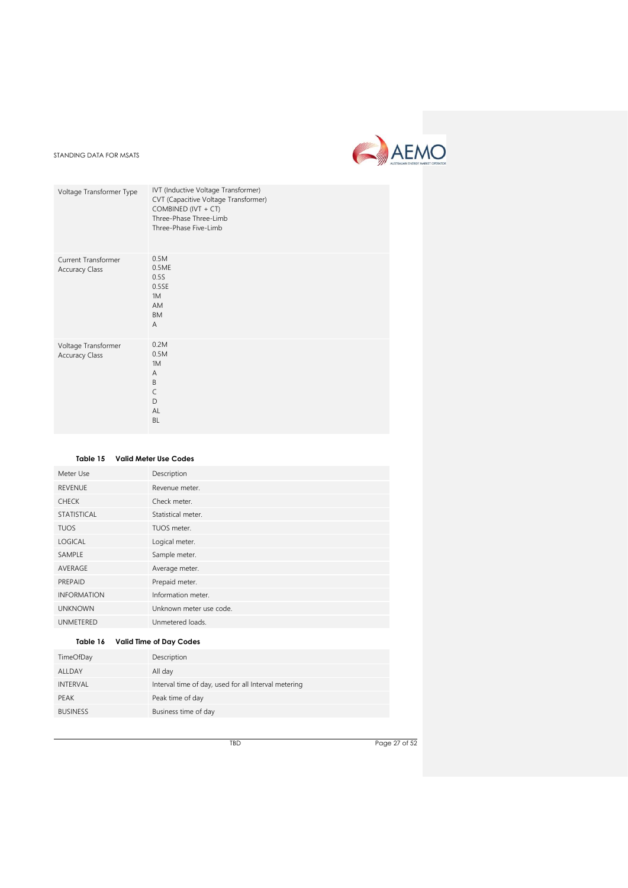

| Voltage Transformer Type                     | IVT (Inductive Voltage Transformer)<br>CVT (Capacitive Voltage Transformer)<br>COMBINED (IVT + CT)<br>Three-Phase Three-Limb<br>Three-Phase Five-Limb |
|----------------------------------------------|-------------------------------------------------------------------------------------------------------------------------------------------------------|
| Current Transformer<br><b>Accuracy Class</b> | 0.5M<br>0.5ME<br>0.5S<br>0.5SE<br>1M<br><b>AM</b><br><b>BM</b><br>$\overline{A}$                                                                      |
| Voltage Transformer<br><b>Accuracy Class</b> | 0.2M<br>0.5M<br>1M<br>$\overline{A}$<br>B<br>$\mathsf{C}$<br>D<br>AI<br><b>BL</b>                                                                     |

<span id="page-26-0"></span>

|                    | Table 15 Valid Meter Use Codes |
|--------------------|--------------------------------|
| Meter Use          | Description                    |
| <b>REVENUE</b>     | Revenue meter.                 |
| <b>CHECK</b>       | Check meter.                   |
| <b>STATISTICAL</b> | Statistical meter.             |
| <b>TUOS</b>        | TUOS meter.                    |
| <b>LOGICAL</b>     | Logical meter.                 |
| SAMPLE             | Sample meter.                  |
| AVERAGE            | Average meter.                 |
| PREPAID            | Prepaid meter.                 |
| <b>INFORMATION</b> | Information meter.             |
| <b>UNKNOWN</b>     | Unknown meter use code.        |
| UNMETERED          | Unmetered loads.               |
|                    |                                |

# <span id="page-26-1"></span>**Table 16 Valid Time of Day Codes**

| TimeOfDay       | Description                                          |
|-----------------|------------------------------------------------------|
| ALLDAY          | All day                                              |
| INTERVAL        | Interval time of day, used for all Interval metering |
| <b>PEAK</b>     | Peak time of day                                     |
| <b>BUSINESS</b> | Business time of day                                 |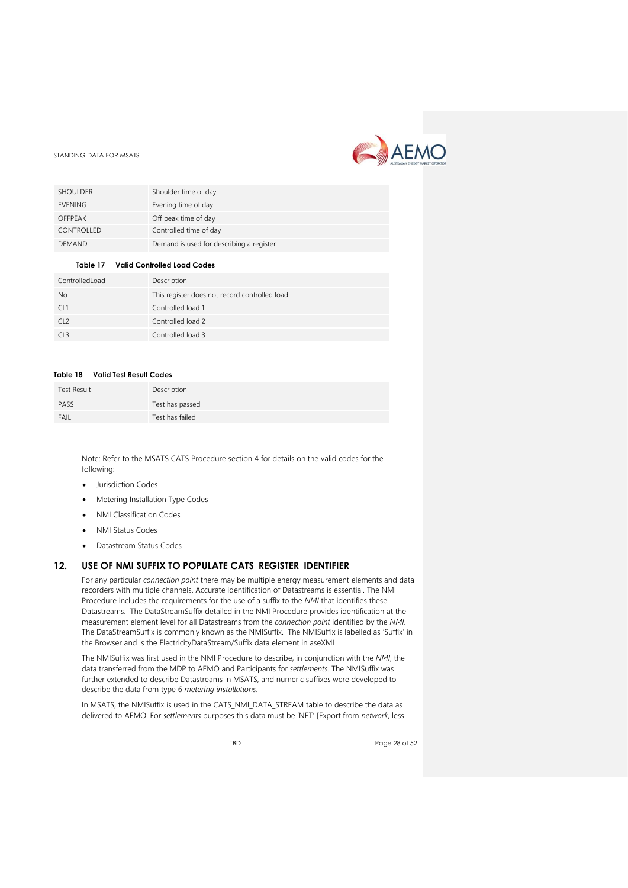

| <b>SHOULDER</b> | Shoulder time of day                     |
|-----------------|------------------------------------------|
| <b>EVENING</b>  | Evening time of day                      |
| <b>OFFPEAK</b>  | Off peak time of day                     |
| CONTROLLED      | Controlled time of day                   |
| <b>DEMAND</b>   | Demand is used for describing a register |

#### **Table 17 Valid Controlled Load Codes**

<span id="page-27-1"></span>

| ControlledLoad  | Description                                    |
|-----------------|------------------------------------------------|
| <b>No</b>       | This register does not record controlled load. |
| CL1             | Controlled load 1                              |
| CL <sub>2</sub> | Controlled load 2                              |
| CL <sub>3</sub> | Controlled load 3                              |

#### <span id="page-27-2"></span>**Table 18 Valid Test Result Codes**

| <b>Test Result</b> | Description     |
|--------------------|-----------------|
| PASS               | Test has passed |
| FAIL               | Test has failed |

Note: Refer to the MSATS CATS Procedure section 4 for details on the valid codes for the following:

- Jurisdiction Codes
- Metering Installation Type Codes
- NMI Classification Codes
- NMI Status Codes
- Datastream Status Codes

# <span id="page-27-0"></span>**12. USE OF NMI SUFFIX TO POPULATE CATS\_REGISTER\_IDENTIFIER**

For any particular *connection point* there may be multiple energy measurement elements and data recorders with multiple channels. Accurate identification of Datastreams is essential. The NMI Procedure includes the requirements for the use of a suffix to the *NMI* that identifies these Datastreams. The DataStreamSuffix detailed in the NMI Procedure provides identification at the measurement element level for all Datastreams from the *connection point* identified by the *NMI*. The DataStreamSuffix is commonly known as the NMISuffix. The NMISuffix is labelled as 'Suffix' in the Browser and is the ElectricityDataStream/Suffix data element in aseXML.

The NMISuffix was first used in the NMI Procedure to describe, in conjunction with the *NMI*, the data transferred from the MDP to AEMO and Participants for *settlements*. The NMISuffix was further extended to describe Datastreams in MSATS, and numeric suffixes were developed to describe the data from type 6 *metering installations*.

In MSATS, the NMISuffix is used in the CATS\_NMI\_DATA\_STREAM table to describe the data as delivered to AEMO. For *settlements* purposes this data must be 'NET' [Export from *network*, less

TBD Page 28 of 52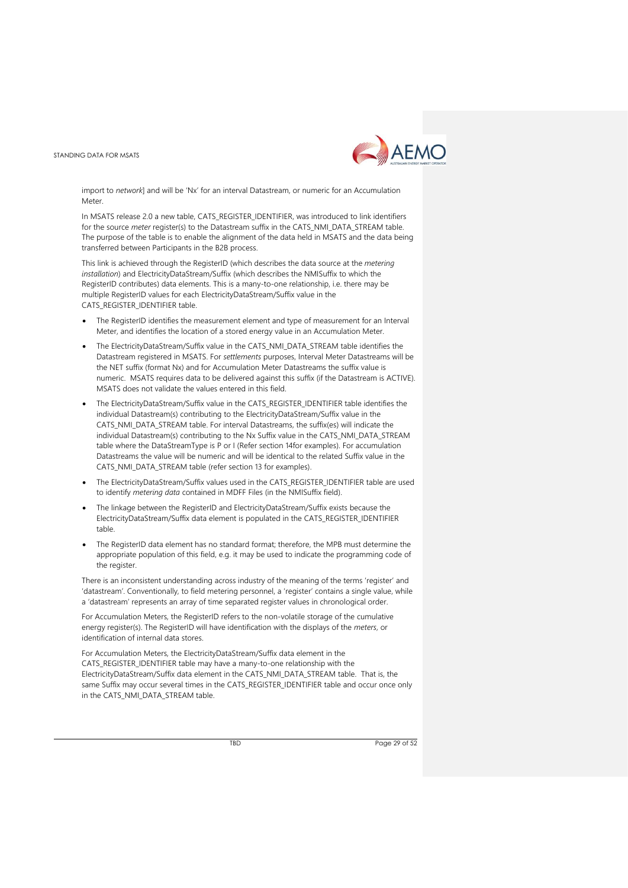

import to *network*] and will be 'Nx' for an interval Datastream, or numeric for an Accumulation Meter

In MSATS release 2.0 a new table, CATS\_REGISTER\_IDENTIFIER, was introduced to link identifiers for the source *meter* register(s) to the Datastream suffix in the CATS\_NMI\_DATA\_STREAM table. The purpose of the table is to enable the alignment of the data held in MSATS and the data being transferred between Participants in the B2B process.

This link is achieved through the RegisterID (which describes the data source at the *metering installation*) and ElectricityDataStream/Suffix (which describes the NMISuffix to which the RegisterID contributes) data elements. This is a many-to-one relationship, i.e. there may be multiple RegisterID values for each ElectricityDataStream/Suffix value in the CATS\_REGISTER\_IDENTIFIER table.

- The ReaisterID identifies the measurement element and type of measurement for an Interval Meter, and identifies the location of a stored energy value in an Accumulation Meter.
- The ElectricityDataStream/Suffix value in the CATS\_NMI\_DATA\_STREAM table identifies the Datastream registered in MSATS. For *settlements* purposes, Interval Meter Datastreams will be the NET suffix (format Nx) and for Accumulation Meter Datastreams the suffix value is numeric. MSATS requires data to be delivered against this suffix (if the Datastream is ACTIVE). MSATS does not validate the values entered in this field.
- The ElectricityDataStream/Suffix value in the CATS\_REGISTER\_IDENTIFIER table identifies the individual Datastream(s) contributing to the ElectricityDataStream/Suffix value in the CATS\_NMI\_DATA\_STREAM table. For interval Datastreams, the suffix(es) will indicate the individual Datastream(s) contributing to the Nx Suffix value in the CATS\_NMI\_DATA\_STREAM table where the DataStreamType is P or I (Refer section 14for examples). For accumulation Datastreams the value will be numeric and will be identical to the related Suffix value in the CATS\_NMI\_DATA\_STREAM table (refer section 13 for examples).
- The ElectricityDataStream/Suffix values used in the CATS\_REGISTER\_IDENTIFIER table are used to identify *metering data* contained in MDFF Files (in the NMISuffix field).
- The linkage between the RegisterID and ElectricityDataStream/Suffix exists because the ElectricityDataStream/Suffix data element is populated in the CATS\_REGISTER\_IDENTIFIER table.
- The RegisterID data element has no standard format; therefore, the MPB must determine the appropriate population of this field, e.g. it may be used to indicate the programming code of the register

There is an inconsistent understanding across industry of the meaning of the terms 'register' and 'datastream'. Conventionally, to field metering personnel, a 'register' contains a single value, while a 'datastream' represents an array of time separated register values in chronological order.

For Accumulation Meters, the RegisterID refers to the non-volatile storage of the cumulative energy register(s). The RegisterID will have identification with the displays of the *meters*, or identification of internal data stores.

For Accumulation Meters, the ElectricityDataStream/Suffix data element in the CATS\_REGISTER\_IDENTIFIER table may have a many-to-one relationship with the ElectricityDataStream/Suffix data element in the CATS\_NMI\_DATA\_STREAM table. That is, the same Suffix may occur several times in the CATS\_REGISTER\_IDENTIFIER table and occur once only in the CATS\_NMI\_DATA\_STREAM table.

TBD Page 29 of 52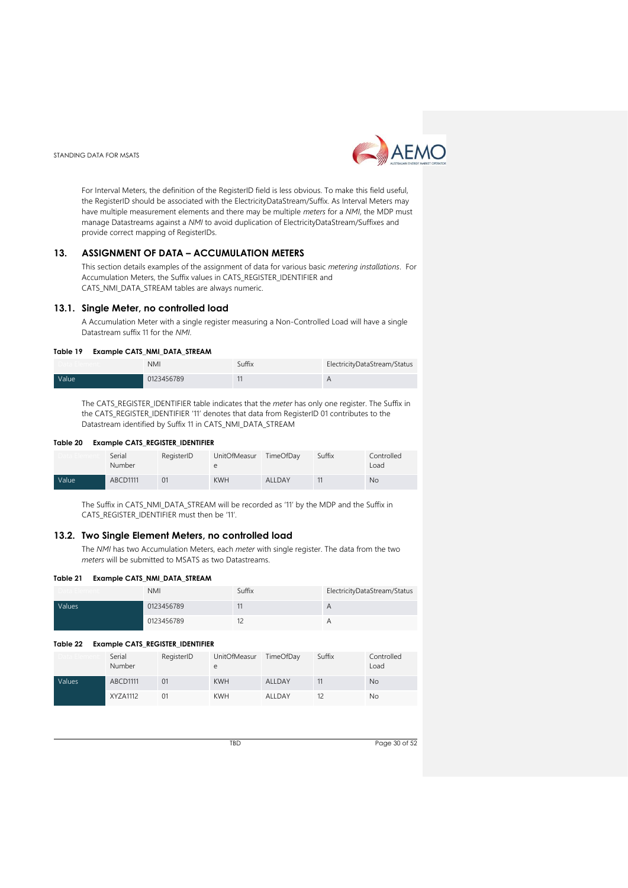

For Interval Meters, the definition of the RegisterID field is less obvious. To make this field useful, the RegisterID should be associated with the ElectricityDataStream/Suffix. As Interval Meters may have multiple measurement elements and there may be multiple *meters* for a *NMI*, the MDP must manage Datastreams against a *NMI* to avoid duplication of ElectricityDataStream/Suffixes and provide correct mapping of RegisterIDs.

#### <span id="page-29-0"></span>**13. ASSIGNMENT OF DATA – ACCUMULATION METERS**

This section details examples of the assignment of data for various basic *metering installations*. For Accumulation Meters, the Suffix values in CATS\_REGISTER\_IDENTIFIER and CATS\_NMI\_DATA\_STREAM tables are always numeric.

#### <span id="page-29-1"></span>**13.1. Single Meter, no controlled load**

A Accumulation Meter with a single register measuring a Non-Controlled Load will have a single Datastream suffix 11 for the *NMI*.

#### <span id="page-29-3"></span>**Table 19 Example CATS\_NMI\_DATA\_STREAM**

|       | <b>NMI</b> | Suffix | ElectricityDataStream/Status |
|-------|------------|--------|------------------------------|
| Value | 0123456789 |        | Η                            |

The CATS\_REGISTER\_IDENTIFIER table indicates that the *meter* has only one register. The Suffix in the CATS\_REGISTER\_IDENTIFIER '11' denotes that data from RegisterID 01 contributes to the Datastream identified by Suffix 11 in CATS\_NMI\_DATA\_STREAM

#### <span id="page-29-4"></span>**Table 20 Example CATS\_REGISTER\_IDENTIFIER**

|       | Serial<br>Number | RegisterID | <b>UnitOfMeasur</b> | TimeOfDay | Suffix | Controlled<br>Load |
|-------|------------------|------------|---------------------|-----------|--------|--------------------|
| Value | ABCD1111         |            | <b>KWH</b>          | ALLDAY    |        | <b>No</b>          |

The Suffix in CATS\_NMI\_DATA\_STREAM will be recorded as '11' by the MDP and the Suffix in CATS\_REGISTER\_IDENTIFIER must then be '11'.

#### <span id="page-29-2"></span>**13.2. Two Single Element Meters, no controlled load**

The *NMI* has two Accumulation Meters, each *meter* with single register. The data from the two *meters* will be submitted to MSATS as two Datastreams.

#### <span id="page-29-5"></span>**Table 21 Example CATS\_NMI\_DATA\_STREAM**

|        | <b>NMI</b> | Suffix | ElectricityDataStream/Status |
|--------|------------|--------|------------------------------|
| Values | 0123456789 |        | A                            |
|        | 0123456789 |        |                              |

#### <span id="page-29-6"></span>**Table 22 Example CATS\_REGISTER\_IDENTIFIER**

|        | Serial<br>Number | RegisterID     | UnitOfMeasur<br>e | TimeOfDay | Suffix | Controlled<br>Load |
|--------|------------------|----------------|-------------------|-----------|--------|--------------------|
| Values | ABCD1111         | 0 <sub>1</sub> | <b>KWH</b>        | ALLDAY    |        | <b>No</b>          |
|        | XYZA1112         | 01             | <b>KWH</b>        | ALLDAY    |        | No                 |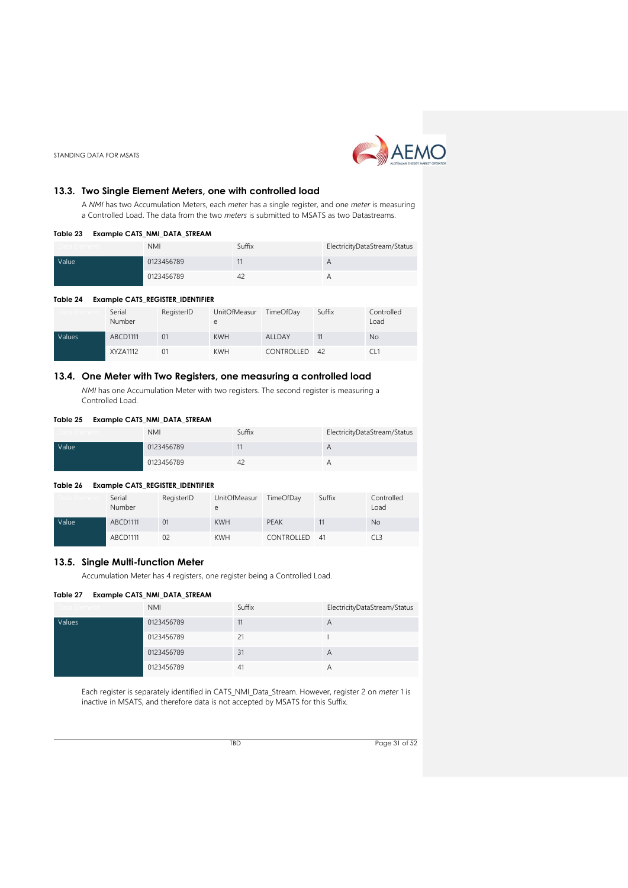

# <span id="page-30-0"></span>**13.3. Two Single Element Meters, one with controlled load**

A *NMI* has two Accumulation Meters, each *meter* has a single register, and one *meter* is measuring a Controlled Load. The data from the two *meters* is submitted to MSATS as two Datastreams.

#### <span id="page-30-3"></span>**Table 23 Example CATS\_NMI\_DATA\_STREAM**

| , , , , , , , , , , , , , , , , , | <b>NMI</b> | Suffix | ElectricityDataStream/Status |
|-----------------------------------|------------|--------|------------------------------|
| Value                             | 0123456789 |        | Α                            |
|                                   | 0123456789 | 42     |                              |

#### <span id="page-30-4"></span>**Table 24 Example CATS\_REGISTER\_IDENTIFIER**

|        | Serial<br>Number | RegisterID | UnitOfMeasur | TimeOfDay     | Suffix | Controlled<br>Load |
|--------|------------------|------------|--------------|---------------|--------|--------------------|
| Values | ABCD1111         | 01         | <b>KWH</b>   | ALLDAY        |        | <b>No</b>          |
|        | XYZA1112         | 01         | <b>KWH</b>   | CONTROLLED 42 |        |                    |

# <span id="page-30-1"></span>**13.4. One Meter with Two Registers, one measuring a controlled load**

*NMI* has one Accumulation Meter with two registers. The second register is measuring a Controlled Load.

#### <span id="page-30-5"></span>**Table 25 Example CATS\_NMI\_DATA\_STREAM**

| iata Lienient:     | <b>NMI</b> | Suffix         | ElectricityDataStream/Status |
|--------------------|------------|----------------|------------------------------|
| Value <sup>1</sup> | 0123456789 |                |                              |
|                    | 0123456789 | 4 <sub>c</sub> |                              |

#### <span id="page-30-6"></span>**Table 26 Example CATS\_REGISTER\_IDENTIFIER**

|              | Serial<br>Number | RegisterID | UnitOfMeasur<br>e | TimeOfDay     | Suffix | Controlled<br>Load |
|--------------|------------------|------------|-------------------|---------------|--------|--------------------|
| <b>Value</b> | ABCD1111         | 01         | <b>KWH</b>        | <b>PEAK</b>   |        | <b>No</b>          |
|              | ABCD1111         | 02         | <b>KWH</b>        | CONTROLLED 41 |        | CL <sub>3</sub>    |

# <span id="page-30-2"></span>**13.5. Single Multi-function Meter**

Accumulation Meter has 4 registers, one register being a Controlled Load.

#### <span id="page-30-7"></span>**Table 27 Example CATS\_NMI\_DATA\_STREAM**

| Data Element: | <b>NMI</b> | Suffix | ElectricityDataStream/Status |
|---------------|------------|--------|------------------------------|
| Values        | 0123456789 | 11     | $\overline{A}$               |
|               | 0123456789 | 21     |                              |
|               | 0123456789 | 31     | $\overline{A}$               |
|               | 0123456789 | 41     | $\overline{H}$               |

Each register is separately identified in CATS\_NMI\_Data\_Stream. However, register 2 on *meter* 1 is inactive in MSATS, and therefore data is not accepted by MSATS for this Suffix.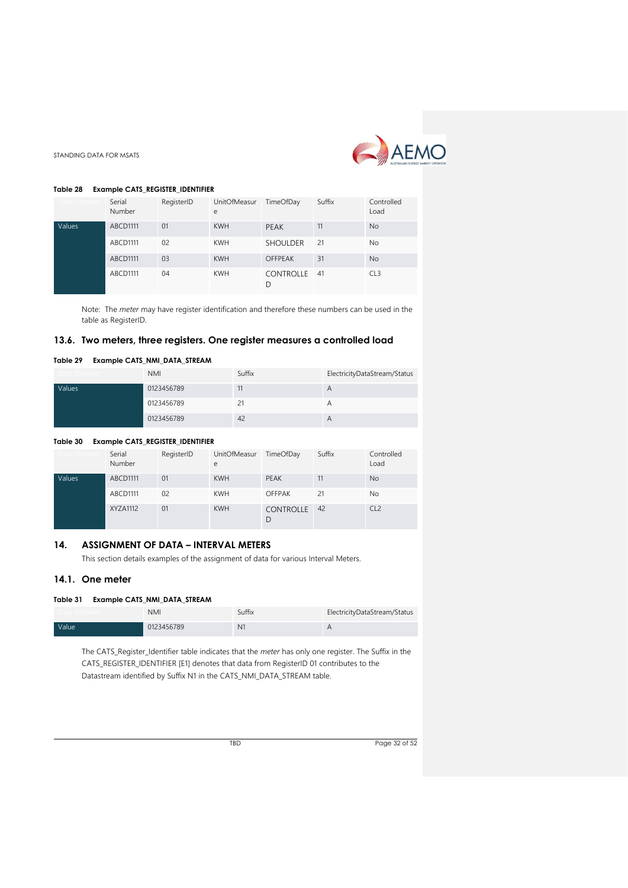

#### <span id="page-31-3"></span>**Table 28 Example CATS\_REGISTER\_IDENTIFIER**

| ata Flemen | Serial<br>Number | RegisterID | UnitOfMeasur<br>e | TimeOfDay         | Suffix | Controlled<br>Load |
|------------|------------------|------------|-------------------|-------------------|--------|--------------------|
| Values     | <b>ABCD1111</b>  | 01         | <b>KWH</b>        | <b>PEAK</b>       | 11     | <b>No</b>          |
|            | ABCD1111         | 02         | <b>KWH</b>        | <b>SHOULDER</b>   | 21     | <b>No</b>          |
|            | <b>ABCD1111</b>  | 03         | <b>KWH</b>        | <b>OFFPEAK</b>    | 31     | <b>No</b>          |
|            | ABCD1111         | 04         | <b>KWH</b>        | CONTROLLE 41<br>D |        | CL <sub>3</sub>    |

Note: The *meter* may have register identification and therefore these numbers can be used in the table as RegisterID.

#### <span id="page-31-0"></span>**13.6. Two meters, three registers. One register measures a controlled load**

#### <span id="page-31-4"></span>**Table 29 Example CATS\_NMI\_DATA\_STREAM**

| Jata Element: | <b>NMI</b> | Suffix | ElectricityDataStream/Status |
|---------------|------------|--------|------------------------------|
| Values        | 0123456789 | 11     | $\overline{H}$               |
|               | 0123456789 |        |                              |
|               | 0123456789 | 42     | А                            |

#### <span id="page-31-5"></span>**Table 30 Example CATS\_REGISTER\_IDENTIFIER**

|        | Serial<br>Number | RegisterID | <b>UnitOfMeasur</b><br>e | TimeOfDay             | Suffix | Controlled<br>Load |
|--------|------------------|------------|--------------------------|-----------------------|--------|--------------------|
| Values | ABCD1111         | 01         | <b>KWH</b>               | <b>PEAK</b>           | 11     | <b>No</b>          |
|        | ABCD1111         | 02         | <b>KWH</b>               | <b>OFFPAK</b>         | 21     | <b>No</b>          |
|        | XYZA1112         | 01         | <b>KWH</b>               | <b>CONTROLLE</b><br>D | 42     | CL <sub>2</sub>    |

# <span id="page-31-1"></span>**14. ASSIGNMENT OF DATA – INTERVAL METERS**

This section details examples of the assignment of data for various Interval Meters.

#### <span id="page-31-2"></span>**14.1. One meter**

#### <span id="page-31-6"></span>**Table 31 Example CATS\_NMI\_DATA\_STREAM**

|       | <b>NMI</b> | Suffix         | ElectricityDataStream/Status |
|-------|------------|----------------|------------------------------|
| Value | 0123456789 | N <sub>1</sub> |                              |

The CATS\_Register\_Identifier table indicates that the *meter* has only one register. The Suffix in the CATS\_REGISTER\_IDENTIFIER [E1] denotes that data from RegisterID 01 contributes to the Datastream identified by Suffix N1 in the CATS\_NMI\_DATA\_STREAM table.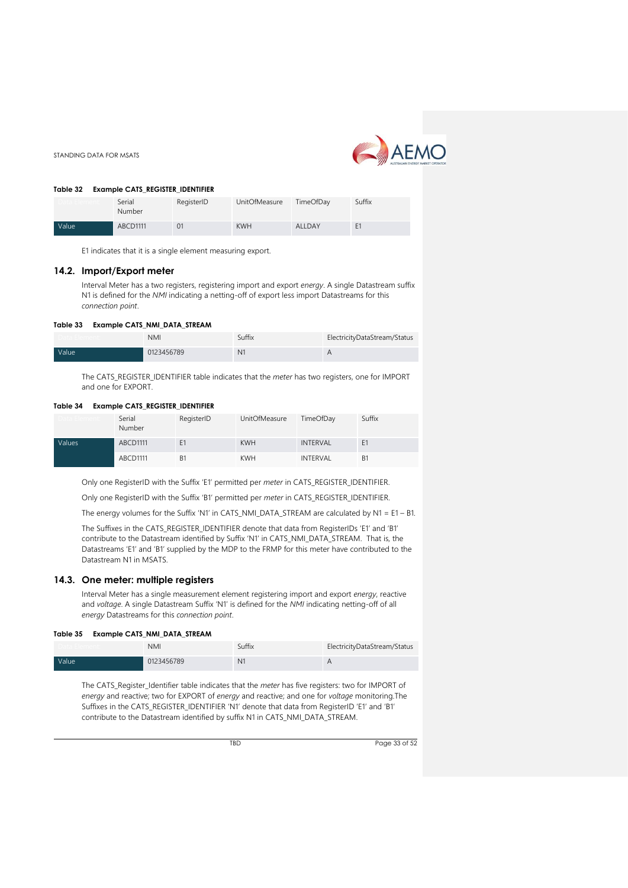

**Table 32 Example CATS\_REGISTER\_IDENTIFIER**

STANDING DATA FOR MSATS

<span id="page-32-2"></span>

| <b>RODE 32</b> | <b>EXAMPLE CATS REGISTER IDENTIFIER</b> |                |               |                  |                |
|----------------|-----------------------------------------|----------------|---------------|------------------|----------------|
|                | Serial<br>Number                        | RegisterID     | UnitOfMeasure | <b>TimeOfDav</b> | Suffix         |
| Value          | ABCD1111                                | 0 <sub>1</sub> | <b>KWH</b>    | <b>ALLDAY</b>    | F <sub>1</sub> |

E1 indicates that it is a single element measuring export.

#### <span id="page-32-0"></span>**14.2. Import/Export meter**

Interval Meter has a two registers, registering import and export *energy*. A single Datastream suffix N1 is defined for the *NMI* indicating a netting-off of export less import Datastreams for this *connection point*.

#### <span id="page-32-3"></span>**Table 33 Example CATS\_NMI\_DATA\_STREAM**

|       | <b>NMI</b> | Suffix | ElectricityDataStream/Status |
|-------|------------|--------|------------------------------|
| Value | 0123456789 | $N^2$  |                              |

The CATS\_REGISTER\_IDENTIFIER table indicates that the *meter* has two registers, one for IMPORT and one for EXPORT.

#### <span id="page-32-4"></span>**Table 34 Example CATS\_REGISTER\_IDENTIFIER**

|        | Serial<br>Number | RegisterID     | UnitOfMeasure | TimeOfDay       | Suffix         |
|--------|------------------|----------------|---------------|-----------------|----------------|
| Values | ABCD1111         | F1             | <b>KWH</b>    | <b>INTERVAL</b> | F <sub>1</sub> |
|        | ABCD1111         | B <sub>1</sub> | <b>KWH</b>    | INTERVAL        | B <sub>1</sub> |

Only one RegisterID with the Suffix 'E1' permitted per *meter* in CATS\_REGISTER\_IDENTIFIER.

Only one RegisterID with the Suffix 'B1' permitted per *meter* in CATS\_REGISTER\_IDENTIFIER.

The energy volumes for the Suffix 'N1' in CATS\_NMI\_DATA\_STREAM are calculated by N1 = E1 – B1.

The Suffixes in the CATS\_REGISTER\_IDENTIFIER denote that data from RegisterIDs 'E1' and 'B1' contribute to the Datastream identified by Suffix 'N1' in CATS\_NMI\_DATA\_STREAM. That is, the Datastreams 'E1' and 'B1' supplied by the MDP to the FRMP for this meter have contributed to the Datastream N1 in MSATS.

#### <span id="page-32-1"></span>**14.3. One meter: multiple registers**

Interval Meter has a single measurement element registering import and export *energy*, reactive and *voltage*. A single Datastream Suffix 'N1' is defined for the *NMI* indicating netting-off of all *energy* Datastreams for this *connection point*.

#### <span id="page-32-5"></span>**Table 35 Example CATS\_NMI\_DATA\_STREAM**

|       | <b>NMI</b> | Suffix         | ElectricityDataStream/Status |
|-------|------------|----------------|------------------------------|
| Value | 0123456789 | N <sub>1</sub> | H                            |

The CATS\_Register\_Identifier table indicates that the *meter* has five registers: two for IMPORT of *energy* and reactive; two for EXPORT of *energy* and reactive; and one for *voltage* monitoring.The Suffixes in the CATS\_REGISTER\_IDENTIFIER 'N1' denote that data from RegisterID 'E1' and 'B1' contribute to the Datastream identified by suffix N1 in CATS\_NMI\_DATA\_STREAM.

TBD Page 33 of 52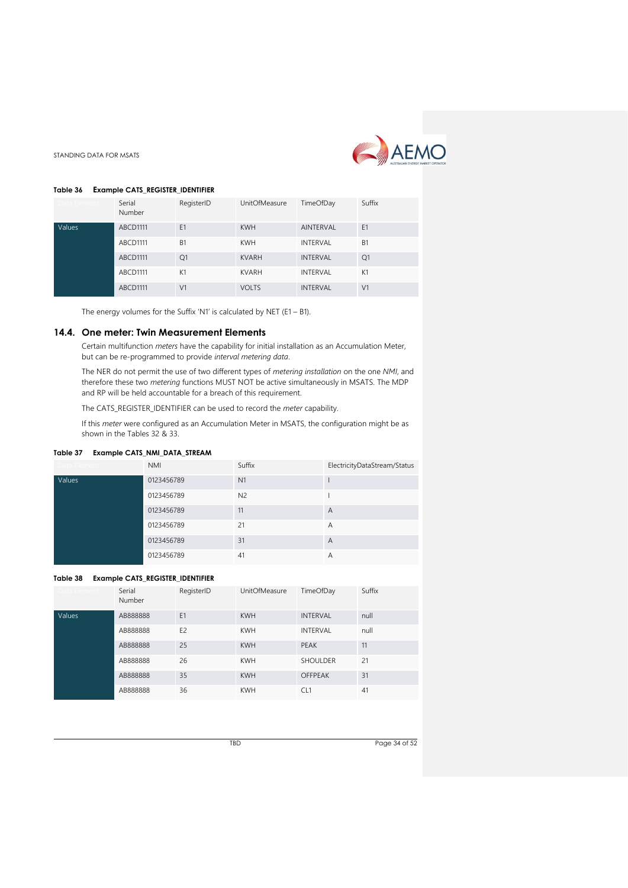

# <span id="page-33-1"></span>**Table 36 Example CATS\_REGISTER\_IDENTIFIER**

STANDING DATA FOR MSATS

| Data Element: | Serial<br>Number | RegisterID     | <b>UnitOfMeasure</b> | TimeOfDay        | Suffix         |
|---------------|------------------|----------------|----------------------|------------------|----------------|
| Values        | <b>ABCD1111</b>  | E1             | <b>KWH</b>           | <b>AINTERVAL</b> | E <sub>1</sub> |
|               | ABCD1111         | <b>B1</b>      | <b>KWH</b>           | <b>INTERVAL</b>  | B <sub>1</sub> |
|               | ABCD1111         | Q1             | <b>KVARH</b>         | <b>INTERVAL</b>  | Q1             |
|               | <b>ABCD1111</b>  | K1             | <b>KVARH</b>         | <b>INTERVAL</b>  | K1             |
|               | ABCD1111         | V <sub>1</sub> | <b>VOLTS</b>         | <b>INTERVAL</b>  | V <sub>1</sub> |

The energy volumes for the Suffix 'N1' is calculated by NET (E1 – B1).

#### <span id="page-33-0"></span>**14.4. One meter: Twin Measurement Elements**

Certain multifunction *meters* have the capability for initial installation as an Accumulation Meter, but can be re-programmed to provide *interval metering data*.

The NER do not permit the use of two different types of *metering installation* on the one *NMI*, and therefore these two *metering* functions MUST NOT be active simultaneously in MSATS. The MDP and RP will be held accountable for a breach of this requirement.

The CATS\_REGISTER\_IDENTIFIER can be used to record the *meter* capability.

If this *meter* were configured as an Accumulation Meter in MSATS, the configuration might be as shown in the Tables 32 & 33.

#### <span id="page-33-2"></span>**Table 37 Example CATS\_NMI\_DATA\_STREAM**

| Data Element: | <b>NMI</b> | Suffix         | ElectricityDataStream/Status |
|---------------|------------|----------------|------------------------------|
| Values        | 0123456789 | N <sub>1</sub> |                              |
|               | 0123456789 | N <sub>2</sub> |                              |
|               | 0123456789 | 11             | A                            |
|               | 0123456789 | 21             | Α                            |
|               | 0123456789 | 31             | A                            |
|               | 0123456789 | 41             | A                            |

#### <span id="page-33-3"></span>**Table 38 Example CATS\_REGISTER\_IDENTIFIER**

| Data Element: | Serial<br>Number | RegisterID     | <b>UnitOfMeasure</b> | TimeOfDay       | Suffix |
|---------------|------------------|----------------|----------------------|-----------------|--------|
| Values        | AB888888         | E1             | <b>KWH</b>           | <b>INTERVAL</b> | null   |
|               | AB888888         | F <sub>2</sub> | <b>KWH</b>           | <b>INTERVAL</b> | null   |
|               | AB888888         | 25             | <b>KWH</b>           | PFAK            | 11     |
|               | AB888888         | 26             | <b>KWH</b>           | <b>SHOULDER</b> | 21     |
|               | AB888888         | 35             | <b>KWH</b>           | <b>OFFPEAK</b>  | 31     |
|               | AB888888         | 36             | <b>KWH</b>           | CL <sub>1</sub> | 41     |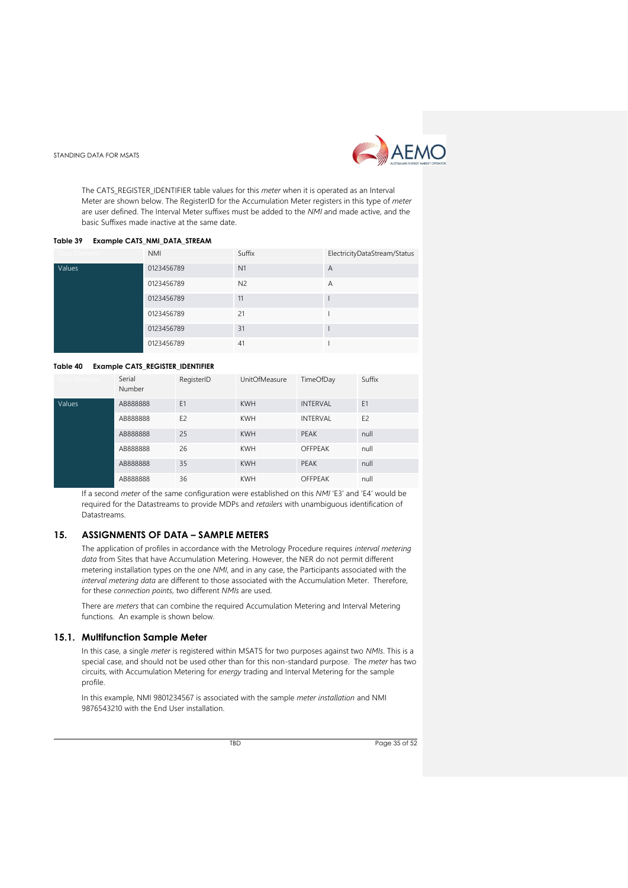

The CATS\_REGISTER\_IDENTIFIER table values for this *meter* when it is operated as an Interval Meter are shown below. The RegisterID for the Accumulation Meter registers in this type of *meter* are user defined. The Interval Meter suffixes must be added to the *NMI* and made active, and the basic Suffixes made inactive at the same date.

#### <span id="page-34-2"></span>**Table 39 Example CATS\_NMI\_DATA\_STREAM**

| Data Element: | <b>NMI</b> | Suffix         | ElectricityDataStream/Status |
|---------------|------------|----------------|------------------------------|
| Values        | 0123456789 | N <sub>1</sub> | A                            |
|               | 0123456789 | N <sub>2</sub> | A                            |
|               | 0123456789 | 11             |                              |
|               | 0123456789 | 21             |                              |
|               | 0123456789 | 31             |                              |
|               | 0123456789 | 41             |                              |

#### <span id="page-34-3"></span>**Table 40 Example CATS\_REGISTER\_IDENTIFIER**

| Data Flement: | Serial<br>Number | RegisterID     | <b>UnitOfMeasure</b> | TimeOfDay       | Suffix         |
|---------------|------------------|----------------|----------------------|-----------------|----------------|
| Values        | AB888888         | E1             | <b>KWH</b>           | <b>INTERVAL</b> | E1             |
|               | AB888888         | E <sub>2</sub> | <b>KWH</b>           | <b>INTERVAL</b> | E <sub>2</sub> |
|               | AB888888         | 25             | <b>KWH</b>           | PEAK            | null           |
|               | AB888888         | 26             | <b>KWH</b>           | <b>OFFPEAK</b>  | null           |
|               | AB888888         | 35             | <b>KWH</b>           | PEAK            | null           |
|               | AB888888         | 36             | <b>KWH</b>           | <b>OFFPEAK</b>  | null           |

If a second *meter* of the same configuration were established on this *NMI* 'E3' and 'E4' would be required for the Datastreams to provide MDPs and *retailers* with unambiguous identification of Datastreams.

# <span id="page-34-0"></span>**15. ASSIGNMENTS OF DATA – SAMPLE METERS**

The application of profiles in accordance with the Metrology Procedure requires *interval metering data* from Sites that have Accumulation Metering. However, the NER do not permit different metering installation types on the one *NMI*, and in any case, the Participants associated with the *interval metering data* are different to those associated with the Accumulation Meter. Therefore, for these *connection points*, two different *NMIs* are used.

There are *meters* that can combine the required Accumulation Metering and Interval Metering functions. An example is shown below.

#### <span id="page-34-1"></span>**15.1. Multifunction Sample Meter**

In this case, a single *meter* is registered within MSATS for two purposes against two *NMIs*. This is a special case, and should not be used other than for this non-standard purpose. The *meter* has two circuits, with Accumulation Metering for *energy* trading and Interval Metering for the sample profile.

In this example, NMI 9801234567 is associated with the sample *meter installation* and NMI 9876543210 with the End User installation.

TBD Page 35 of 52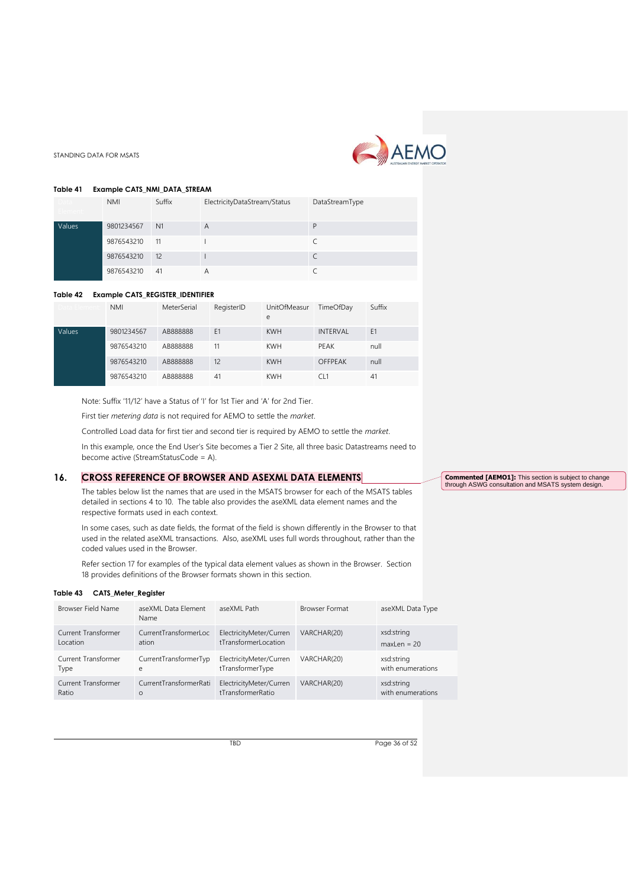

#### <span id="page-35-1"></span>**Table 41 Example CATS\_NMI\_DATA\_STREAM**

| лата -<br>lement: | <b>NMI</b> | Suffix         | ElectricityDataStream/Status | DataStreamType |
|-------------------|------------|----------------|------------------------------|----------------|
| Values            | 9801234567 | N <sub>1</sub> | A                            | D              |
|                   | 9876543210 | 11             |                              |                |
|                   | 9876543210 | 12             |                              |                |
|                   | 9876543210 | 41             |                              |                |

#### <span id="page-35-2"></span>**Table 42 Example CATS\_REGISTER\_IDENTIFIER**

| )ata Flement | <b>NMI</b> | MeterSerial | RegisterID     | <b>UnitOfMeasur</b><br>e | TimeOfDay       | Suffix |
|--------------|------------|-------------|----------------|--------------------------|-----------------|--------|
| Values       | 9801234567 | AB888888    | E <sub>1</sub> | <b>KWH</b>               | <b>INTERVAL</b> | E1     |
|              | 9876543210 | AB888888    | 11             | <b>KWH</b>               | PEAK            | null   |
|              | 9876543210 | AB888888    | 12             | <b>KWH</b>               | OFFPEAK         | null   |
|              | 9876543210 | AB888888    | 41             | <b>KWH</b>               | CL1             | 41     |

Note: Suffix '11/12' have a Status of 'I' for 1st Tier and 'A' for 2nd Tier.

First tier *metering data* is not required for AEMO to settle the *market*.

Controlled Load data for first tier and second tier is required by AEMO to settle the *market*.

In this example, once the End User's Site becomes a Tier 2 Site, all three basic Datastreams need to become active (StreamStatusCode = A).

# <span id="page-35-0"></span>**16. CROSS REFERENCE OF BROWSER AND ASEXML DATA ELEMENTS**

The tables below list the names that are used in the MSATS browser for each of the MSATS tables detailed in sections 4 to 10. The table also provides the aseXML data element names and the respective formats used in each context.

In some cases, such as date fields, the format of the field is shown differently in the Browser to that used in the related aseXML transactions. Also, aseXML uses full words throughout, rather than the coded values used in the Browser.

Refer section 17 for examples of the typical data element values as shown in the Browser. Section 18 provides definitions of the Browser formats shown in this section.

#### <span id="page-35-3"></span>**Table 43 CATS\_Meter\_Register**

| Browser Field Name  | aseXML Data Element<br>Name | aseXML Path             | <b>Browser Format</b> | aseXML Data Type  |
|---------------------|-----------------------------|-------------------------|-----------------------|-------------------|
| Current Transformer | CurrentTransformerLoc       | ElectricityMeter/Curren | VARCHAR(20)           | xsd:string        |
| Location            | ation                       | tTransformerLocation    |                       | $maxLen = 20$     |
| Current Transformer | CurrentTransformerTyp       | ElectricityMeter/Curren | VARCHAR(20)           | xsd:string        |
| Type                | e                           | tTransformerType        |                       | with enumerations |
| Current Transformer | CurrentTransformerRati      | ElectricityMeter/Curren | VARCHAR(20)           | xsd:string        |
| Ratio               | $\circ$                     | tTransformerRatio       |                       | with enumerations |

TBD Page 36 of 52

**Commented [AEMO1]:** This section is subject to change through ASWG consultation and MSATS system design.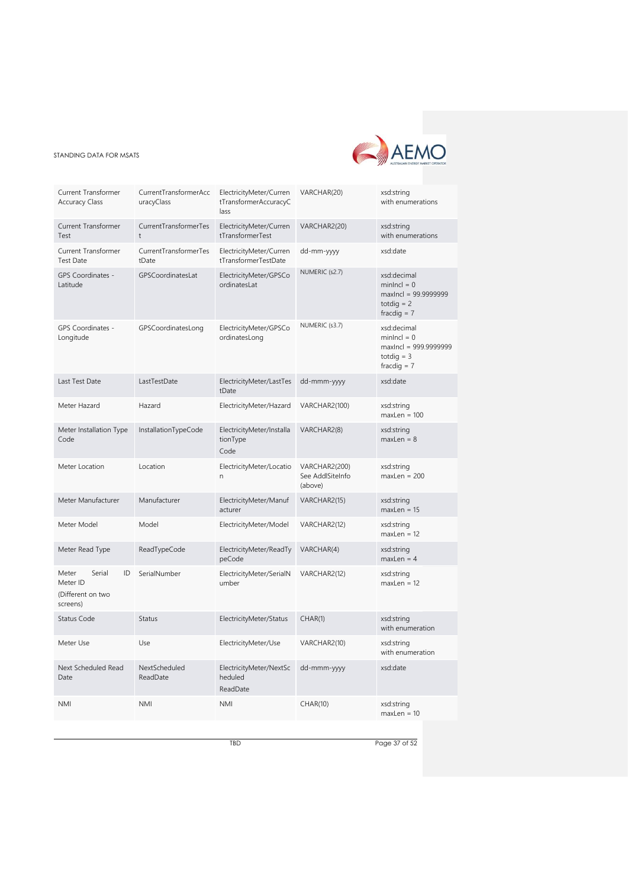

| Current Transformer<br><b>Accuracy Class</b>                       | CurrentTransformerAcc<br>uracyClass | ElectricityMeter/Curren<br>tTransformerAccuracyC<br>lass | VARCHAR(20)                                  | xsd:string<br>with enumerations                                                        |
|--------------------------------------------------------------------|-------------------------------------|----------------------------------------------------------|----------------------------------------------|----------------------------------------------------------------------------------------|
| <b>Current Transformer</b><br>Test                                 | CurrentTransformerTes<br>$\ddagger$ | ElectricityMeter/Curren<br>tTransformerTest              | VARCHAR2(20)                                 | xsd:string<br>with enumerations                                                        |
| Current Transformer<br><b>Test Date</b>                            | CurrentTransformerTes<br>tDate      | ElectricityMeter/Curren<br>tTransformerTestDate          | dd-mm-yyyy                                   | xsd:date                                                                               |
| <b>GPS Coordinates -</b><br>Latitude                               | GPSCoordinatesLat                   | ElectricityMeter/GPSCo<br>ordinatesLat                   | NUMERIC (s2.7)                               | xsd:decimal<br>$minIncl = 0$<br>maxIncl = 99.9999999<br>totdig $= 2$<br>fracdig $= 7$  |
| GPS Coordinates -<br>Longitude                                     | GPSCoordinatesLong                  | ElectricityMeter/GPSCo<br>ordinatesLong                  | NUMERIC (s3.7)                               | xsd:decimal<br>$minIncl = 0$<br>maxIncl = 999.9999999<br>totdig $=$ 3<br>fracdig $= 7$ |
| Last Test Date                                                     | LastTestDate                        | ElectricityMeter/LastTes<br>tDate                        | dd-mmm-yyyy                                  | xsd:date                                                                               |
| Meter Hazard                                                       | Hazard                              | ElectricityMeter/Hazard                                  | VARCHAR2(100)                                | xsd:string<br>$maxLen = 100$                                                           |
| Meter Installation Type<br>Code                                    | InstallationTypeCode                | ElectricityMeter/Installa<br>tionType<br>Code            | VARCHAR2(8)                                  | xsd:string<br>$maxLen = 8$                                                             |
| Meter Location                                                     | Location                            | ElectricityMeter/Locatio<br>n                            | VARCHAR2(200)<br>See AddlSiteInfo<br>(above) | xsd:string<br>$maxLen = 200$                                                           |
| Meter Manufacturer                                                 | Manufacturer                        | ElectricityMeter/Manuf<br>acturer                        | VARCHAR2(15)                                 | xsd:string<br>$maxLen = 15$                                                            |
| Meter Model                                                        | Model                               | ElectricityMeter/Model                                   | VARCHAR2(12)                                 | xsd:string<br>$maxLen = 12$                                                            |
| Meter Read Type                                                    | ReadTypeCode                        | ElectricityMeter/ReadTy<br>peCode                        | VARCHAR(4)                                   | xsd:string<br>$maxLen = 4$                                                             |
| Serial<br>ID<br>Meter<br>Meter ID<br>(Different on two<br>screens) | SerialNumber                        | ElectricityMeter/SerialN<br>umber                        | VARCHAR2(12)                                 | xsd:string<br>$maxLen = 12$                                                            |
| Status Code                                                        | <b>Status</b>                       | ElectricityMeter/Status                                  | CHAR(1)                                      | xsd:string<br>with enumeration                                                         |
| Meter Use                                                          | Use                                 | ElectricityMeter/Use                                     | VARCHAR2(10)                                 | xsd:string<br>with enumeration                                                         |
| Next Scheduled Read<br>Date                                        | NextScheduled<br>ReadDate           | ElectricityMeter/NextSc<br>heduled<br>ReadDate           | dd-mmm-yyyy                                  | xsd:date                                                                               |
| <b>NMI</b>                                                         | <b>NMI</b>                          | <b>NMI</b>                                               | <b>CHAR(10)</b>                              | xsd:string<br>$maxLen = 10$                                                            |

TBD Page 37 of 52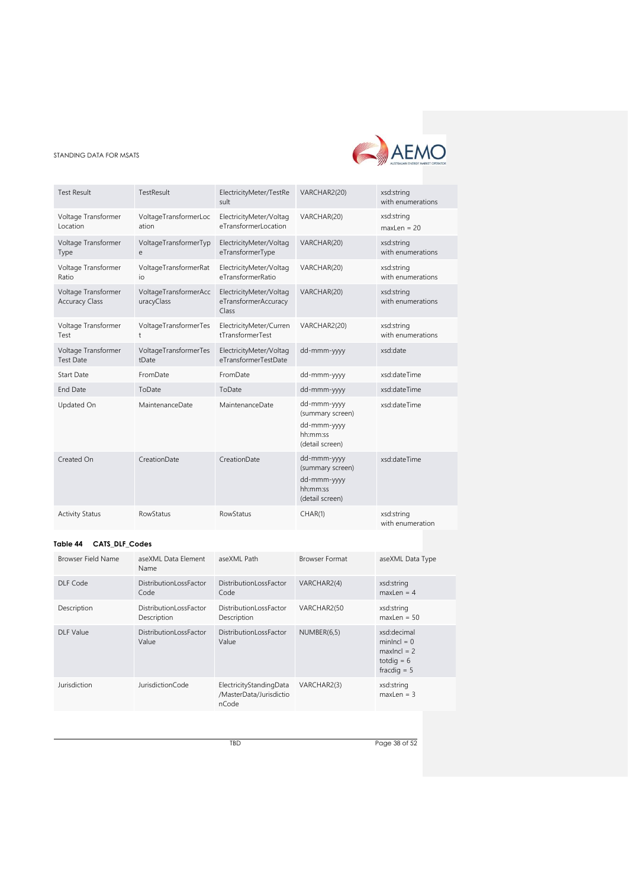

| <b>Test Result</b>                           | TestResult                          | ElectricityMeter/TestRe<br>sult                          | VARCHAR2(20)                                                                  | xsd:string<br>with enumerations |
|----------------------------------------------|-------------------------------------|----------------------------------------------------------|-------------------------------------------------------------------------------|---------------------------------|
| Voltage Transformer<br>Location              | VoltageTransformerLoc<br>ation      | ElectricityMeter/Voltag<br>eTransformerLocation          | VARCHAR(20)                                                                   | xsd:string<br>maxLen = $20$     |
| Voltage Transformer<br>Type                  | VoltageTransformerTyp<br>e          | ElectricityMeter/Voltag<br>eTransformerType              | VARCHAR(20)                                                                   | xsd:string<br>with enumerations |
| Voltage Transformer<br>Ratio                 | VoltageTransformerRat<br>io         | ElectricityMeter/Voltag<br>eTransformerRatio             | VARCHAR(20)                                                                   | xsd:string<br>with enumerations |
| Voltage Transformer<br><b>Accuracy Class</b> | VoltageTransformerAcc<br>uracyClass | ElectricityMeter/Voltag<br>eTransformerAccuracy<br>Class | VARCHAR(20)                                                                   | xsd:string<br>with enumerations |
| Voltage Transformer<br>Test                  | VoltageTransformerTes<br>t          | ElectricityMeter/Curren<br>tTransformerTest              | VARCHAR2(20)                                                                  | xsd:string<br>with enumerations |
| Voltage Transformer<br><b>Test Date</b>      | VoltageTransformerTes<br>tDate      | ElectricityMeter/Voltag<br>eTransformerTestDate          | dd-mmm-yyyy                                                                   | xsd:date                        |
| <b>Start Date</b>                            | FromDate                            | FromDate                                                 | dd-mmm-yyyy                                                                   | xsd:dateTime                    |
| <b>End Date</b>                              | ToDate                              | ToDate                                                   | dd-mmm-yyyy                                                                   | xsd:dateTime                    |
| Updated On                                   | MaintenanceDate                     | MaintenanceDate                                          | dd-mmm-yyyy<br>(summary screen)<br>dd-mmm-yyyy<br>hh:mm:ss<br>(detail screen) | xsd:dateTime                    |
| Created On                                   | CreationDate                        | CreationDate                                             | dd-mmm-yyyy<br>(summary screen)<br>dd-mmm-yyyy<br>hh:mm:ss<br>(detail screen) | xsd:dateTime                    |
| <b>Activity Status</b>                       | <b>RowStatus</b>                    | <b>RowStatus</b>                                         | CHAR(1)                                                                       | xsd:string<br>with enumeration  |

# <span id="page-37-0"></span>**Table 44 CATS\_DLF\_Codes**

| Browser Field Name | aseXML Data Element<br>Name           | aseXML Path                                                 | <b>Browser Format</b> | aseXML Data Type                                                               |
|--------------------|---------------------------------------|-------------------------------------------------------------|-----------------------|--------------------------------------------------------------------------------|
| DLF Code           | DistributionLossFactor<br>Code        | <b>DistributionLossFactor</b><br>Code                       | VARCHAR2(4)           | xsd:string<br>$maxLen = 4$                                                     |
| Description        | DistributionLossFactor<br>Description | DistributionLossFactor<br>Description                       | VARCHAR2(50           | xsd:string<br>$maxLen = 50$                                                    |
| <b>DLF Value</b>   | DistributionLossFactor<br>Value       | DistributionLossFactor<br>Value                             | NUMBER(6,5)           | xsd:decimal<br>$minIncl = 0$<br>maxinci $= 2$<br>totdig $= 6$<br>fracdig $= 5$ |
| Jurisdiction       | JurisdictionCode                      | ElectricityStandingData<br>/MasterData/Jurisdictio<br>nCode | VARCHAR2(3)           | xsd:string<br>$maxLen = 3$                                                     |

TBD Page 38 of 52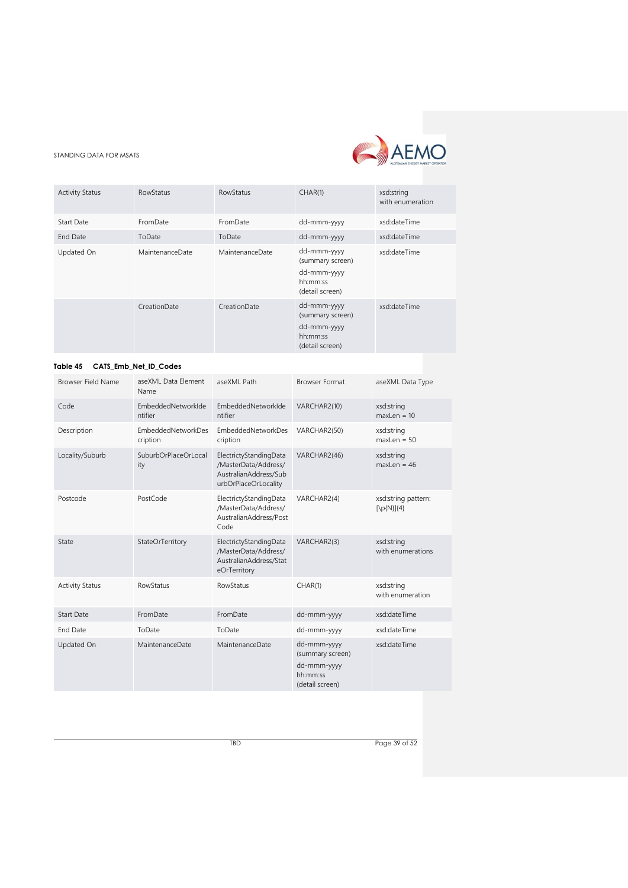

| <b>Activity Status</b> | <b>RowStatus</b> | RowStatus       | CHAR(1)                                                                       | xsd:string<br>with enumeration |
|------------------------|------------------|-----------------|-------------------------------------------------------------------------------|--------------------------------|
| <b>Start Date</b>      | FromDate         | FromDate        | dd-mmm-yyyy                                                                   | xsd:dateTime                   |
| End Date               | ToDate           | ToDate          | dd-mmm-yyyy                                                                   | xsd:dateTime                   |
| Updated On             | MaintenanceDate  | MaintenanceDate | dd-mmm-yyyy<br>(summary screen)<br>dd-mmm-yyyy<br>hh:mm:ss<br>(detail screen) | xsd:dateTime                   |
|                        | CreationDate     | CreationDate    | dd-mmm-yyyy<br>(summary screen)<br>dd-mmm-yyyy<br>hh:mm:ss<br>(detail screen) | xsd:dateTime                   |

#### <span id="page-38-0"></span>**Table 45 CATS\_Emb\_Net\_ID\_Codes**

| <b>Browser Field Name</b> | aseXML Data Element<br>Name           | aseXML Path                                                                                     | <b>Browser Format</b>                                                         | aseXML Data Type                                     |
|---------------------------|---------------------------------------|-------------------------------------------------------------------------------------------------|-------------------------------------------------------------------------------|------------------------------------------------------|
| Code                      | EmbeddedNetworkIde<br>ntifier         | EmbeddedNetworkIde<br>ntifier                                                                   | VARCHAR2(10)                                                                  | xsd:string<br>$maxLen = 10$                          |
| Description               | <b>EmbeddedNetworkDes</b><br>cription | <b>EmbeddedNetworkDes</b><br>cription                                                           | VARCHAR2(50)                                                                  | xsd:string<br>$maxLen = 50$                          |
| Locality/Suburb           | SuburbOrPlaceOrLocal<br>ity           | ElectrictyStandingData<br>/MasterData/Address/<br>AustralianAddress/Sub<br>urbOrPlaceOrLocality | VARCHAR2(46)                                                                  | xsd:string<br>$maxLen = 46$                          |
| Postcode                  | PostCode                              | ElectrictyStandingData<br>/MasterData/Address/<br>AustralianAddress/Post<br>Code                | VARCHAR2(4)                                                                   | xsd:string pattern:<br>$[\pmb{\mathcal{D}}(N)]\{4\}$ |
| State                     | StateOrTerritory                      | ElectrictyStandingData<br>/MasterData/Address/<br>AustralianAddress/Stat<br>eOrTerritory        | VARCHAR2(3)                                                                   | xsd:string<br>with enumerations                      |
| <b>Activity Status</b>    | <b>RowStatus</b>                      | <b>RowStatus</b>                                                                                | CHAR(1)                                                                       | xsd:string<br>with enumeration                       |
| <b>Start Date</b>         | FromDate                              | FromDate                                                                                        | dd-mmm-yyyy                                                                   | xsd:dateTime                                         |
| End Date                  | ToDate                                | ToDate                                                                                          | dd-mmm-yyyy                                                                   | xsd:dateTime                                         |
| Updated On                | MaintenanceDate                       | MaintenanceDate                                                                                 | dd-mmm-yyyy<br>(summary screen)<br>dd-mmm-yyyy<br>hh:mm:ss<br>(detail screen) | xsd:dateTime                                         |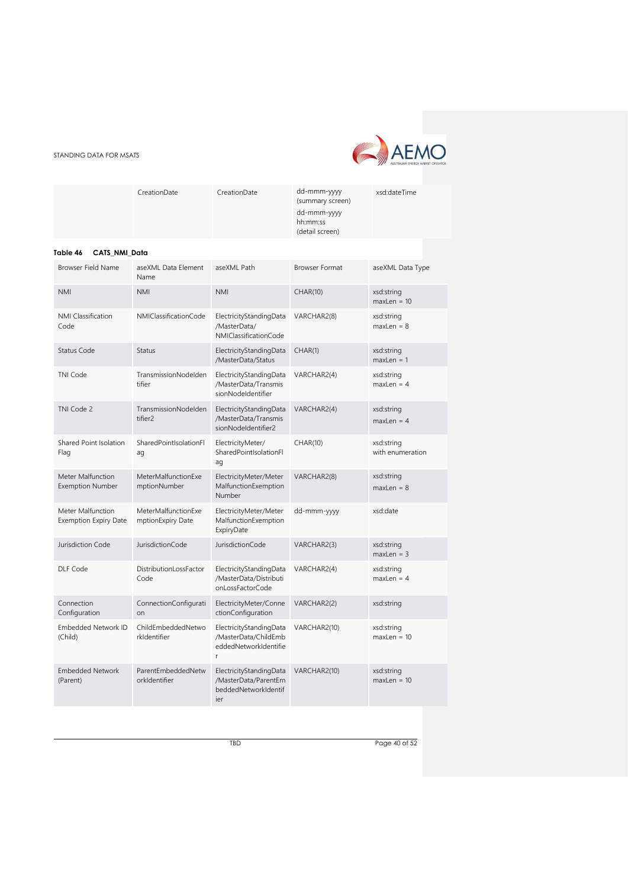

|          | CreationDate  | CreationDate | dd-mmm-yyyy<br>(summary screen)            | xsd:dateTime |
|----------|---------------|--------------|--------------------------------------------|--------------|
|          |               |              | dd-mmm-yyyy<br>hh:mm:ss<br>(detail screen) |              |
| Table 46 | CATS NMI Data |              |                                            |              |

<span id="page-39-0"></span>

| <b>Browser Field Name</b>                         | aseXML Data Element<br>Name                 | aseXML Path                                                                    | <b>Browser Format</b> | aseXML Data Type               |
|---------------------------------------------------|---------------------------------------------|--------------------------------------------------------------------------------|-----------------------|--------------------------------|
| <b>NMI</b>                                        | <b>NMI</b>                                  | <b>NMI</b>                                                                     | <b>CHAR(10)</b>       | xsd:string<br>$maxLen = 10$    |
| <b>NMI Classification</b><br>Code                 | NMIClassificationCode                       | ElectricityStandingData<br>/MasterData/<br>NMIClassificationCode               | VARCHAR2(8)           | xsd:string<br>$maxLen = 8$     |
| Status Code                                       | <b>Status</b>                               | ElectricityStandingData<br>/MasterData/Status                                  | CHAR(1)               | xsd:string<br>$maxLen = 1$     |
| <b>TNI Code</b>                                   | TransmissionNodelden<br>tifier              | ElectricityStandingData<br>/MasterData/Transmis<br>sionNodeldentifier          | VARCHAR2(4)           | xsd:string<br>$maxLen = 4$     |
| TNI Code 2                                        | TransmissionNodelden<br>tifier <sub>2</sub> | ElectricityStandingData<br>/MasterData/Transmis<br>sionNodeldentifier2         | VARCHAR2(4)           | xsd:string<br>$maxLen = 4$     |
| Shared Point Isolation<br>Flag                    | SharedPointIsolationFl<br>ag                | ElectricityMeter/<br>SharedPointIsolationFl<br>ag                              | CHAR(10)              | xsd:string<br>with enumeration |
| Meter Malfunction<br><b>Exemption Number</b>      | MeterMalfunctionExe<br>mptionNumber         | ElectricityMeter/Meter<br>MalfunctionExemption<br>Number                       | VARCHAR2(8)           | xsd:string<br>$maxLen = 8$     |
| Meter Malfunction<br><b>Exemption Expiry Date</b> | MeterMalfunctionExe<br>mptionExpiry Date    | ElectricityMeter/Meter<br>MalfunctionExemption<br>ExpiryDate                   | dd-mmm-yyyy           | xsd:date                       |
| Jurisdiction Code                                 | JurisdictionCode                            | JurisdictionCode                                                               | VARCHAR2(3)           | xsd:string<br>$maxLen = 3$     |
| DLF Code                                          | DistributionLossFactor<br>Code              | ElectricityStandingData<br>/MasterData/Distributi<br>onLossFactorCode          | VARCHAR2(4)           | xsd:string<br>$maxLen = 4$     |
| Connection<br>Configuration                       | ConnectionConfigurati<br>on                 | ElectricityMeter/Conne<br>ctionConfiguration                                   | VARCHAR2(2)           | xsd:string                     |
| <b>Embedded Network ID</b><br>(Child)             | ChildEmbeddedNetwo<br>rkldentifier          | ElectricityStandingData<br>/MasterData/ChildEmb<br>eddedNetworkIdentifie<br>r  | VARCHAR2(10)          | xsd:string<br>$maxLen = 10$    |
| <b>Embedded Network</b><br>(Parent)               | ParentEmbeddedNetw<br>orkIdentifier         | ElectricityStandingData<br>/MasterData/ParentEm<br>beddedNetworkIdentif<br>ier | VARCHAR2(10)          | xsd:string<br>$maxLen = 10$    |

TBD Page 40 of 52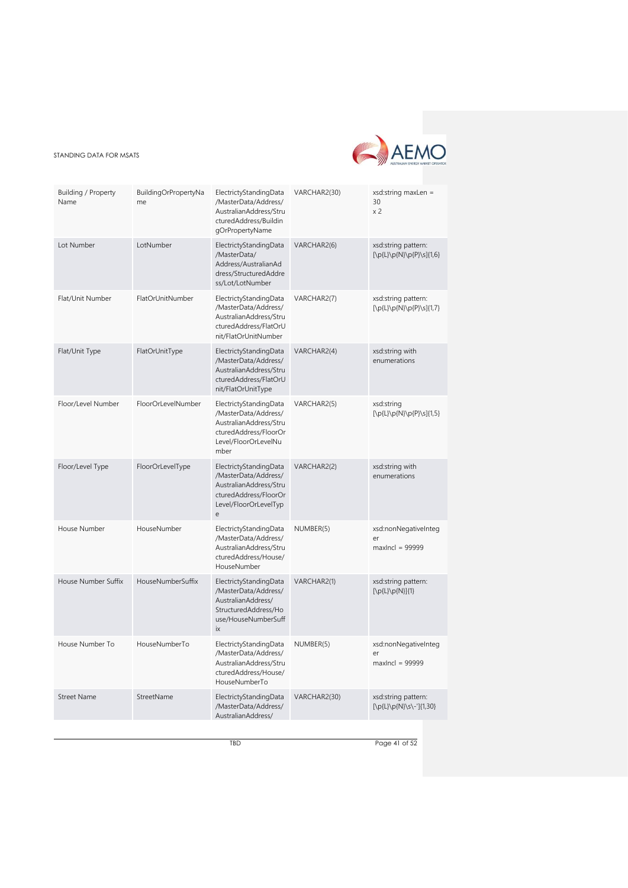

| Building / Property<br>Name | BuildingOrPropertyNa<br>me | ElectrictyStandingData<br>/MasterData/Address/<br>AustralianAddress/Stru<br>cturedAddress/Buildin<br>gOrPropertyName                                            | VARCHAR2(30) | $xsd:string$ maxLen =<br>30<br>x <sub>2</sub>         |
|-----------------------------|----------------------------|-----------------------------------------------------------------------------------------------------------------------------------------------------------------|--------------|-------------------------------------------------------|
| Lot Number                  | LotNumber                  | ElectrictyStandingData<br>/MasterData/<br>Address/AustralianAd<br>dress/StructuredAddre<br>ss/Lot/LotNumber                                                     | VARCHAR2(6)  | xsd:string pattern:<br>$[\p{L}\p{N}\p{P}\s]{1,6}$     |
| Flat/Unit Number            | FlatOrUnitNumber           | ElectrictyStandingData<br>/MasterData/Address/<br>AustralianAddress/Stru<br>cturedAddress/FlatOrU<br>nit/FlatOrUnitNumber                                       | VARCHAR2(7)  | xsd:string pattern:<br>[\p{L}\p{N}\p{P}\s]{1,7}       |
| Flat/Unit Type              | FlatOrUnitType             | ElectrictyStandingData<br>/MasterData/Address/<br>AustralianAddress/Stru<br>cturedAddress/FlatOrU<br>nit/FlatOrUnitType                                         | VARCHAR2(4)  | xsd:string with<br>enumerations                       |
| Floor/Level Number          | FloorOrLevelNumber         | ElectrictyStandingData<br>/MasterData/Address/<br>AustralianAddress/Stru<br>cturedAddress/FloorOr<br>Level/FloorOrLevelNu<br>mber                               | VARCHAR2(5)  | xsd:string<br>[\p{L}\p{N}\p{P}\s]{1,5}                |
| Floor/Level Type            | FloorOrLevelType           | ElectrictyStandingData<br>/MasterData/Address/<br>AustralianAddress/Stru<br>cturedAddress/FloorOr<br>Level/FloorOrLevelTyp<br>$\mathsf{e}% _{t}\left( t\right)$ | VARCHAR2(2)  | xsd:string with<br>enumerations                       |
| House Number                | HouseNumber                | ElectrictyStandingData<br>/MasterData/Address/<br>AustralianAddress/Stru<br>cturedAddress/House/<br>HouseNumber                                                 | NUMBER(5)    | xsd:nonNegativeInteg<br>er<br>$maxIncl = 99999$       |
| House Number Suffix         | HouseNumberSuffix          | ElectrictyStandingData<br>/MasterData/Address/<br>AustralianAddress/<br>StructuredAddress/Ho<br>use/HouseNumberSuff<br>ix                                       | VARCHAR2(1)  | xsd:string pattern:<br>$[\p{L}\p{D}\p{N}](1)$         |
| House Number To             | HouseNumberTo              | ElectrictyStandingData<br>/MasterData/Address/<br>AustralianAddress/Stru<br>cturedAddress/House/<br>HouseNumberTo                                               | NUMBER(5)    | xsd:nonNegativeInteg<br>$\rho r$<br>$maxIncl = 99999$ |
| <b>Street Name</b>          | StreetName                 | ElectrictyStandingData<br>/MasterData/Address/<br>AustralianAddress/                                                                                            | VARCHAR2(30) | xsd:string pattern:<br>[\p{L}\p{N}\s\-']{1,30}        |

TBD Page 41 of 52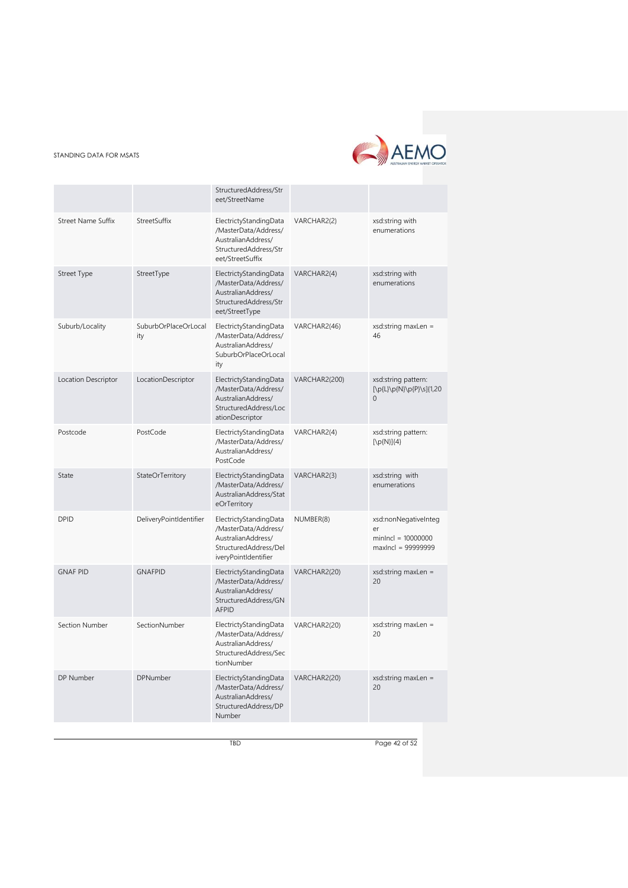

|                           |                             | StructuredAddress/Str<br>eet/StreetName                                                                               |               |                                                                          |
|---------------------------|-----------------------------|-----------------------------------------------------------------------------------------------------------------------|---------------|--------------------------------------------------------------------------|
| <b>Street Name Suffix</b> | StreetSuffix                | ElectrictyStandingData<br>/MasterData/Address/<br>AustralianAddress/<br>StructuredAddress/Str<br>eet/StreetSuffix     | VARCHAR2(2)   | xsd:string with<br>enumerations                                          |
| <b>Street Type</b>        | StreetType                  | ElectrictyStandingData<br>/MasterData/Address/<br>AustralianAddress/<br>StructuredAddress/Str<br>eet/StreetType       | VARCHAR2(4)   | xsd:string with<br>enumerations                                          |
| Suburb/Locality           | SuburbOrPlaceOrLocal<br>ity | ElectrictyStandingData<br>/MasterData/Address/<br>AustralianAddress/<br>SuburbOrPlaceOrLocal<br>ity                   | VARCHAR2(46)  | $xsd:string$ maxLen =<br>46                                              |
| Location Descriptor       | LocationDescriptor          | ElectrictyStandingData<br>/MasterData/Address/<br>AustralianAddress/<br>StructuredAddress/Loc<br>ationDescriptor      | VARCHAR2(200) | xsd:string pattern:<br>[\p{L}\p{N}\p{P}\s]{1,20<br>$\Omega$              |
| Postcode                  | PostCode                    | ElectrictyStandingData<br>/MasterData/Address/<br>AustralianAddress/<br>PostCode                                      | VARCHAR2(4)   | xsd:string pattern:<br>$[\pmb{\mathcal{D}}(N)]\{4\}$                     |
| State                     | StateOrTerritory            | ElectrictyStandingData<br>/MasterData/Address/<br>AustralianAddress/Stat<br>eOrTerritory                              | VARCHAR2(3)   | xsd:string with<br>enumerations                                          |
| <b>DPID</b>               | DeliveryPointIdentifier     | ElectrictyStandingData<br>/MasterData/Address/<br>AustralianAddress/<br>StructuredAddress/Del<br>iveryPointIdentifier | NUMBER(8)     | xsd:nonNegativeInteg<br>er<br>$minIncl = 10000000$<br>maxIncl = 99999999 |
| <b>GNAF PID</b>           | <b>GNAFPID</b>              | ElectrictyStandingData<br>/MasterData/Address/<br>AustralianAddress/<br>StructuredAddress/GN<br><b>AFPID</b>          | VARCHAR2(20)  | $xsd:string$ maxLen =<br>20                                              |
| Section Number            | SectionNumber               | ElectrictyStandingData<br>/MasterData/Address/<br>AustralianAddress/<br>StructuredAddress/Sec<br>tionNumber           | VARCHAR2(20)  | $xsd:string$ maxLen =<br>20                                              |
| DP Number                 | DPNumber                    | ElectrictyStandingData<br>/MasterData/Address/<br>AustralianAddress/<br>StructuredAddress/DP<br>Number                | VARCHAR2(20)  | $xsd:string$ maxLen =<br>20                                              |

TBD Page 42 of 52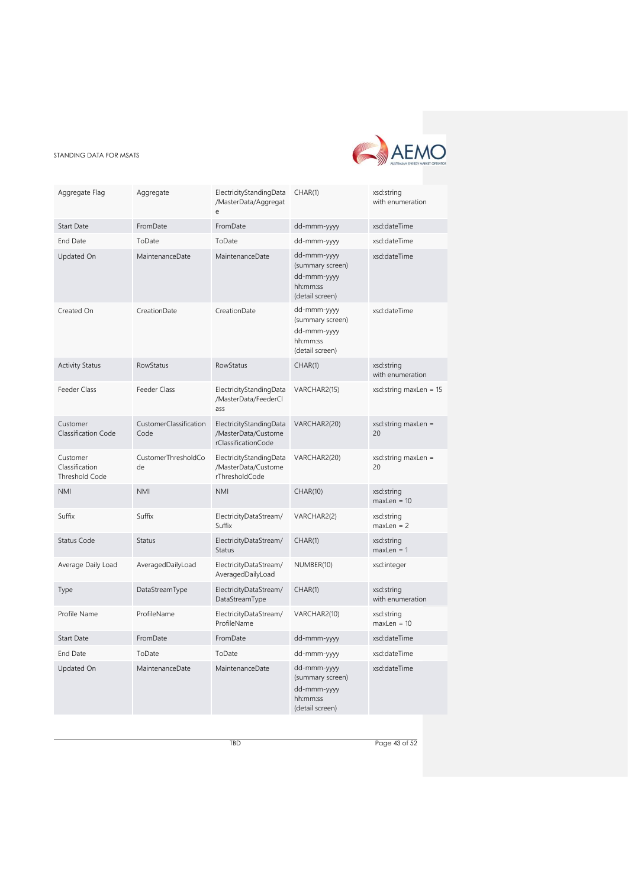

| Aggregate Flag                                      | Aggregate                      | ElectricityStandingData<br>/MasterData/Aggregat<br>$\epsilon$         | CHAR(1)                                                                       | xsd:string<br>with enumeration |
|-----------------------------------------------------|--------------------------------|-----------------------------------------------------------------------|-------------------------------------------------------------------------------|--------------------------------|
| Start Date                                          | FromDate                       | FromDate                                                              | dd-mmm-yyyy                                                                   | xsd:dateTime                   |
| <b>End Date</b>                                     | ToDate                         | ToDate                                                                | dd-mmm-yyyy                                                                   | xsd:dateTime                   |
| Updated On                                          | MaintenanceDate                | MaintenanceDate                                                       | dd-mmm-yyyy<br>(summary screen)<br>dd-mmm-yyyy<br>hh:mm:ss<br>(detail screen) | xsd:dateTime                   |
| Created On                                          | CreationDate                   | CreationDate                                                          | dd-mmm-yyyy<br>(summary screen)<br>dd-mmm-yyyy<br>hh:mm:ss<br>(detail screen) | xsd:dateTime                   |
| <b>Activity Status</b>                              | <b>RowStatus</b>               | RowStatus                                                             | CHAR(1)                                                                       | xsd:string<br>with enumeration |
| Feeder Class                                        | Feeder Class                   | ElectricityStandingData<br>/MasterData/FeederCl<br>ass                | VARCHAR2(15)                                                                  | $xsd:string$ maxLen = 15       |
| Customer<br>Classification Code                     | CustomerClassification<br>Code | ElectricityStandingData<br>/MasterData/Custome<br>rClassificationCode | VARCHAR2(20)                                                                  | $xsd:string$ maxLen =<br>20    |
| Customer<br>Classification<br><b>Threshold Code</b> | CustomerThresholdCo<br>de      | ElectricityStandingData<br>/MasterData/Custome<br>rThresholdCode      | VARCHAR2(20)                                                                  | xsd:string maxLen =<br>20      |
| <b>NMI</b>                                          | <b>NMI</b>                     | <b>NMI</b>                                                            | <b>CHAR(10)</b>                                                               | xsd:string<br>$maxLen = 10$    |
| Suffix                                              | Suffix                         | ElectricityDataStream/<br>Suffix                                      | VARCHAR2(2)                                                                   | xsd:string<br>$maxLen = 2$     |
| <b>Status Code</b>                                  | <b>Status</b>                  | ElectricityDataStream/<br><b>Status</b>                               | CHAR(1)                                                                       | xsd:string<br>$maxLen = 1$     |
| Average Daily Load                                  | AveragedDailyLoad              | ElectricityDataStream/<br>AveragedDailyLoad                           | NUMBER(10)                                                                    | xsd:integer                    |
| Type                                                | DataStreamType                 | ElectricityDataStream/<br>DataStreamType                              | CHAR(1)                                                                       | xsd:string<br>with enumeration |
| Profile Name                                        | ProfileName                    | ElectricityDataStream/<br>ProfileName                                 | VARCHAR2(10)                                                                  | xsd:string<br>$maxLen = 10$    |
| <b>Start Date</b>                                   | FromDate                       | FromDate                                                              | dd-mmm-yyyy                                                                   | xsd:dateTime                   |
| End Date                                            | ToDate                         | ToDate                                                                | dd-mmm-yyyy                                                                   | xsd:dateTime                   |
| Updated On                                          | MaintenanceDate                | MaintenanceDate                                                       | dd-mmm-yyyy<br>(summary screen)<br>dd-mmm-yyyy<br>hh:mm:ss<br>(detail screen) | xsd:dateTime                   |

TBD Page 43 of 52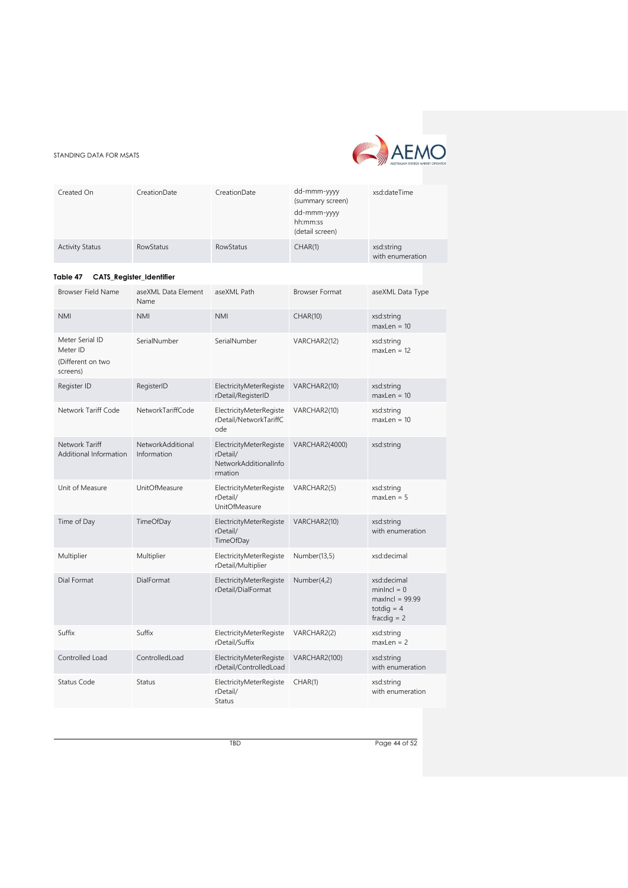

<span id="page-43-0"></span>

| Created On                                                   | CreationDate                     | CreationDate                                                            | dd-mmm-yyyy<br>(summary screen)<br>dd-mmm-yyyy<br>hh:mm:ss<br>(detail screen) | xsd:dateTime                                                                       |
|--------------------------------------------------------------|----------------------------------|-------------------------------------------------------------------------|-------------------------------------------------------------------------------|------------------------------------------------------------------------------------|
| <b>Activity Status</b>                                       | <b>RowStatus</b>                 | <b>RowStatus</b>                                                        | CHAR(1)                                                                       | xsd:string<br>with enumeration                                                     |
| Table 47                                                     | CATS_Register_Identifier         |                                                                         |                                                                               |                                                                                    |
| Browser Field Name                                           | aseXML Data Element<br>Name      | aseXML Path                                                             | <b>Browser Format</b>                                                         | aseXML Data Type                                                                   |
| <b>NMI</b>                                                   | <b>NMI</b>                       | <b>NMI</b>                                                              | <b>CHAR(10)</b>                                                               | xsd:string<br>$maxLen = 10$                                                        |
| Meter Serial ID<br>Meter ID<br>(Different on two<br>screens) | SerialNumber                     | SerialNumber                                                            | VARCHAR2(12)                                                                  | xsd:string<br>$maxLen = 12$                                                        |
| Register ID                                                  | RegisterID                       | ElectricityMeterRegiste<br>rDetail/RegisterID                           | VARCHAR2(10)                                                                  | xsd:string<br>$maxLen = 10$                                                        |
| Network Tariff Code                                          | NetworkTariffCode                | ElectricityMeterRegiste<br>rDetail/NetworkTariffC<br>ode                | VARCHAR2(10)                                                                  | xsd:string<br>$maxLen = 10$                                                        |
| Network Tariff<br>Additional Information                     | NetworkAdditional<br>Information | ElectricityMeterRegiste<br>rDetail/<br>NetworkAdditionalInfo<br>rmation | VARCHAR2(4000)                                                                | xsd:string                                                                         |
| Unit of Measure                                              | <b>UnitOfMeasure</b>             | ElectricityMeterRegiste<br>rDetail/<br><b>UnitOfMeasure</b>             | VARCHAR2(5)                                                                   | xsd:string<br>$maxLen = 5$                                                         |
| Time of Day                                                  | TimeOfDay                        | ElectricityMeterRegiste<br>rDetail/<br>TimeOfDay                        | VARCHAR2(10)                                                                  | xsd:string<br>with enumeration                                                     |
| Multiplier                                                   | Multiplier                       | ElectricityMeterRegiste<br>rDetail/Multiplier                           | Number(13,5)                                                                  | xsd:decimal                                                                        |
| Dial Format                                                  | DialFormat                       | ElectricityMeterRegiste<br>rDetail/DialFormat                           | Number(4,2)                                                                   | xsd:decimal<br>$minIncl = 0$<br>$maxIncl = 99.99$<br>totdig = $4$<br>fracdig $= 2$ |
| Suffix                                                       | Suffix                           | ElectricityMeterRegiste<br>rDetail/Suffix                               | VARCHAR2(2)                                                                   | xsd:string<br>$maxLen = 2$                                                         |
| Controlled Load                                              | ControlledLoad                   | ElectricityMeterRegiste<br>rDetail/ControlledLoad                       | VARCHAR2(100)                                                                 | xsd:string<br>with enumeration                                                     |
| Status Code                                                  | Status                           | ElectricityMeterRegiste<br>rDetail/<br>Status                           | CHAR(1)                                                                       | xsd:string<br>with enumeration                                                     |

TBD Page 44 of 52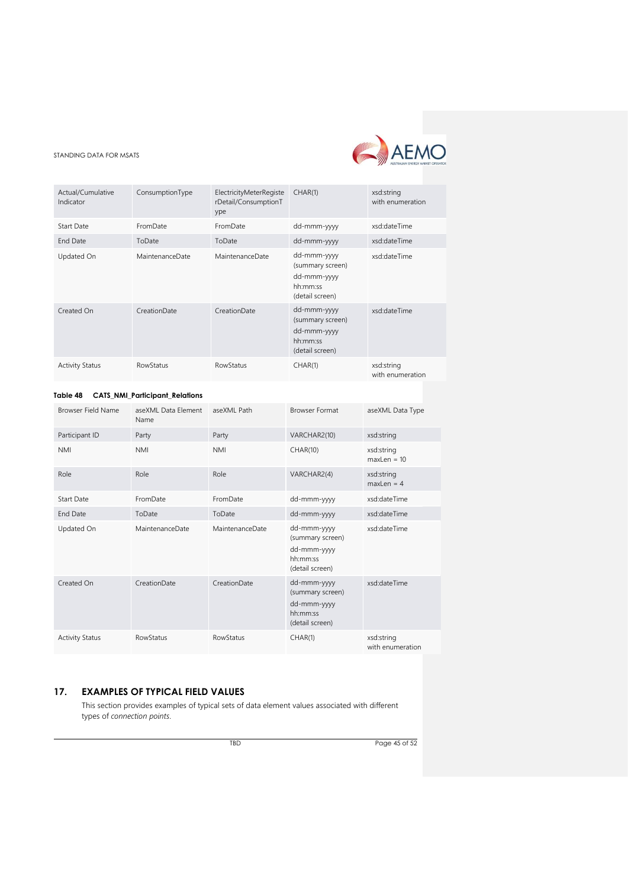

| Actual/Cumulative<br>Indicator | ConsumptionType  | ElectricityMeterRegiste<br>rDetail/ConsumptionT<br>ype | CHAR(1)                                                                       | xsd:string<br>with enumeration |
|--------------------------------|------------------|--------------------------------------------------------|-------------------------------------------------------------------------------|--------------------------------|
| Start Date                     | FromDate         | FromDate                                               | dd-mmm-yyyy                                                                   | xsd:dateTime                   |
| <b>End Date</b>                | ToDate           | ToDate                                                 | dd-mmm-yyyy                                                                   | xsd:dateTime                   |
| Updated On                     | MaintenanceDate  | MaintenanceDate                                        | dd-mmm-yyyy<br>(summary screen)<br>dd-mmm-yyyy<br>hh:mm:ss<br>(detail screen) | xsd:dateTime                   |
| Created On                     | CreationDate     | CreationDate                                           | dd-mmm-yyyy<br>(summary screen)<br>dd-mmm-yyyy<br>hh:mm:ss<br>(detail screen) | xsd:dateTime                   |
| <b>Activity Status</b>         | <b>RowStatus</b> | <b>RowStatus</b>                                       | CHAR(1)                                                                       | xsd:string<br>with enumeration |

# <span id="page-44-1"></span>**Table 48 CATS\_NMI\_Participant\_Relations**

| Browser Field Name     | aseXML Data Element<br>Name | aseXML Path      | <b>Browser Format</b>                                                         | aseXML Data Type               |
|------------------------|-----------------------------|------------------|-------------------------------------------------------------------------------|--------------------------------|
| Participant ID         | Party                       | Party            | VARCHAR2(10)                                                                  | xsd:string                     |
| <b>NMI</b>             | <b>NMI</b>                  | <b>NMI</b>       | CHAR(10)                                                                      | xsd:string<br>$maxLen = 10$    |
| Role                   | Role                        | Role             | VARCHAR2(4)                                                                   | xsd:string<br>$maxLen = 4$     |
| Start Date             | FromDate                    | FromDate         | dd-mmm-yyyy                                                                   | xsd:dateTime                   |
| <b>End Date</b>        | ToDate                      | ToDate           | dd-mmm-yyyy                                                                   | xsd:dateTime                   |
| Updated On             | MaintenanceDate             | MaintenanceDate  | dd-mmm-yyyy<br>(summary screen)<br>dd-mmm-yyyy<br>hh:mm:ss<br>(detail screen) | xsd:dateTime                   |
| Created On             | CreationDate                | CreationDate     | dd-mmm-yyyy<br>(summary screen)<br>dd-mmm-yyyy<br>hh:mm:ss<br>(detail screen) | xsd:dateTime                   |
| <b>Activity Status</b> | RowStatus                   | <b>RowStatus</b> | CHAR(1)                                                                       | xsd:string<br>with enumeration |

# <span id="page-44-0"></span>**17. EXAMPLES OF TYPICAL FIELD VALUES**

This section provides examples of typical sets of data element values associated with different types of *connection points*.

TBD Page 45 of 52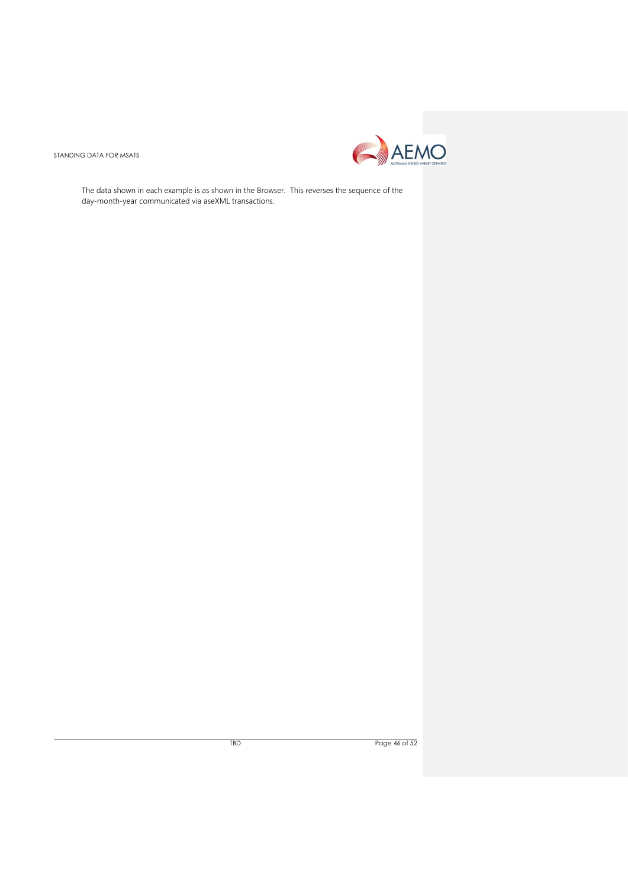

The data shown in each example is as shown in the Browser. This reverses the sequence of the day-month-year communicated via aseXML transactions.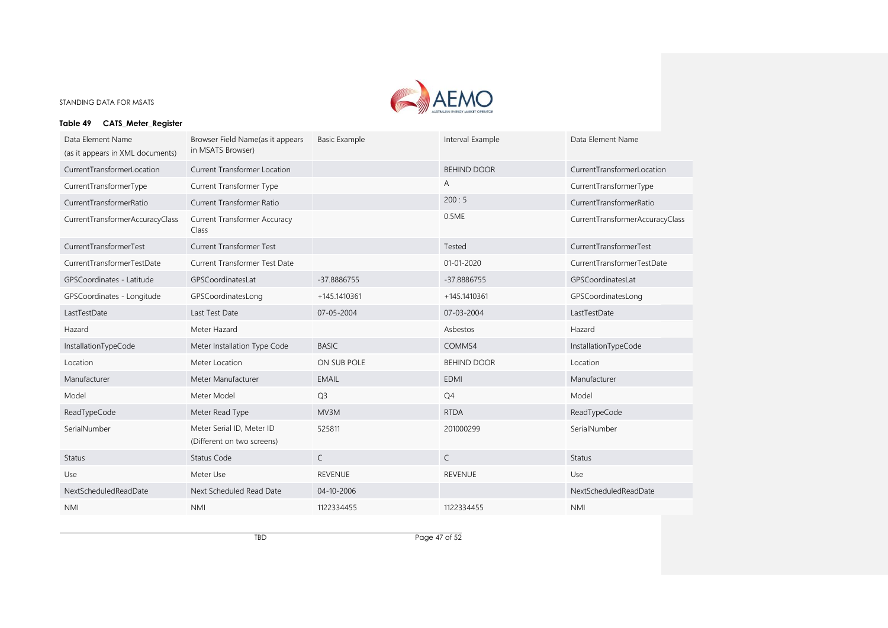

# **Table 49 CATS\_Meter\_Register**

| Data Element Name<br>(as it appears in XML documents) | Browser Field Name(as it appears<br>in MSATS Browser)   | <b>Basic Example</b> | Interval Example   | Data Element Name               |
|-------------------------------------------------------|---------------------------------------------------------|----------------------|--------------------|---------------------------------|
| CurrentTransformerLocation                            | Current Transformer Location                            |                      | <b>BEHIND DOOR</b> | CurrentTransformerLocation      |
| CurrentTransformerType                                | Current Transformer Type                                |                      | A                  | CurrentTransformerType          |
| CurrentTransformerRatio                               | Current Transformer Ratio                               |                      | 200:5              | CurrentTransformerRatio         |
| CurrentTransformerAccuracyClass                       | <b>Current Transformer Accuracy</b><br>Class            |                      | 0.5ME              | CurrentTransformerAccuracyClass |
| CurrentTransformerTest                                | <b>Current Transformer Test</b>                         |                      | Tested             | CurrentTransformerTest          |
| CurrentTransformerTestDate                            | Current Transformer Test Date                           |                      | $01 - 01 - 2020$   | CurrentTransformerTestDate      |
| GPSCoordinates - Latitude                             | GPSCoordinatesLat                                       | -37.8886755          | -37.8886755        | GPSCoordinatesLat               |
| GPSCoordinates - Longitude                            | GPSCoordinatesLong                                      | +145.1410361         | +145.1410361       | GPSCoordinatesLong              |
| LastTestDate                                          | Last Test Date                                          | 07-05-2004           | 07-03-2004         | LastTestDate                    |
| Hazard                                                | Meter Hazard                                            |                      | Asbestos           | Hazard                          |
| InstallationTypeCode                                  | Meter Installation Type Code                            | <b>BASIC</b>         | COMMS4             | InstallationTypeCode            |
| Location                                              | Meter Location                                          | ON SUB POLE          | <b>BEHIND DOOR</b> | Location                        |
| Manufacturer                                          | Meter Manufacturer                                      | <b>EMAIL</b>         | <b>EDMI</b>        | Manufacturer                    |
| Model                                                 | Meter Model                                             | Q <sub>3</sub>       | Q4                 | Model                           |
| ReadTypeCode                                          | Meter Read Type                                         | MV3M                 | <b>RTDA</b>        | ReadTypeCode                    |
| SerialNumber                                          | Meter Serial ID, Meter ID<br>(Different on two screens) | 525811               | 201000299          | SerialNumber                    |
| <b>Status</b>                                         | Status Code                                             | $\mathsf{C}$         | $\mathsf{C}$       | <b>Status</b>                   |
| Use                                                   | Meter Use                                               | <b>REVENUE</b>       | <b>REVENUE</b>     | Use                             |
| NextScheduledReadDate                                 | Next Scheduled Read Date                                | 04-10-2006           |                    | NextScheduledReadDate           |
| <b>NMI</b>                                            | <b>NMI</b>                                              | 1122334455           | 1122334455         | <b>NMI</b>                      |

TBD Page 47 of 52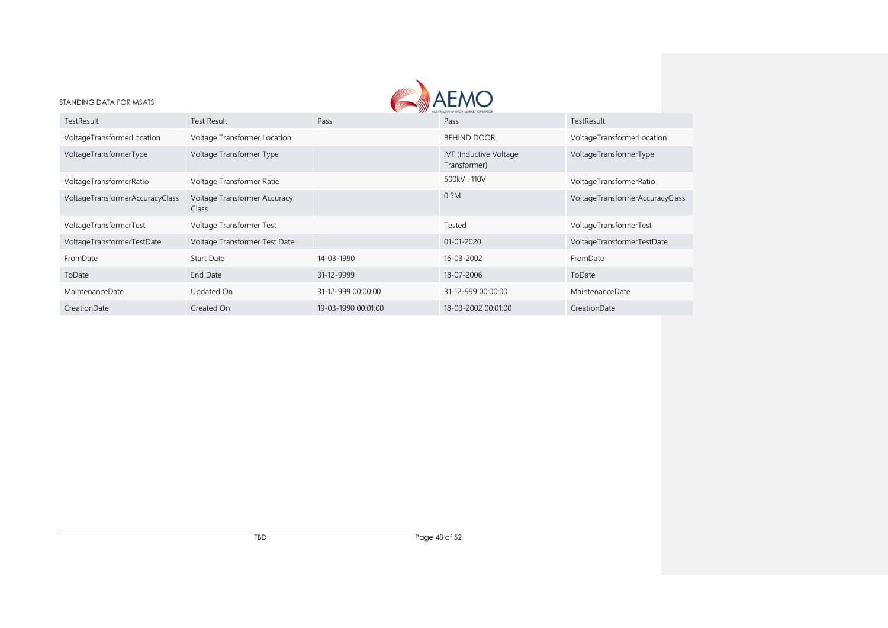| STANDING DATA FOR MSATS         |                                       |                     |                                        |                                 |
|---------------------------------|---------------------------------------|---------------------|----------------------------------------|---------------------------------|
| TestResult                      | Test Result                           | Pass                | Pass                                   | TestResult                      |
| VoltageTransformerLocation      | Voltage Transformer Location          |                     | <b>BEHIND DOOR</b>                     | VoltageTransformerLocation      |
| VoltageTransformerType          | Voltage Transformer Type              |                     | IVT (Inductive Voltage<br>Transformer) | VoltageTransformerType          |
| VoltageTransformerRatio         | Voltage Transformer Ratio             |                     | 500kV: 110V                            | VoltageTransformerRatio         |
| VoltageTransformerAccuracyClass | Voltage Transformer Accuracy<br>Class |                     | 0.5M                                   | VoltageTransformerAccuracyClass |
| VoltageTransformerTest          | Voltage Transformer Test              |                     | Tested                                 | VoltageTransformerTest          |
| VoltageTransformerTestDate      | Voltage Transformer Test Date         |                     | 01-01-2020                             | VoltageTransformerTestDate      |
| FromDate                        | Start Date                            | 14-03-1990          | 16-03-2002                             | FromDate                        |
| ToDate                          | End Date                              | 31-12-9999          | 18-07-2006                             | ToDate                          |
| MaintenanceDate                 | Updated On                            | 31-12-999 00:00:00  | 31-12-999 00:00:00                     | MaintenanceDate                 |
| CreationDate                    | Created On                            | 19-03-1990 00:01:00 | 18-03-2002 00:01:00                    | CreationDate                    |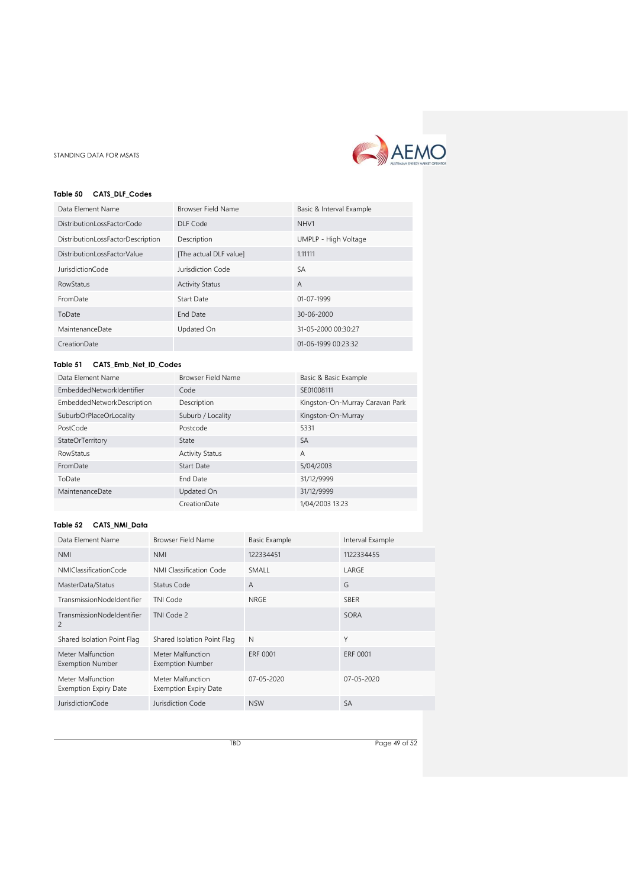

# <span id="page-48-0"></span>**Table 50 CATS\_DLF\_Codes**

| Data Element Name                 | Browser Field Name     | Basic & Interval Example |
|-----------------------------------|------------------------|--------------------------|
| DistributionLossFactorCode        | DLF Code               | NHV1                     |
| DistributionLossFactorDescription | Description            | UMPLP - High Voltage     |
| DistributionLossFactorValue       | [The actual DLF value] | 1.11111                  |
| <b>JurisdictionCode</b>           | Jurisdiction Code      | <b>SA</b>                |
| <b>RowStatus</b>                  | <b>Activity Status</b> | A                        |
| FromDate                          | Start Date             | 01-07-1999               |
| ToDate                            | <b>End Date</b>        | 30-06-2000               |
| MaintenanceDate                   | Updated On             | 31-05-2000 00:30:27      |
| CreationDate                      |                        | $01-06-1999000:23:32$    |

# <span id="page-48-1"></span>**Table 51 CATS\_Emb\_Net\_ID\_Codes**

| Data Element Name                 | Browser Field Name     | Basic & Basic Example           |
|-----------------------------------|------------------------|---------------------------------|
| EmbeddedNetworkIdentifier         | Code                   | SE01008111                      |
| <b>EmbeddedNetworkDescription</b> | Description            | Kingston-On-Murray Caravan Park |
| SuburbOrPlaceOrLocality           | Suburb / Locality      | Kingston-On-Murray              |
| PostCode                          | Postcode               | 5331                            |
| StateOrTerritory                  | State                  | <b>SA</b>                       |
| <b>RowStatus</b>                  | <b>Activity Status</b> | A                               |
| FromDate                          | Start Date             | 5/04/2003                       |
| ToDate                            | <b>End Date</b>        | 31/12/9999                      |
| MaintenanceDate                   | Updated On             | 31/12/9999                      |
|                                   | CreationDate           | 1/04/2003 13:23                 |

# <span id="page-48-2"></span>**Table 52 CATS\_NMI\_Data**

| Data Element Name                                 | <b>Browser Field Name</b>                         | <b>Basic Example</b> | Interval Example |
|---------------------------------------------------|---------------------------------------------------|----------------------|------------------|
| <b>NMI</b>                                        | <b>NMI</b>                                        | 122334451            | 1122334455       |
| NMIClassificationCode                             | NMI Classification Code                           | SMALL                | LARGE            |
| MasterData/Status                                 | Status Code                                       | $\overline{A}$       | G                |
| TransmissionNodeldentifier                        | TNI Code                                          | NRGE                 | <b>SBER</b>      |
| TransmissionNodeldentifier<br>2                   | TNI Code 2                                        |                      | SORA             |
| Shared Isolation Point Flag                       | Shared Isolation Point Flag                       | N                    | Υ                |
| Meter Malfunction<br><b>Exemption Number</b>      | Meter Malfunction<br><b>Exemption Number</b>      | ERF 0001             | <b>ERF 0001</b>  |
| Meter Malfunction<br><b>Exemption Expiry Date</b> | Meter Malfunction<br><b>Exemption Expiry Date</b> | $07 - 05 - 2020$     | 07-05-2020       |
| <b>JurisdictionCode</b>                           | Jurisdiction Code                                 | <b>NSW</b>           | SA               |

TBD Page 49 of 52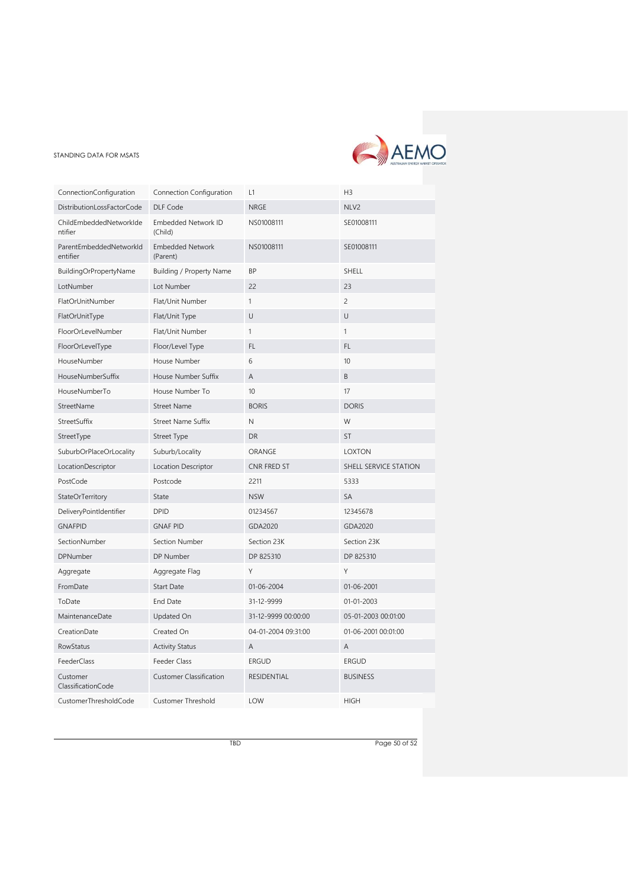

| ConnectionConfiguration             | Connection Configuration              | L1                  | H <sub>3</sub>           |
|-------------------------------------|---------------------------------------|---------------------|--------------------------|
| DistributionLossFactorCode          | DLF Code                              | <b>NRGE</b>         | NLV2                     |
| ChildEmbeddedNetworkIde<br>ntifier  | <b>Embedded Network ID</b><br>(Child) | NS01008111          | SE01008111               |
| ParentEmbeddedNetworkId<br>entifier | <b>Embedded Network</b><br>(Parent)   | NS01008111          | SE01008111               |
| BuildingOrPropertyName              | Building / Property Name              | <b>BP</b>           | SHELL                    |
| LotNumber                           | Lot Number                            | 22                  | 23                       |
| FlatOrUnitNumber                    | Flat/Unit Number                      | $\mathbf{1}$        | $\overline{\phantom{0}}$ |
| FlatOrUnitType                      | Flat/Unit Type                        | U                   | U                        |
| FloorOrLevelNumber                  | Flat/Unit Number                      | $\mathbf{1}$        | $\mathbf{1}$             |
| FloorOrLevelType                    | Floor/Level Type                      | FL.                 | FL.                      |
| HouseNumber                         | House Number                          | 6                   | 10                       |
| HouseNumberSuffix                   | House Number Suffix                   | A                   | B                        |
| HouseNumberTo                       | House Number To                       | 10                  | 17                       |
| StreetName                          | <b>Street Name</b>                    | <b>BORIS</b>        | <b>DORIS</b>             |
| StreetSuffix                        | <b>Street Name Suffix</b>             | $\mathsf N$         | W                        |
| StreetType                          | Street Type                           | <b>DR</b>           | <b>ST</b>                |
| SuburbOrPlaceOrLocality             | Suburb/Locality                       | ORANGE              | <b>LOXTON</b>            |
| LocationDescriptor                  | Location Descriptor                   | CNR FRED ST         | SHELL SERVICE STATION    |
| PostCode                            | Postcode                              | 2211                | 5333                     |
| StateOrTerritory                    | State                                 | <b>NSW</b>          | <b>SA</b>                |
| DeliveryPointIdentifier             | <b>DPID</b>                           | 01234567            | 12345678                 |
| <b>GNAFPID</b>                      | <b>GNAF PID</b>                       | GDA2020             | GDA2020                  |
| SectionNumber                       | Section Number                        | Section 23K         | Section 23K              |
| <b>DPNumber</b>                     | DP Number                             | DP 825310           | DP 825310                |
| Aggregate                           | Aggregate Flag                        | Y                   | Y                        |
| FromDate                            | <b>Start Date</b>                     | 01-06-2004          | 01-06-2001               |
| ToDate                              | End Date                              | 31-12-9999          | 01-01-2003               |
| MaintenanceDate                     | Updated On                            | 31-12-9999 00:00:00 | 05-01-2003 00:01:00      |
| CreationDate                        | Created On                            | 04-01-2004 09:31:00 | 01-06-2001 00:01:00      |
| <b>RowStatus</b>                    | <b>Activity Status</b>                | $\overline{A}$      | A                        |
| FeederClass                         | Feeder Class                          | <b>ERGUD</b>        | <b>ERGUD</b>             |
| Customer<br>ClassificationCode      | <b>Customer Classification</b>        | <b>RESIDENTIAL</b>  | <b>BUSINESS</b>          |
| CustomerThresholdCode               | Customer Threshold                    | LOW                 | <b>HIGH</b>              |

TBD Page 50 of 52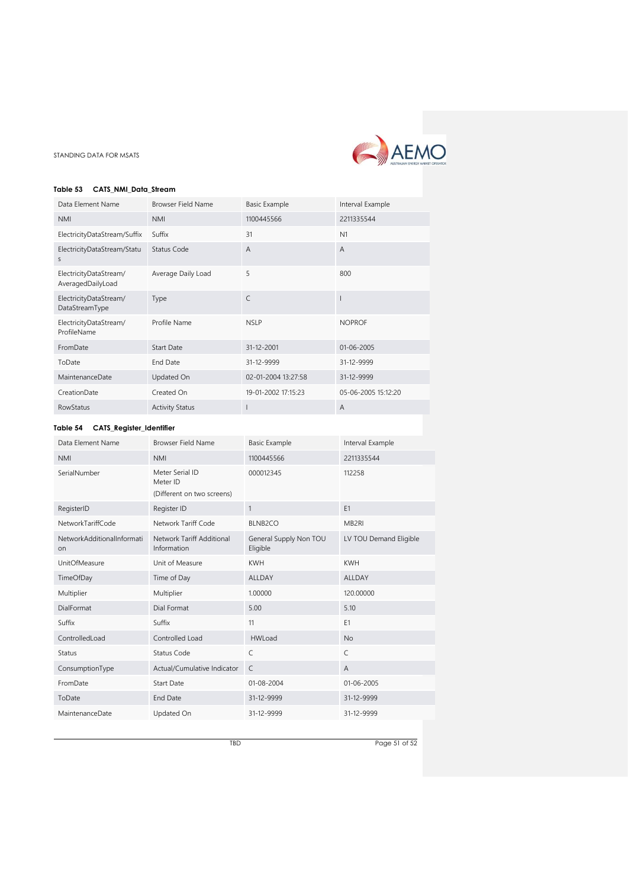

#### <span id="page-50-0"></span>**Table 53 CATS\_NMI\_Data\_Stream**

| Data Element Name                           | <b>Browser Field Name</b> | <b>Basic Example</b> | Interval Example    |
|---------------------------------------------|---------------------------|----------------------|---------------------|
| <b>NMI</b>                                  | <b>NMI</b>                | 1100445566           | 2211335544          |
| ElectricityDataStream/Suffix                | Suffix                    | 31                   | N <sub>1</sub>      |
| ElectricityDataStream/Statu<br>S            | Status Code               | $\overline{A}$       | $\overline{A}$      |
| ElectricityDataStream/<br>AveragedDailyLoad | Average Daily Load        | 5                    | 800                 |
| ElectricityDataStream/<br>DataStreamType    | Type                      | $\mathsf{C}$         |                     |
| ElectricityDataStream/<br>ProfileName       | Profile Name              | <b>NSLP</b>          | <b>NOPROF</b>       |
| FromDate                                    | <b>Start Date</b>         | 31-12-2001           | 01-06-2005          |
| ToDate                                      | <b>End Date</b>           | 31-12-9999           | 31-12-9999          |
| MaintenanceDate                             | Updated On                | 02-01-2004 13:27:58  | 31-12-9999          |
| CreationDate                                | Created On                | 19-01-2002 17:15:23  | 05-06-2005 15:12:20 |
| <b>RowStatus</b>                            | <b>Activity Status</b>    |                      | A                   |

# <span id="page-50-1"></span>**Table 54 CATS\_Register\_Identifier**

| Data Element Name                | <b>Browser Field Name</b>                                 | <b>Basic Example</b>               | Interval Example       |
|----------------------------------|-----------------------------------------------------------|------------------------------------|------------------------|
| <b>NMI</b>                       | <b>NMI</b>                                                | 1100445566                         | 2211335544             |
| SerialNumber                     | Meter Serial ID<br>Meter ID<br>(Different on two screens) | 000012345                          | 112258                 |
| RegisterID                       | Register ID                                               | $\mathbf{1}$                       | E <sub>1</sub>         |
| NetworkTariffCode                | Network Tariff Code                                       | <b>BLNB2CO</b>                     | MB <sub>2RI</sub>      |
| NetworkAdditionalInformati<br>on | Network Tariff Additional<br>Information                  | General Supply Non TOU<br>Eligible | LV TOU Demand Eligible |
| UnitOfMeasure                    | Unit of Measure                                           | <b>KWH</b>                         | <b>KWH</b>             |
| TimeOfDay                        | Time of Day                                               | <b>ALLDAY</b>                      | <b>ALLDAY</b>          |
| Multiplier                       | Multiplier                                                | 1.00000                            | 120,00000              |
| <b>DialFormat</b>                | Dial Format                                               | 5.00                               | 5.10                   |
| Suffix                           | Suffix                                                    | 11                                 | E1                     |
| ControlledLoad                   | Controlled Load                                           | <b>HWLoad</b>                      | <b>No</b>              |
| <b>Status</b>                    | Status Code                                               | C                                  | C                      |
| ConsumptionType                  | Actual/Cumulative Indicator                               | C                                  | $\overline{A}$         |
| FromDate                         | <b>Start Date</b>                                         | 01-08-2004                         | 01-06-2005             |
| ToDate                           | End Date                                                  | 31-12-9999                         | 31-12-9999             |
| MaintenanceDate                  | Updated On                                                | 31-12-9999                         | 31-12-9999             |

TBD Page 51 of 52